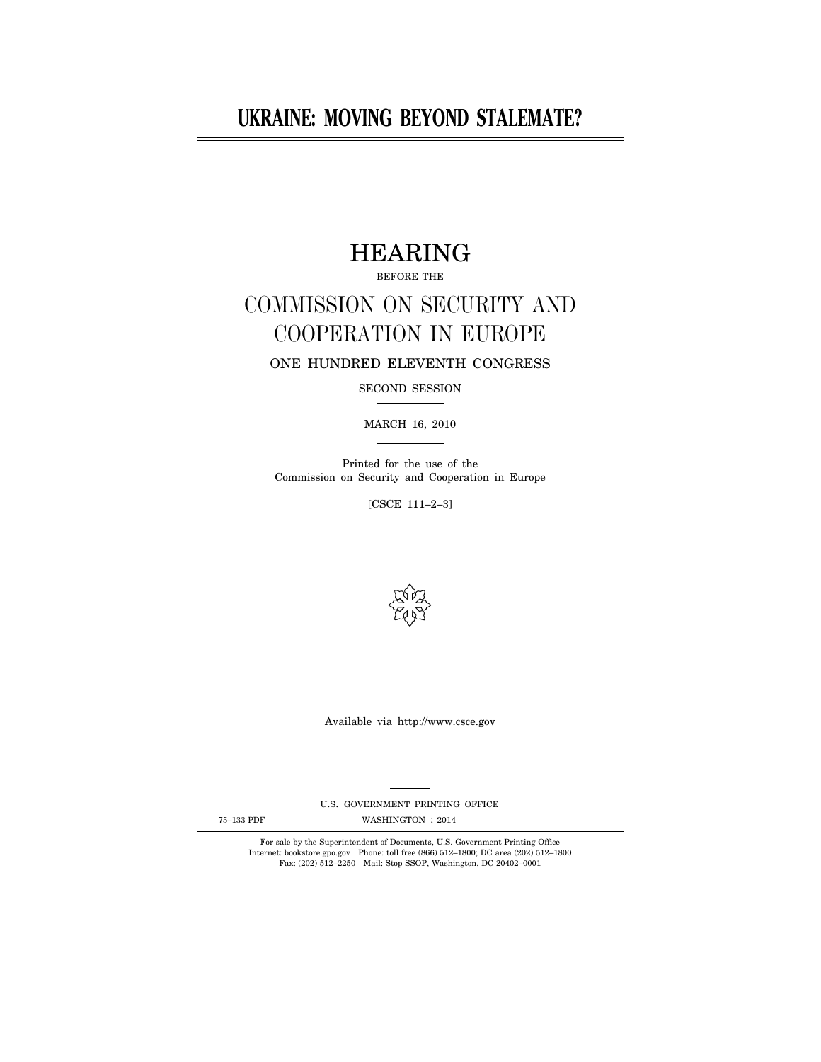# **UKRAINE: MOVING BEYOND STALEMATE?**

# HEARING

BEFORE THE

# COMMISSION ON SECURITY AND COOPERATION IN EUROPE

ONE HUNDRED ELEVENTH CONGRESS

SECOND SESSION

MARCH 16, 2010

Printed for the use of the Commission on Security and Cooperation in Europe

[CSCE 111–2–3]



Available via http://www.csce.gov

U.S. GOVERNMENT PRINTING OFFICE

75-133 PDF WASHINGTON : 2014

For sale by the Superintendent of Documents, U.S. Government Printing Office Internet: bookstore.gpo.gov Phone: toll free (866) 512–1800; DC area (202) 512–1800 Fax: (202) 512–2250 Mail: Stop SSOP, Washington, DC 20402–0001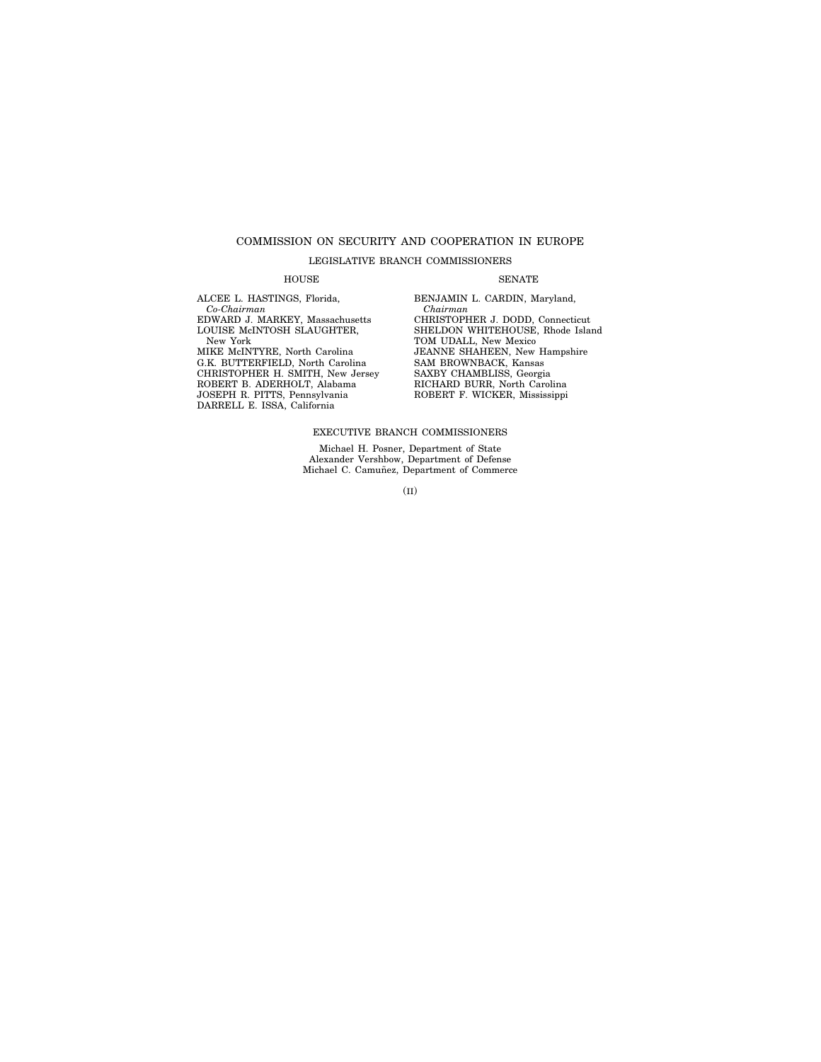### COMMISSION ON SECURITY AND COOPERATION IN EUROPE

#### LEGISLATIVE BRANCH COMMISSIONERS

#### HOUSE SENATE

ALCEE L. HASTINGS, Florida, *Co-Chairman*  EDWARD J. MARKEY, Massachusetts LOUISE McINTOSH SLAUGHTER, New York MIKE McINTYRE, North Carolina G.K. BUTTERFIELD, North Carolina CHRISTOPHER H. SMITH, New Jersey ROBERT B. ADERHOLT, Alabama JOSEPH R. PITTS, Pennsylvania DARRELL E. ISSA, California

*Chairman*  CHRISTOPHER J. DODD, Connecticut SHELDON WHITEHOUSE, Rhode Island TOM UDALL, New Mexico JEANNE SHAHEEN, New Hampshire SAM BROWNBACK, Kansas SAXBY CHAMBLISS, Georgia RICHARD BURR, North Carolina ROBERT F. WICKER, Mississippi

BENJAMIN L. CARDIN, Maryland,

#### EXECUTIVE BRANCH COMMISSIONERS

Michael H. Posner, Department of State Alexander Vershbow, Department of Defense<br>Michael C. Camuñez, Department of Commerce

(II)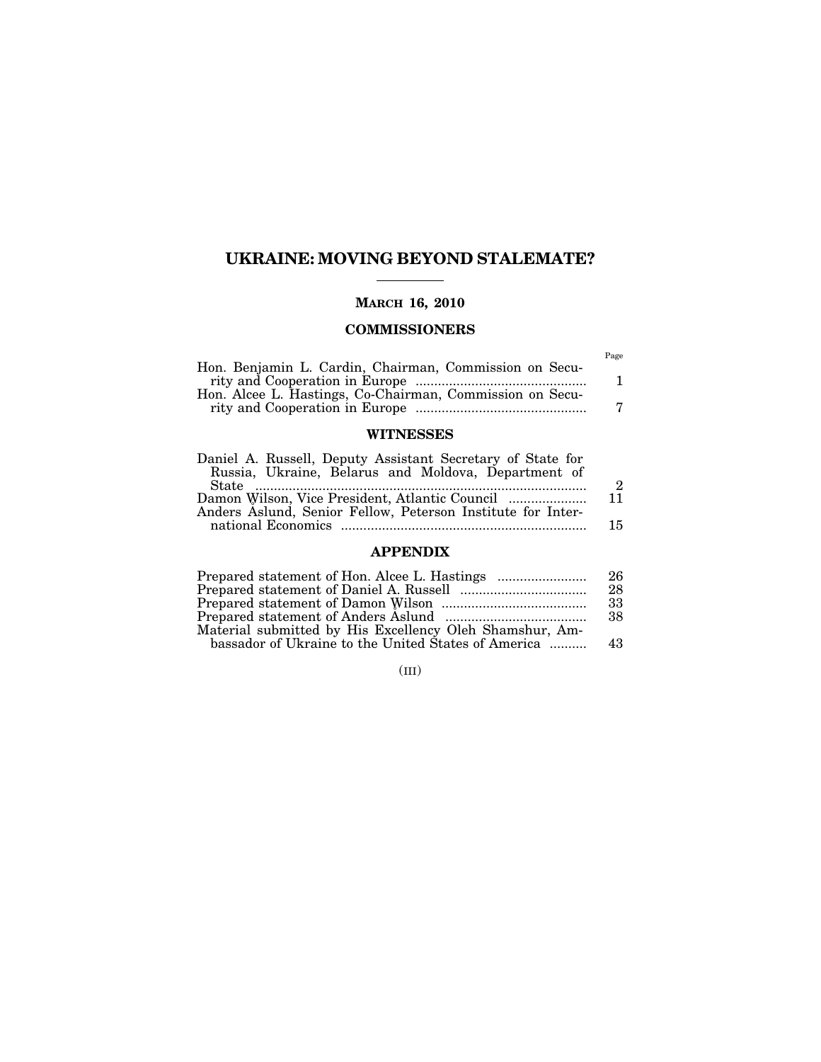### **UKRAINE: MOVING BEYOND STALEMATE?**

### **MARCH 16, 2010**

### **COMMISSIONERS**

|                                                          | Page |
|----------------------------------------------------------|------|
| Hon. Benjamin L. Cardin, Chairman, Commission on Secu-   |      |
|                                                          |      |
| Hon. Alcee L. Hastings, Co-Chairman, Commission on Secu- |      |
|                                                          |      |

### **WITNESSES**

| Daniel A. Russell, Deputy Assistant Secretary of State for  |      |
|-------------------------------------------------------------|------|
| Russia, Ukraine, Belarus and Moldova, Department of         |      |
|                                                             | 2    |
|                                                             | - 11 |
| Anders Aslund, Senior Fellow, Peterson Institute for Inter- |      |
|                                                             | 15   |

### **APPENDIX**

|                                                         | 26   |
|---------------------------------------------------------|------|
|                                                         | 28   |
|                                                         | -33  |
|                                                         | -38  |
| Material submitted by His Excellency Oleh Shamshur, Am- |      |
| bassador of Ukraine to the United States of America     | - 43 |

(III)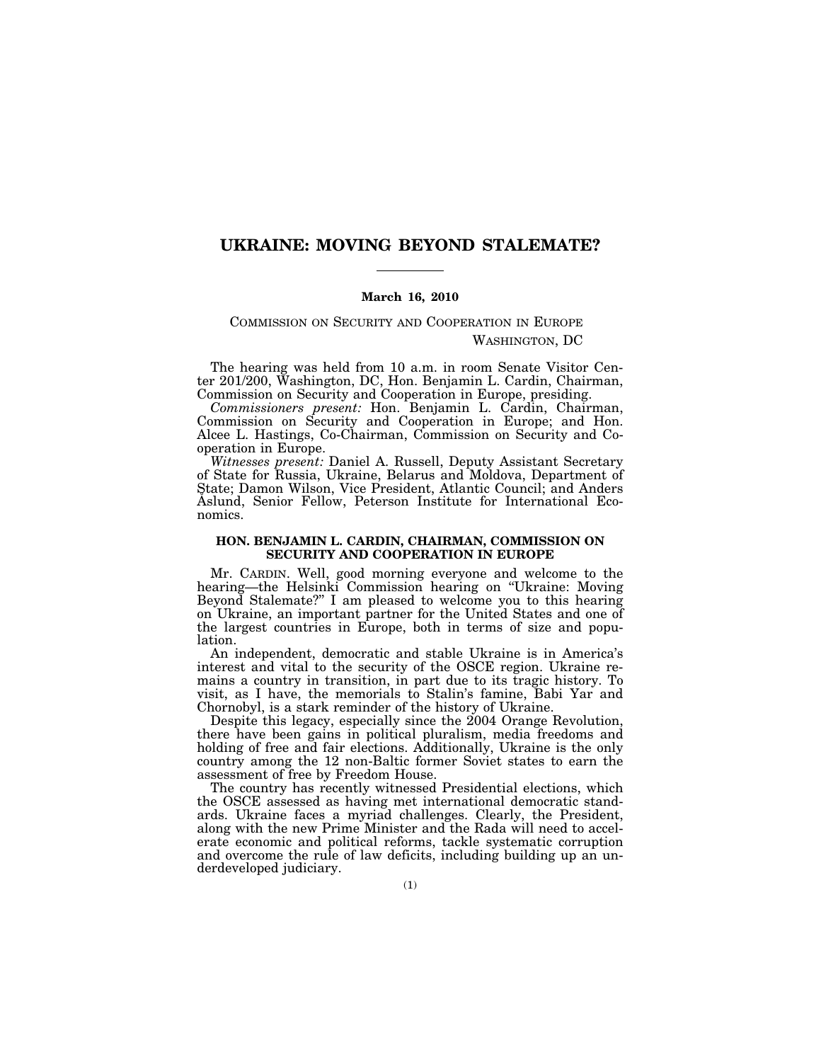### **UKRAINE: MOVING BEYOND STALEMATE?**

#### **March 16, 2010**

COMMISSION ON SECURITY AND COOPERATION IN EUROPE WASHINGTON, DC

The hearing was held from 10 a.m. in room Senate Visitor Center 201/200, Washington, DC, Hon. Benjamin L. Cardin, Chairman, Commission on Security and Cooperation in Europe, presiding.

*Commissioners present:* Hon. Benjamin L. Cardin, Chairman, Commission on Security and Cooperation in Europe; and Hon. Alcee L. Hastings, Co-Chairman, Commission on Security and Cooperation in Europe.

*Witnesses present:* Daniel A. Russell, Deputy Assistant Secretary of State for Russia, Ukraine, Belarus and Moldova, Department of State; Damon Wilson, Vice President, Atlantic Council; and Anders Aslund, Senior Fellow, Peterson Institute for International Economics.

#### **HON. BENJAMIN L. CARDIN, CHAIRMAN, COMMISSION ON SECURITY AND COOPERATION IN EUROPE**

Mr. CARDIN. Well, good morning everyone and welcome to the hearing—the Helsinki Commission hearing on ''Ukraine: Moving Beyond Stalemate?'' I am pleased to welcome you to this hearing on Ukraine, an important partner for the United States and one of the largest countries in Europe, both in terms of size and population.

An independent, democratic and stable Ukraine is in America's interest and vital to the security of the OSCE region. Ukraine remains a country in transition, in part due to its tragic history. To visit, as I have, the memorials to Stalin's famine, Babi Yar and Chornobyl, is a stark reminder of the history of Ukraine.

Despite this legacy, especially since the 2004 Orange Revolution, there have been gains in political pluralism, media freedoms and holding of free and fair elections. Additionally, Ukraine is the only country among the 12 non-Baltic former Soviet states to earn the assessment of free by Freedom House.

The country has recently witnessed Presidential elections, which the OSCE assessed as having met international democratic standards. Ukraine faces a myriad challenges. Clearly, the President, along with the new Prime Minister and the Rada will need to accelerate economic and political reforms, tackle systematic corruption and overcome the rule of law deficits, including building up an underdeveloped judiciary.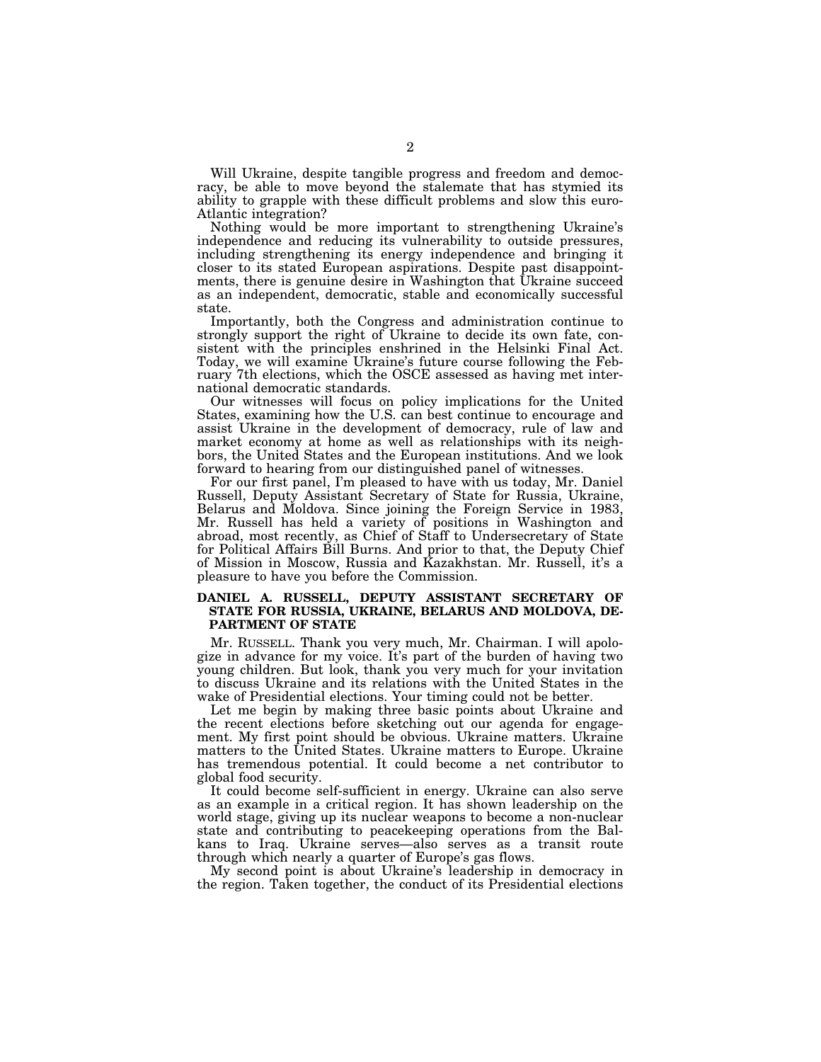Will Ukraine, despite tangible progress and freedom and democracy, be able to move beyond the stalemate that has stymied its ability to grapple with these difficult problems and slow this euro-Atlantic integration?

Nothing would be more important to strengthening Ukraine's independence and reducing its vulnerability to outside pressures, including strengthening its energy independence and bringing it closer to its stated European aspirations. Despite past disappointments, there is genuine desire in Washington that Ukraine succeed as an independent, democratic, stable and economically successful state.

Importantly, both the Congress and administration continue to strongly support the right of Ukraine to decide its own fate, consistent with the principles enshrined in the Helsinki Final Act. Today, we will examine Ukraine's future course following the February 7th elections, which the OSCE assessed as having met international democratic standards.

Our witnesses will focus on policy implications for the United States, examining how the U.S. can best continue to encourage and assist Ukraine in the development of democracy, rule of law and market economy at home as well as relationships with its neighbors, the United States and the European institutions. And we look forward to hearing from our distinguished panel of witnesses.

For our first panel, I'm pleased to have with us today, Mr. Daniel Russell, Deputy Assistant Secretary of State for Russia, Ukraine, Belarus and Moldova. Since joining the Foreign Service in 1983, Mr. Russell has held a variety of positions in Washington and abroad, most recently, as Chief of Staff to Undersecretary of State for Political Affairs Bill Burns. And prior to that, the Deputy Chief of Mission in Moscow, Russia and Kazakhstan. Mr. Russell, it's a pleasure to have you before the Commission.

#### **DANIEL A. RUSSELL, DEPUTY ASSISTANT SECRETARY OF STATE FOR RUSSIA, UKRAINE, BELARUS AND MOLDOVA, DE-PARTMENT OF STATE**

Mr. RUSSELL. Thank you very much, Mr. Chairman. I will apologize in advance for my voice. It's part of the burden of having two young children. But look, thank you very much for your invitation to discuss Ukraine and its relations with the United States in the wake of Presidential elections. Your timing could not be better.

Let me begin by making three basic points about Ukraine and the recent elections before sketching out our agenda for engagement. My first point should be obvious. Ukraine matters. Ukraine matters to the United States. Ukraine matters to Europe. Ukraine has tremendous potential. It could become a net contributor to global food security.

It could become self-sufficient in energy. Ukraine can also serve as an example in a critical region. It has shown leadership on the world stage, giving up its nuclear weapons to become a non-nuclear state and contributing to peacekeeping operations from the Balkans to Iraq. Ukraine serves—also serves as a transit route through which nearly a quarter of Europe's gas flows.

My second point is about Ukraine's leadership in democracy in the region. Taken together, the conduct of its Presidential elections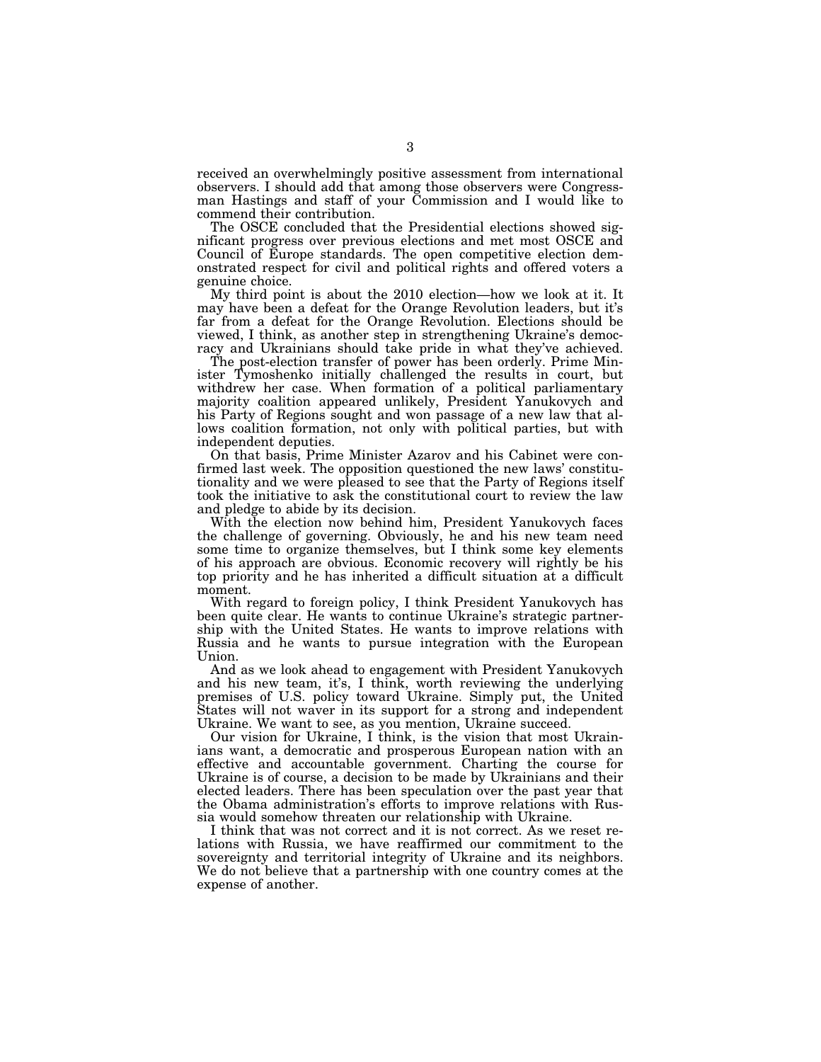received an overwhelmingly positive assessment from international observers. I should add that among those observers were Congressman Hastings and staff of your Commission and I would like to commend their contribution.

The OSCE concluded that the Presidential elections showed significant progress over previous elections and met most OSCE and Council of Europe standards. The open competitive election demonstrated respect for civil and political rights and offered voters a genuine choice.

My third point is about the 2010 election—how we look at it. It may have been a defeat for the Orange Revolution leaders, but it's far from a defeat for the Orange Revolution. Elections should be viewed, I think, as another step in strengthening Ukraine's democracy and Ukrainians should take pride in what they've achieved.

The post-election transfer of power has been orderly. Prime Minister Tymoshenko initially challenged the results in court, but withdrew her case. When formation of a political parliamentary majority coalition appeared unlikely, President Yanukovych and his Party of Regions sought and won passage of a new law that allows coalition formation, not only with political parties, but with independent deputies.

On that basis, Prime Minister Azarov and his Cabinet were confirmed last week. The opposition questioned the new laws' constitutionality and we were pleased to see that the Party of Regions itself took the initiative to ask the constitutional court to review the law and pledge to abide by its decision.

With the election now behind him, President Yanukovych faces the challenge of governing. Obviously, he and his new team need some time to organize themselves, but I think some key elements of his approach are obvious. Economic recovery will rightly be his top priority and he has inherited a difficult situation at a difficult moment.

With regard to foreign policy, I think President Yanukovych has been quite clear. He wants to continue Ukraine's strategic partnership with the United States. He wants to improve relations with Russia and he wants to pursue integration with the European Union.

And as we look ahead to engagement with President Yanukovych and his new team, it's, I think, worth reviewing the underlying premises of U.S. policy toward Ukraine. Simply put, the United States will not waver in its support for a strong and independent Ukraine. We want to see, as you mention, Ukraine succeed.

Our vision for Ukraine, I think, is the vision that most Ukrainians want, a democratic and prosperous European nation with an effective and accountable government. Charting the course for Ukraine is of course, a decision to be made by Ukrainians and their elected leaders. There has been speculation over the past year that the Obama administration's efforts to improve relations with Russia would somehow threaten our relationship with Ukraine.

I think that was not correct and it is not correct. As we reset relations with Russia, we have reaffirmed our commitment to the sovereignty and territorial integrity of Ukraine and its neighbors. We do not believe that a partnership with one country comes at the expense of another.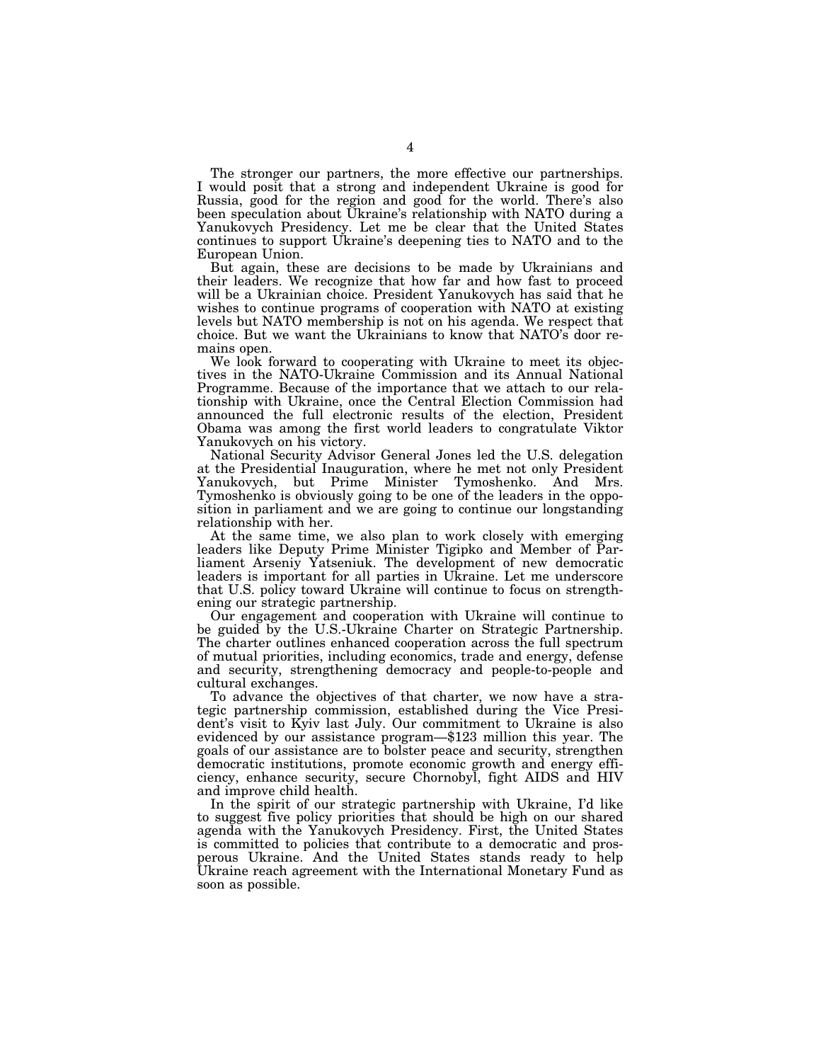The stronger our partners, the more effective our partnerships. I would posit that a strong and independent Ukraine is good for Russia, good for the region and good for the world. There's also been speculation about Ukraine's relationship with NATO during a Yanukovych Presidency. Let me be clear that the United States continues to support Ukraine's deepening ties to NATO and to the European Union.

But again, these are decisions to be made by Ukrainians and their leaders. We recognize that how far and how fast to proceed will be a Ukrainian choice. President Yanukovych has said that he wishes to continue programs of cooperation with NATO at existing levels but NATO membership is not on his agenda. We respect that choice. But we want the Ukrainians to know that NATO's door remains open.

We look forward to cooperating with Ukraine to meet its objectives in the NATO-Ukraine Commission and its Annual National Programme. Because of the importance that we attach to our relationship with Ukraine, once the Central Election Commission had announced the full electronic results of the election, President Obama was among the first world leaders to congratulate Viktor Yanukovych on his victory.

National Security Advisor General Jones led the U.S. delegation at the Presidential Inauguration, where he met not only President Yanukovych, but Prime Minister Tymoshenko. And Mrs. Tymoshenko is obviously going to be one of the leaders in the opposition in parliament and we are going to continue our longstanding relationship with her.

At the same time, we also plan to work closely with emerging leaders like Deputy Prime Minister Tigipko and Member of Parliament Arseniy Yatseniuk. The development of new democratic leaders is important for all parties in Ukraine. Let me underscore that U.S. policy toward Ukraine will continue to focus on strengthening our strategic partnership.

Our engagement and cooperation with Ukraine will continue to be guided by the U.S.-Ukraine Charter on Strategic Partnership. The charter outlines enhanced cooperation across the full spectrum of mutual priorities, including economics, trade and energy, defense and security, strengthening democracy and people-to-people and cultural exchanges.

To advance the objectives of that charter, we now have a strategic partnership commission, established during the Vice President's visit to Kyiv last July. Our commitment to Ukraine is also evidenced by our assistance program—\$123 million this year. The goals of our assistance are to bolster peace and security, strengthen democratic institutions, promote economic growth and energy efficiency, enhance security, secure Chornobyl, fight AIDS and HIV and improve child health.

In the spirit of our strategic partnership with Ukraine, I'd like to suggest five policy priorities that should be high on our shared agenda with the Yanukovych Presidency. First, the United States is committed to policies that contribute to a democratic and prosperous Ukraine. And the United States stands ready to help Ukraine reach agreement with the International Monetary Fund as soon as possible.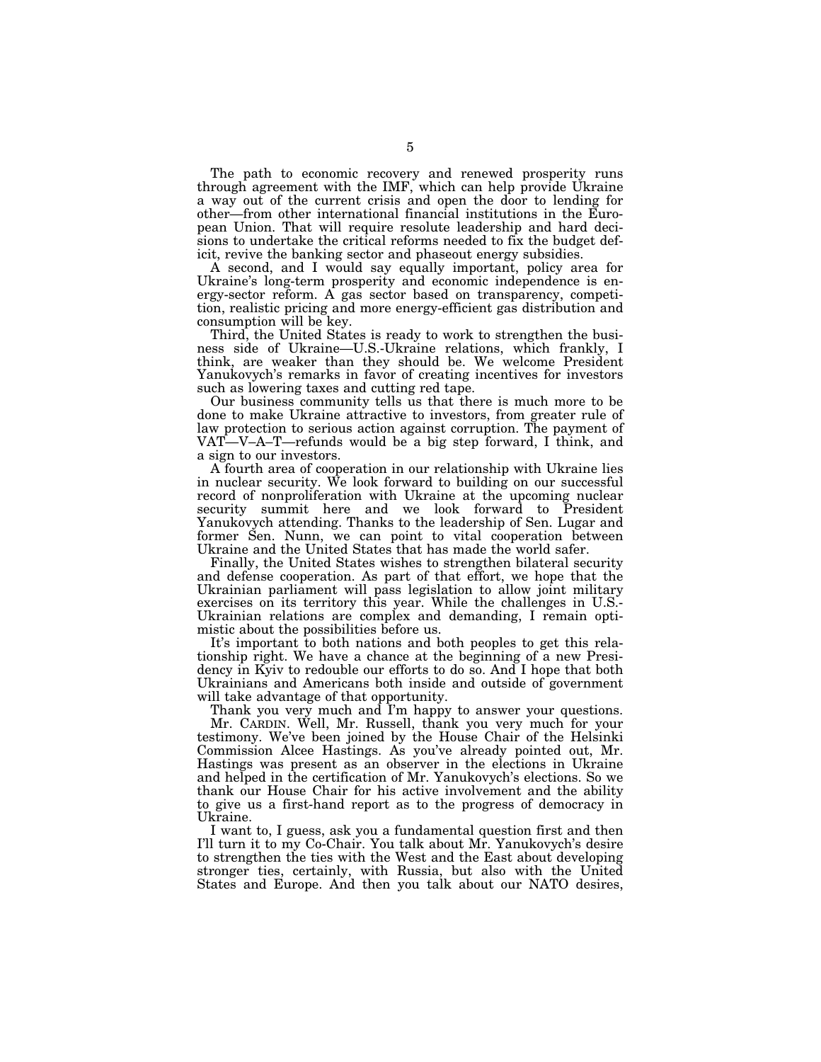The path to economic recovery and renewed prosperity runs through agreement with the IMF, which can help provide Ukraine a way out of the current crisis and open the door to lending for other—from other international financial institutions in the European Union. That will require resolute leadership and hard decisions to undertake the critical reforms needed to fix the budget deficit, revive the banking sector and phaseout energy subsidies.

A second, and I would say equally important, policy area for Ukraine's long-term prosperity and economic independence is energy-sector reform. A gas sector based on transparency, competition, realistic pricing and more energy-efficient gas distribution and consumption will be key.

Third, the United States is ready to work to strengthen the business side of Ukraine—U.S.-Ukraine relations, which frankly, I think, are weaker than they should be. We welcome President Yanukovych's remarks in favor of creating incentives for investors such as lowering taxes and cutting red tape.

Our business community tells us that there is much more to be done to make Ukraine attractive to investors, from greater rule of law protection to serious action against corruption. The payment of VAT—V–A–T—refunds would be a big step forward, I think, and a sign to our investors.

A fourth area of cooperation in our relationship with Ukraine lies in nuclear security. We look forward to building on our successful record of nonproliferation with Ukraine at the upcoming nuclear security summit here and we look forward to President Yanukovych attending. Thanks to the leadership of Sen. Lugar and former Sen. Nunn, we can point to vital cooperation between Ukraine and the United States that has made the world safer.

Finally, the United States wishes to strengthen bilateral security and defense cooperation. As part of that effort, we hope that the Ukrainian parliament will pass legislation to allow joint military exercises on its territory this year. While the challenges in U.S.- Ukrainian relations are complex and demanding, I remain optimistic about the possibilities before us.

It's important to both nations and both peoples to get this relationship right. We have a chance at the beginning of a new Presidency in Kyiv to redouble our efforts to do so. And I hope that both Ukrainians and Americans both inside and outside of government will take advantage of that opportunity.

Thank you very much and I'm happy to answer your questions. Mr. CARDIN. Well, Mr. Russell, thank you very much for your testimony. We've been joined by the House Chair of the Helsinki Commission Alcee Hastings. As you've already pointed out, Mr. Hastings was present as an observer in the elections in Ukraine and helped in the certification of Mr. Yanukovych's elections. So we thank our House Chair for his active involvement and the ability to give us a first-hand report as to the progress of democracy in Ukraine.

I want to, I guess, ask you a fundamental question first and then I'll turn it to my Co-Chair. You talk about Mr. Yanukovych's desire to strengthen the ties with the West and the East about developing stronger ties, certainly, with Russia, but also with the United States and Europe. And then you talk about our NATO desires,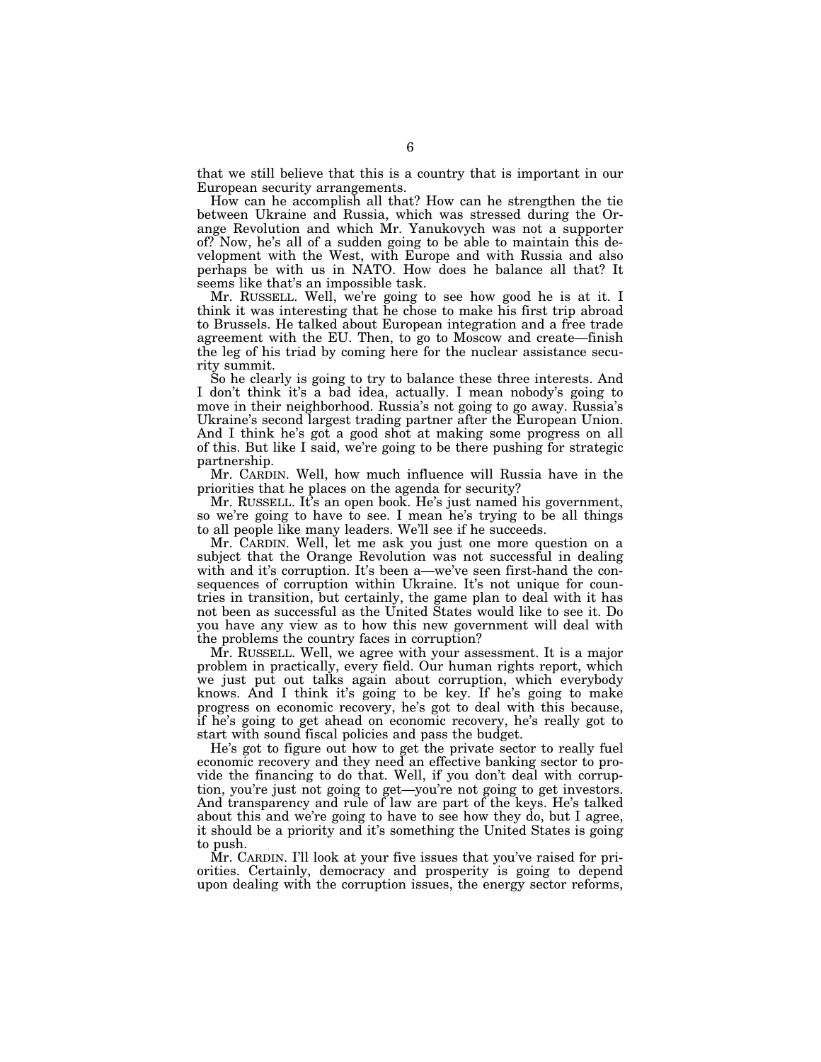that we still believe that this is a country that is important in our European security arrangements.

How can he accomplish all that? How can he strengthen the tie between Ukraine and Russia, which was stressed during the Orange Revolution and which Mr. Yanukovych was not a supporter of? Now, he's all of a sudden going to be able to maintain this development with the West, with Europe and with Russia and also perhaps be with us in NATO. How does he balance all that? It seems like that's an impossible task.

Mr. RUSSELL. Well, we're going to see how good he is at it. I think it was interesting that he chose to make his first trip abroad to Brussels. He talked about European integration and a free trade agreement with the EU. Then, to go to Moscow and create—finish the leg of his triad by coming here for the nuclear assistance security summit.

So he clearly is going to try to balance these three interests. And I don't think it's a bad idea, actually. I mean nobody's going to move in their neighborhood. Russia's not going to go away. Russia's Ukraine's second largest trading partner after the European Union. And I think he's got a good shot at making some progress on all of this. But like I said, we're going to be there pushing for strategic partnership.

Mr. CARDIN. Well, how much influence will Russia have in the priorities that he places on the agenda for security?

Mr. RUSSELL. It's an open book. He's just named his government, so we're going to have to see. I mean he's trying to be all things to all people like many leaders. We'll see if he succeeds.

Mr. CARDIN. Well, let me ask you just one more question on a subject that the Orange Revolution was not successful in dealing with and it's corruption. It's been a—we've seen first-hand the consequences of corruption within Ukraine. It's not unique for countries in transition, but certainly, the game plan to deal with it has not been as successful as the United States would like to see it. Do you have any view as to how this new government will deal with the problems the country faces in corruption?

Mr. RUSSELL. Well, we agree with your assessment. It is a major problem in practically, every field. Our human rights report, which we just put out talks again about corruption, which everybody knows. And I think it's going to be key. If he's going to make progress on economic recovery, he's got to deal with this because, if he's going to get ahead on economic recovery, he's really got to start with sound fiscal policies and pass the budget.

He's got to figure out how to get the private sector to really fuel economic recovery and they need an effective banking sector to provide the financing to do that. Well, if you don't deal with corruption, you're just not going to get—you're not going to get investors. And transparency and rule of law are part of the keys. He's talked about this and we're going to have to see how they do, but I agree, it should be a priority and it's something the United States is going to push.

Mr. CARDIN. I'll look at your five issues that you've raised for priorities. Certainly, democracy and prosperity is going to depend upon dealing with the corruption issues, the energy sector reforms,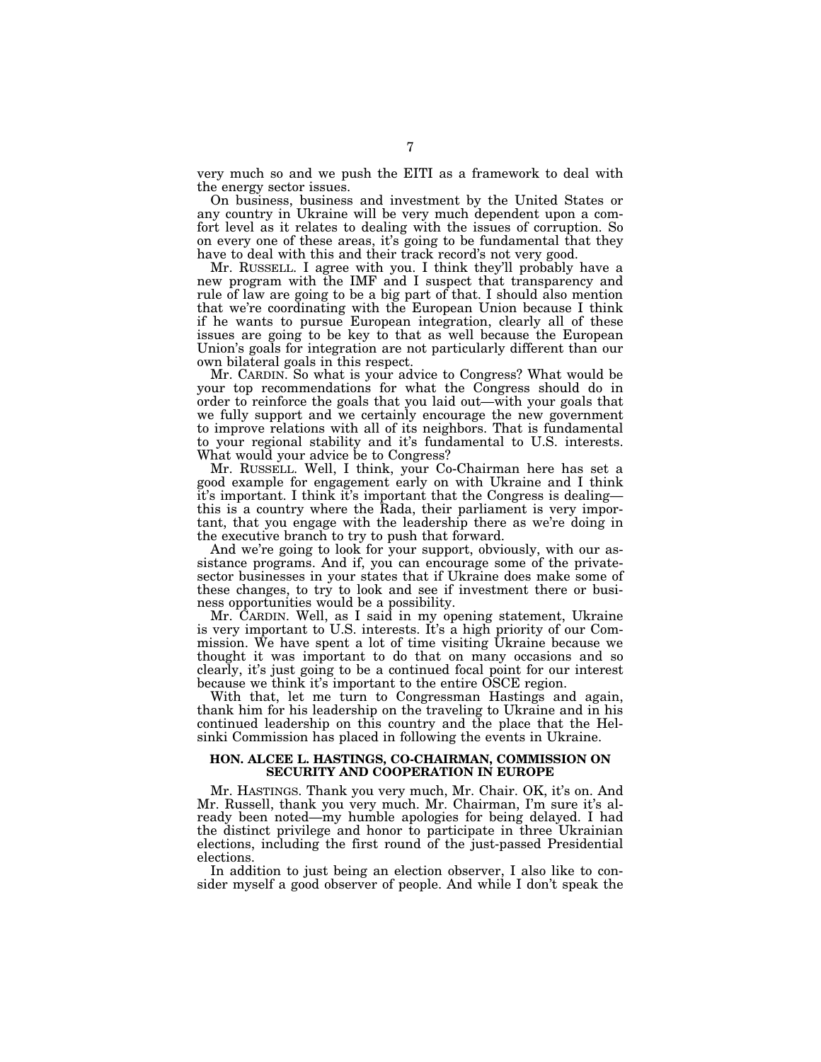very much so and we push the EITI as a framework to deal with the energy sector issues.

On business, business and investment by the United States or any country in Ukraine will be very much dependent upon a comfort level as it relates to dealing with the issues of corruption. So on every one of these areas, it's going to be fundamental that they have to deal with this and their track record's not very good.

Mr. RUSSELL. I agree with you. I think they'll probably have a new program with the IMF and I suspect that transparency and rule of law are going to be a big part of that. I should also mention that we're coordinating with the European Union because I think if he wants to pursue European integration, clearly all of these issues are going to be key to that as well because the European Union's goals for integration are not particularly different than our own bilateral goals in this respect.

Mr. CARDIN. So what is your advice to Congress? What would be your top recommendations for what the Congress should do in order to reinforce the goals that you laid out—with your goals that we fully support and we certainly encourage the new government to improve relations with all of its neighbors. That is fundamental to your regional stability and it's fundamental to U.S. interests. What would your advice be to Congress?

Mr. RUSSELL. Well, I think, your Co-Chairman here has set a good example for engagement early on with Ukraine and I think it's important. I think it's important that the Congress is dealing this is a country where the Rada, their parliament is very important, that you engage with the leadership there as we're doing in the executive branch to try to push that forward.

And we're going to look for your support, obviously, with our assistance programs. And if, you can encourage some of the privatesector businesses in your states that if Ukraine does make some of these changes, to try to look and see if investment there or business opportunities would be a possibility.

Mr. CARDIN. Well, as I said in my opening statement, Ukraine is very important to U.S. interests. It's a high priority of our Commission. We have spent a lot of time visiting Ukraine because we thought it was important to do that on many occasions and so clearly, it's just going to be a continued focal point for our interest because we think it's important to the entire OSCE region.

With that, let me turn to Congressman Hastings and again, thank him for his leadership on the traveling to Ukraine and in his continued leadership on this country and the place that the Helsinki Commission has placed in following the events in Ukraine.

#### **HON. ALCEE L. HASTINGS, CO-CHAIRMAN, COMMISSION ON SECURITY AND COOPERATION IN EUROPE**

Mr. HASTINGS. Thank you very much, Mr. Chair. OK, it's on. And Mr. Russell, thank you very much. Mr. Chairman, I'm sure it's already been noted—my humble apologies for being delayed. I had the distinct privilege and honor to participate in three Ukrainian elections, including the first round of the just-passed Presidential elections.

In addition to just being an election observer, I also like to consider myself a good observer of people. And while I don't speak the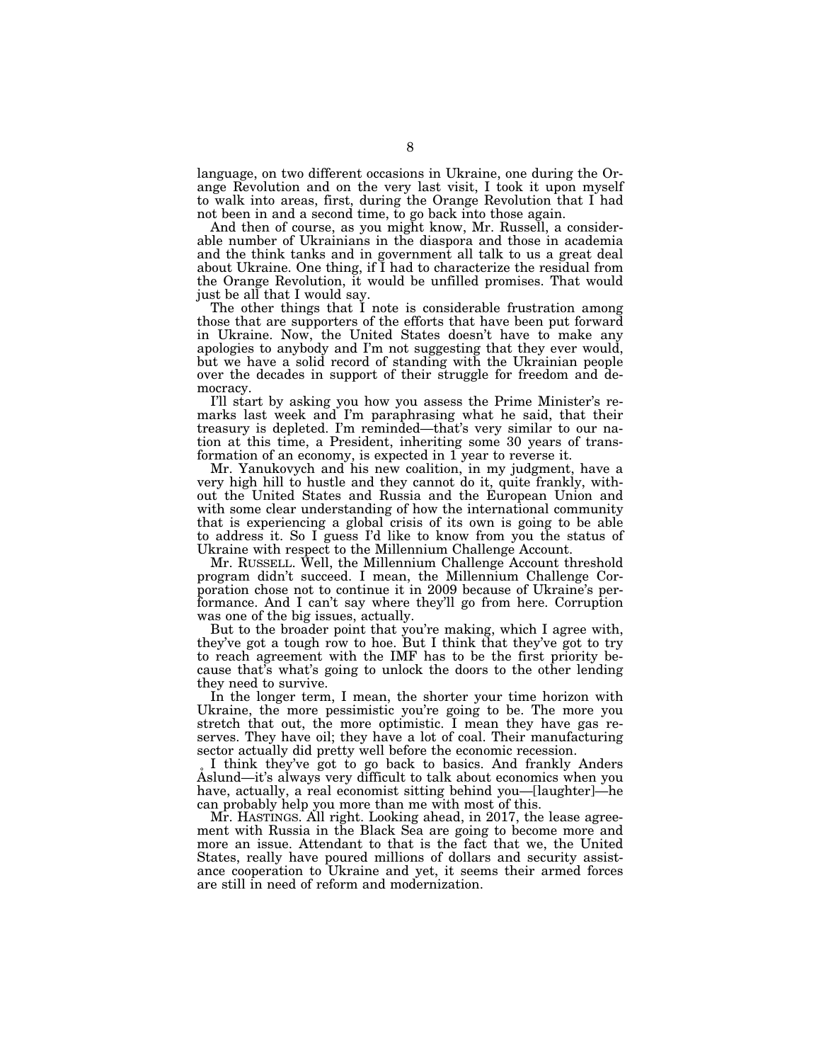language, on two different occasions in Ukraine, one during the Orange Revolution and on the very last visit, I took it upon myself to walk into areas, first, during the Orange Revolution that I had not been in and a second time, to go back into those again.

And then of course, as you might know, Mr. Russell, a considerable number of Ukrainians in the diaspora and those in academia and the think tanks and in government all talk to us a great deal about Ukraine. One thing, if I had to characterize the residual from the Orange Revolution, it would be unfilled promises. That would just be all that I would say.

The other things that I note is considerable frustration among those that are supporters of the efforts that have been put forward in Ukraine. Now, the United States doesn't have to make any apologies to anybody and I'm not suggesting that they ever would, but we have a solid record of standing with the Ukrainian people over the decades in support of their struggle for freedom and democracy.

I'll start by asking you how you assess the Prime Minister's remarks last week and I'm paraphrasing what he said, that their treasury is depleted. I'm reminded—that's very similar to our nation at this time, a President, inheriting some 30 years of transformation of an economy, is expected in 1 year to reverse it.

Mr. Yanukovych and his new coalition, in my judgment, have a very high hill to hustle and they cannot do it, quite frankly, without the United States and Russia and the European Union and with some clear understanding of how the international community that is experiencing a global crisis of its own is going to be able to address it. So I guess I'd like to know from you the status of Ukraine with respect to the Millennium Challenge Account.

Mr. RUSSELL. Well, the Millennium Challenge Account threshold program didn't succeed. I mean, the Millennium Challenge Corporation chose not to continue it in 2009 because of Ukraine's performance. And I can't say where they'll go from here. Corruption was one of the big issues, actually.

But to the broader point that you're making, which I agree with, they've got a tough row to hoe. But I think that they've got to try to reach agreement with the IMF has to be the first priority because that's what's going to unlock the doors to the other lending they need to survive.

In the longer term, I mean, the shorter your time horizon with Ukraine, the more pessimistic you're going to be. The more you stretch that out, the more optimistic. I mean they have gas reserves. They have oil; they have a lot of coal. Their manufacturing sector actually did pretty well before the economic recession.

I think they've got to go back to basics. And frankly Anders Aslund—it's always very difficult to talk about economics when you have, actually, a real economist sitting behind you—[laughter]—he can probably help you more than me with most of this.

Mr. HASTINGS. All right. Looking ahead, in 2017, the lease agreement with Russia in the Black Sea are going to become more and more an issue. Attendant to that is the fact that we, the United States, really have poured millions of dollars and security assistance cooperation to Ukraine and yet, it seems their armed forces are still in need of reform and modernization.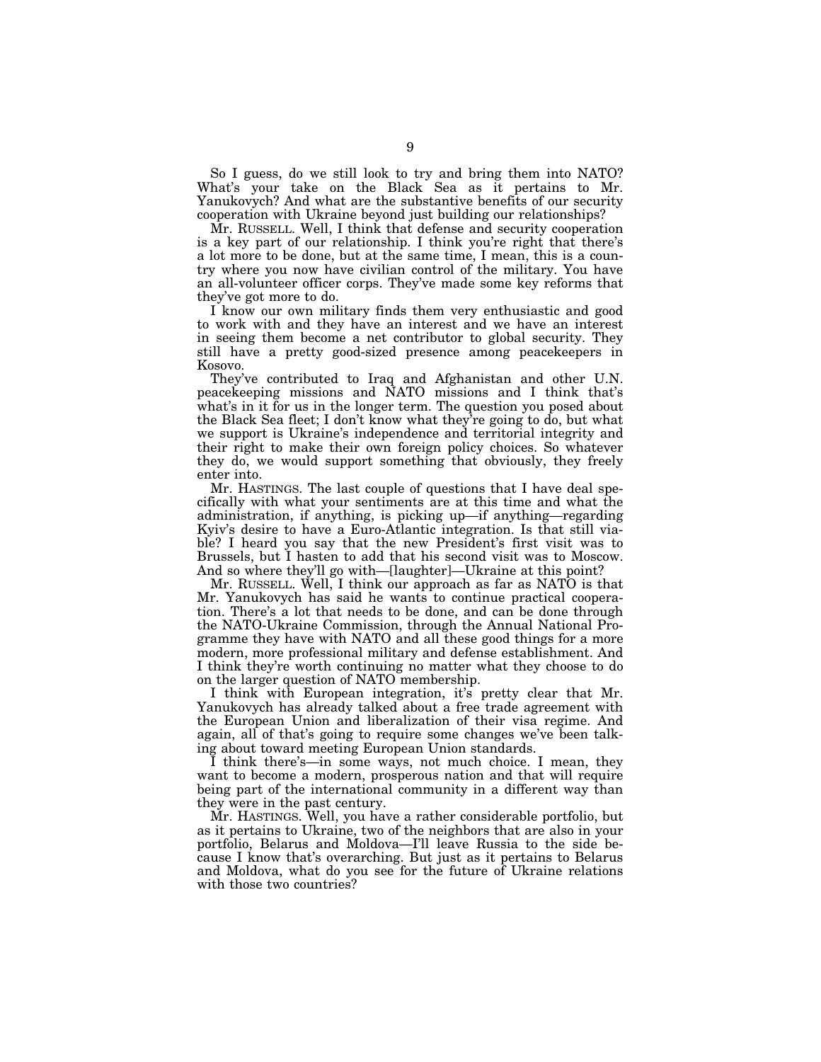So I guess, do we still look to try and bring them into NATO? What's your take on the Black Sea as it pertains to Mr. Yanukovych? And what are the substantive benefits of our security cooperation with Ukraine beyond just building our relationships?

Mr. RUSSELL. Well, I think that defense and security cooperation is a key part of our relationship. I think you're right that there's a lot more to be done, but at the same time, I mean, this is a country where you now have civilian control of the military. You have an all-volunteer officer corps. They've made some key reforms that they've got more to do.

I know our own military finds them very enthusiastic and good to work with and they have an interest and we have an interest in seeing them become a net contributor to global security. They still have a pretty good-sized presence among peacekeepers in Kosovo.

They've contributed to Iraq and Afghanistan and other U.N. peacekeeping missions and NATO missions and I think that's what's in it for us in the longer term. The question you posed about the Black Sea fleet; I don't know what they're going to do, but what we support is Ukraine's independence and territorial integrity and their right to make their own foreign policy choices. So whatever they do, we would support something that obviously, they freely enter into.

Mr. HASTINGS. The last couple of questions that I have deal specifically with what your sentiments are at this time and what the administration, if anything, is picking up—if anything—regarding Kyiv's desire to have a Euro-Atlantic integration. Is that still viable? I heard you say that the new President's first visit was to Brussels, but I hasten to add that his second visit was to Moscow. And so where they'll go with—[laughter]—Ukraine at this point?

Mr. RUSSELL. Well, I think our approach as far as NATO is that Mr. Yanukovych has said he wants to continue practical cooperation. There's a lot that needs to be done, and can be done through the NATO-Ukraine Commission, through the Annual National Programme they have with NATO and all these good things for a more modern, more professional military and defense establishment. And I think they're worth continuing no matter what they choose to do on the larger question of NATO membership.

I think with European integration, it's pretty clear that Mr. Yanukovych has already talked about a free trade agreement with the European Union and liberalization of their visa regime. And again, all of that's going to require some changes we've been talking about toward meeting European Union standards.

I think there's—in some ways, not much choice. I mean, they want to become a modern, prosperous nation and that will require being part of the international community in a different way than they were in the past century.

Mr. HASTINGS. Well, you have a rather considerable portfolio, but as it pertains to Ukraine, two of the neighbors that are also in your portfolio, Belarus and Moldova—I'll leave Russia to the side because I know that's overarching. But just as it pertains to Belarus and Moldova, what do you see for the future of Ukraine relations with those two countries?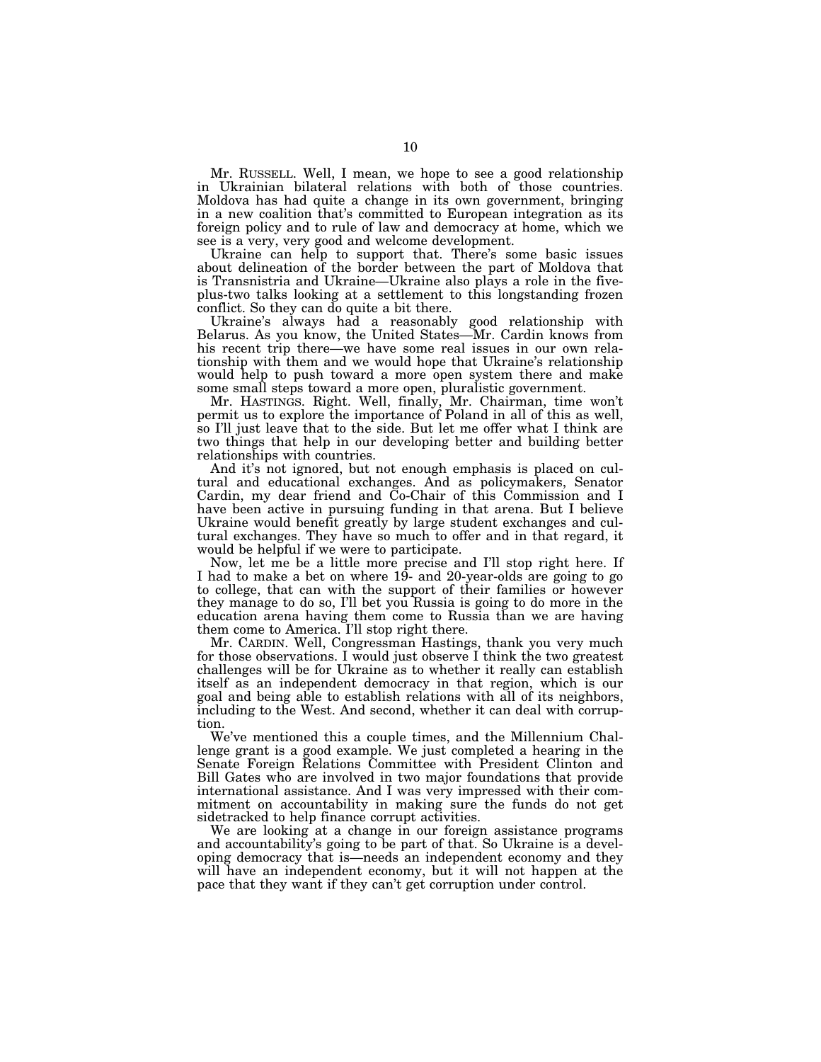Mr. RUSSELL. Well, I mean, we hope to see a good relationship in Ukrainian bilateral relations with both of those countries. Moldova has had quite a change in its own government, bringing in a new coalition that's committed to European integration as its foreign policy and to rule of law and democracy at home, which we see is a very, very good and welcome development.

Ukraine can help to support that. There's some basic issues about delineation of the border between the part of Moldova that is Transnistria and Ukraine—Ukraine also plays a role in the fiveplus-two talks looking at a settlement to this longstanding frozen conflict. So they can do quite a bit there.

Ukraine's always had a reasonably good relationship with Belarus. As you know, the United States—Mr. Cardin knows from his recent trip there—we have some real issues in our own relationship with them and we would hope that Ukraine's relationship would help to push toward a more open system there and make some small steps toward a more open, pluralistic government.

Mr. HASTINGS. Right. Well, finally, Mr. Chairman, time won't permit us to explore the importance of Poland in all of this as well, so I'll just leave that to the side. But let me offer what I think are two things that help in our developing better and building better relationships with countries.

And it's not ignored, but not enough emphasis is placed on cultural and educational exchanges. And as policymakers, Senator Cardin, my dear friend and Co-Chair of this Commission and I have been active in pursuing funding in that arena. But I believe Ukraine would benefit greatly by large student exchanges and cultural exchanges. They have so much to offer and in that regard, it would be helpful if we were to participate.

Now, let me be a little more precise and I'll stop right here. If I had to make a bet on where 19- and 20-year-olds are going to go to college, that can with the support of their families or however they manage to do so, I'll bet you Russia is going to do more in the education arena having them come to Russia than we are having them come to America. I'll stop right there.

Mr. CARDIN. Well, Congressman Hastings, thank you very much for those observations. I would just observe I think the two greatest challenges will be for Ukraine as to whether it really can establish itself as an independent democracy in that region, which is our goal and being able to establish relations with all of its neighbors, including to the West. And second, whether it can deal with corruption.

We've mentioned this a couple times, and the Millennium Challenge grant is a good example. We just completed a hearing in the Senate Foreign Relations Committee with President Clinton and Bill Gates who are involved in two major foundations that provide international assistance. And I was very impressed with their commitment on accountability in making sure the funds do not get sidetracked to help finance corrupt activities.

We are looking at a change in our foreign assistance programs and accountability's going to be part of that. So Ukraine is a developing democracy that is—needs an independent economy and they will have an independent economy, but it will not happen at the pace that they want if they can't get corruption under control.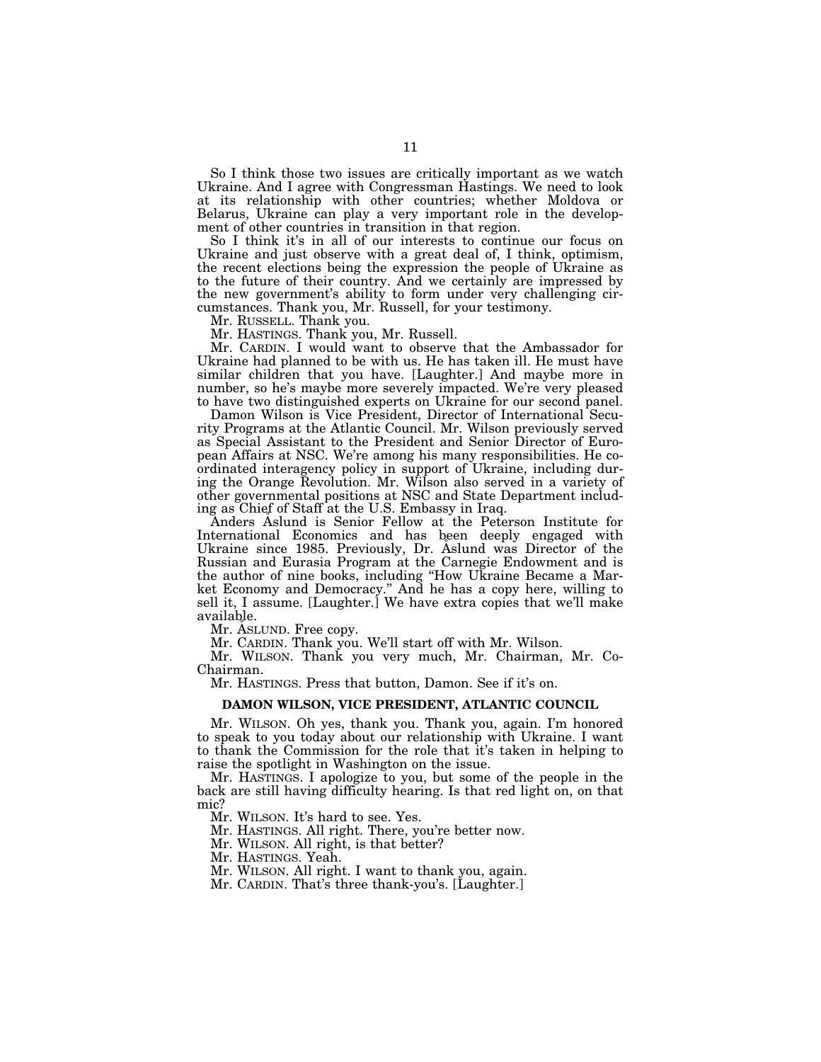So I think those two issues are critically important as we watch Ukraine. And I agree with Congressman Hastings. We need to look at its relationship with other countries; whether Moldova or Belarus, Ukraine can play a very important role in the development of other countries in transition in that region.

So I think it's in all of our interests to continue our focus on Ukraine and just observe with a great deal of, I think, optimism, the recent elections being the expression the people of Ukraine as to the future of their country. And we certainly are impressed by the new government's ability to form under very challenging circumstances. Thank you, Mr. Russell, for your testimony.

Mr. RUSSELL. Thank you.

Mr. HASTINGS. Thank you, Mr. Russell.

Mr. CARDIN. I would want to observe that the Ambassador for Ukraine had planned to be with us. He has taken ill. He must have similar children that you have. [Laughter.] And maybe more in number, so he's maybe more severely impacted. We're very pleased to have two distinguished experts on Ukraine for our second panel.

Damon Wilson is Vice President, Director of International Security Programs at the Atlantic Council. Mr. Wilson previously served as Special Assistant to the President and Senior Director of European Affairs at NSC. We're among his many responsibilities. He coordinated interagency policy in support of Ukraine, including during the Orange Revolution. Mr. Wilson also served in a variety of other governmental positions at NSC and State Department including as Chief of Staff at the U.S. Embassy in Iraq.

Anders Aslund is Senior Fellow at the Peterson Institute for International Economics and has been deeply engaged with Ukraine since 1985. Previously, Dr. Aslund was Director of the Russian and Eurasia Program at the Carnegie Endowment and is the author of nine books, including ''How Ukraine Became a Market Economy and Democracy.'' And he has a copy here, willing to sell it, I assume. [Laughter.] We have extra copies that we'll make available.

Mr. ASLUND. Free copy.

Mr. CARDIN. Thank you. We'll start off with Mr. Wilson.

Mr. WILSON. Thank you very much, Mr. Chairman, Mr. Co-Chairman.

Mr. HASTINGS. Press that button, Damon. See if it's on.

#### **DAMON WILSON, VICE PRESIDENT, ATLANTIC COUNCIL**

Mr. WILSON. Oh yes, thank you. Thank you, again. I'm honored to speak to you today about our relationship with Ukraine. I want to thank the Commission for the role that it's taken in helping to raise the spotlight in Washington on the issue.

Mr. HASTINGS. I apologize to you, but some of the people in the back are still having difficulty hearing. Is that red light on, on that mic?

Mr. WILSON. It's hard to see. Yes.

Mr. HASTINGS. All right. There, you're better now.

Mr. WILSON. All right, is that better?

Mr. HASTINGS. Yeah.

Mr. WILSON. All right. I want to thank you, again.

Mr. CARDIN. That's three thank-you's. [Laughter.]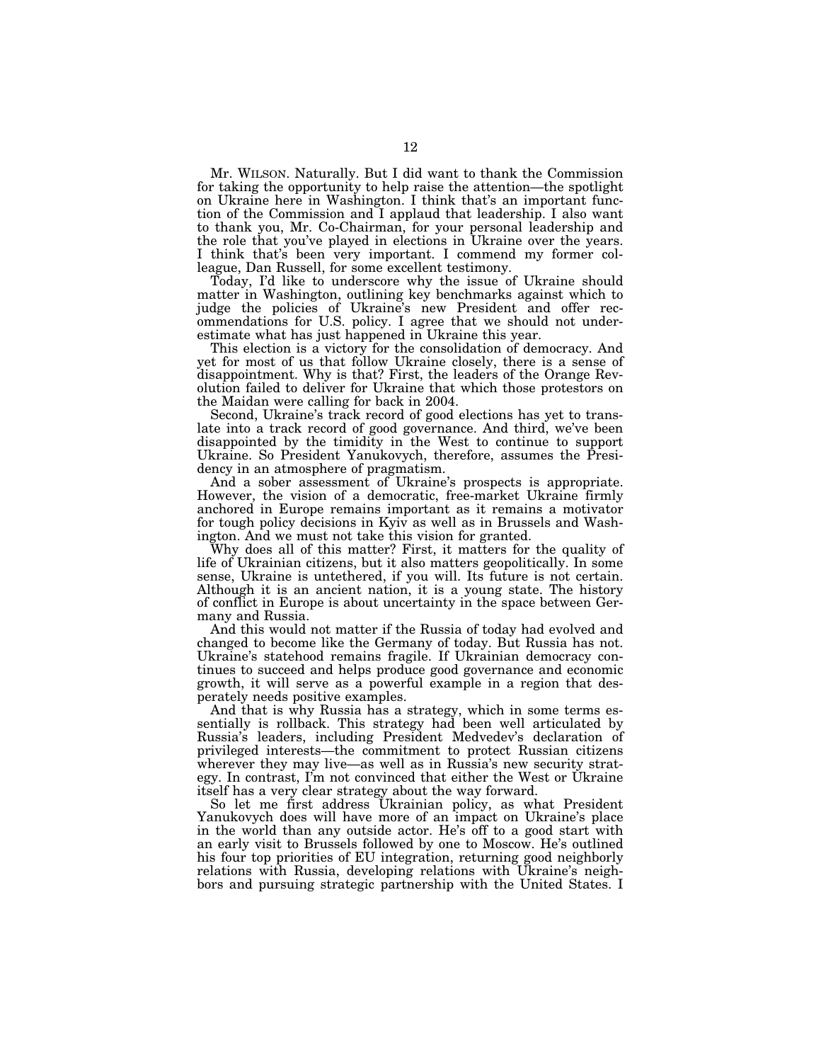Mr. WILSON. Naturally. But I did want to thank the Commission for taking the opportunity to help raise the attention—the spotlight on Ukraine here in Washington. I think that's an important function of the Commission and I applaud that leadership. I also want to thank you, Mr. Co-Chairman, for your personal leadership and the role that you've played in elections in Ukraine over the years. I think that's been very important. I commend my former colleague, Dan Russell, for some excellent testimony.

Today, I'd like to underscore why the issue of Ukraine should matter in Washington, outlining key benchmarks against which to judge the policies of Ukraine's new President and offer recommendations for U.S. policy. I agree that we should not underestimate what has just happened in Ukraine this year.

This election is a victory for the consolidation of democracy. And yet for most of us that follow Ukraine closely, there is a sense of disappointment. Why is that? First, the leaders of the Orange Revolution failed to deliver for Ukraine that which those protestors on the Maidan were calling for back in 2004.

Second, Ukraine's track record of good elections has yet to translate into a track record of good governance. And third, we've been disappointed by the timidity in the West to continue to support Ukraine. So President Yanukovych, therefore, assumes the Presidency in an atmosphere of pragmatism.

And a sober assessment of Ukraine's prospects is appropriate. However, the vision of a democratic, free-market Ukraine firmly anchored in Europe remains important as it remains a motivator for tough policy decisions in Kyiv as well as in Brussels and Washington. And we must not take this vision for granted.

Why does all of this matter? First, it matters for the quality of life of Ukrainian citizens, but it also matters geopolitically. In some sense, Ukraine is untethered, if you will. Its future is not certain. Although it is an ancient nation, it is a young state. The history of conflict in Europe is about uncertainty in the space between Germany and Russia.

And this would not matter if the Russia of today had evolved and changed to become like the Germany of today. But Russia has not. Ukraine's statehood remains fragile. If Ukrainian democracy continues to succeed and helps produce good governance and economic growth, it will serve as a powerful example in a region that desperately needs positive examples.

And that is why Russia has a strategy, which in some terms essentially is rollback. This strategy had been well articulated by Russia's leaders, including President Medvedev's declaration of privileged interests—the commitment to protect Russian citizens wherever they may live—as well as in Russia's new security strategy. In contrast, I'm not convinced that either the West or Ukraine itself has a very clear strategy about the way forward.

So let me first address Ukrainian policy, as what President Yanukovych does will have more of an impact on Ukraine's place in the world than any outside actor. He's off to a good start with an early visit to Brussels followed by one to Moscow. He's outlined his four top priorities of EU integration, returning good neighborly relations with Russia, developing relations with Ukraine's neighbors and pursuing strategic partnership with the United States. I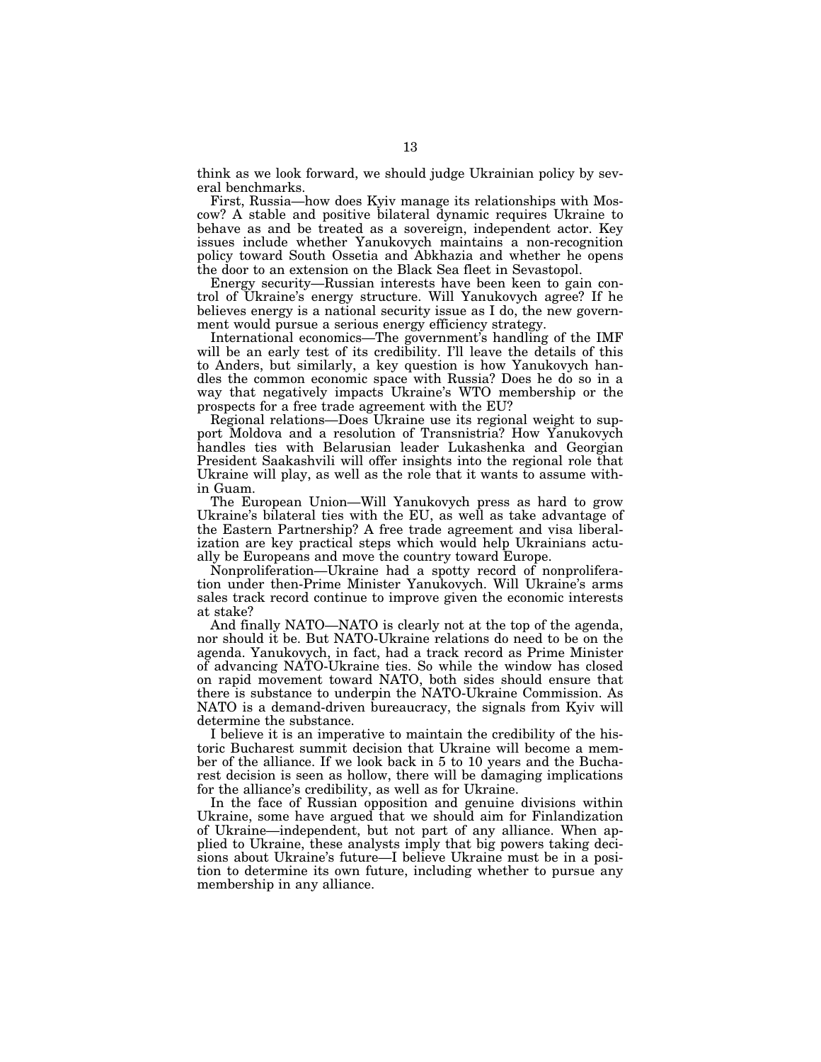think as we look forward, we should judge Ukrainian policy by several benchmarks.

First, Russia—how does Kyiv manage its relationships with Moscow? A stable and positive bilateral dynamic requires Ukraine to behave as and be treated as a sovereign, independent actor. Key issues include whether Yanukovych maintains a non-recognition policy toward South Ossetia and Abkhazia and whether he opens the door to an extension on the Black Sea fleet in Sevastopol.

Energy security—Russian interests have been keen to gain control of Ukraine's energy structure. Will Yanukovych agree? If he believes energy is a national security issue as I do, the new government would pursue a serious energy efficiency strategy.

International economics—The government's handling of the IMF will be an early test of its credibility. I'll leave the details of this to Anders, but similarly, a key question is how Yanukovych handles the common economic space with Russia? Does he do so in a way that negatively impacts Ukraine's WTO membership or the prospects for a free trade agreement with the EU?

Regional relations—Does Ukraine use its regional weight to support Moldova and a resolution of Transnistria? How Yanukovych handles ties with Belarusian leader Lukashenka and Georgian President Saakashvili will offer insights into the regional role that Ukraine will play, as well as the role that it wants to assume within Guam.

The European Union—Will Yanukovych press as hard to grow Ukraine's bilateral ties with the EU, as well as take advantage of the Eastern Partnership? A free trade agreement and visa liberalization are key practical steps which would help Ukrainians actually be Europeans and move the country toward Europe.

Nonproliferation—Ukraine had a spotty record of nonproliferation under then-Prime Minister Yanukovych. Will Ukraine's arms sales track record continue to improve given the economic interests at stake?

And finally NATO—NATO is clearly not at the top of the agenda, nor should it be. But NATO-Ukraine relations do need to be on the agenda. Yanukovych, in fact, had a track record as Prime Minister of advancing NATO-Ukraine ties. So while the window has closed on rapid movement toward NATO, both sides should ensure that there is substance to underpin the NATO-Ukraine Commission. As NATO is a demand-driven bureaucracy, the signals from Kyiv will determine the substance.

I believe it is an imperative to maintain the credibility of the historic Bucharest summit decision that Ukraine will become a member of the alliance. If we look back in 5 to 10 years and the Bucharest decision is seen as hollow, there will be damaging implications for the alliance's credibility, as well as for Ukraine.

In the face of Russian opposition and genuine divisions within Ukraine, some have argued that we should aim for Finlandization of Ukraine—independent, but not part of any alliance. When applied to Ukraine, these analysts imply that big powers taking decisions about Ukraine's future—I believe Ukraine must be in a position to determine its own future, including whether to pursue any membership in any alliance.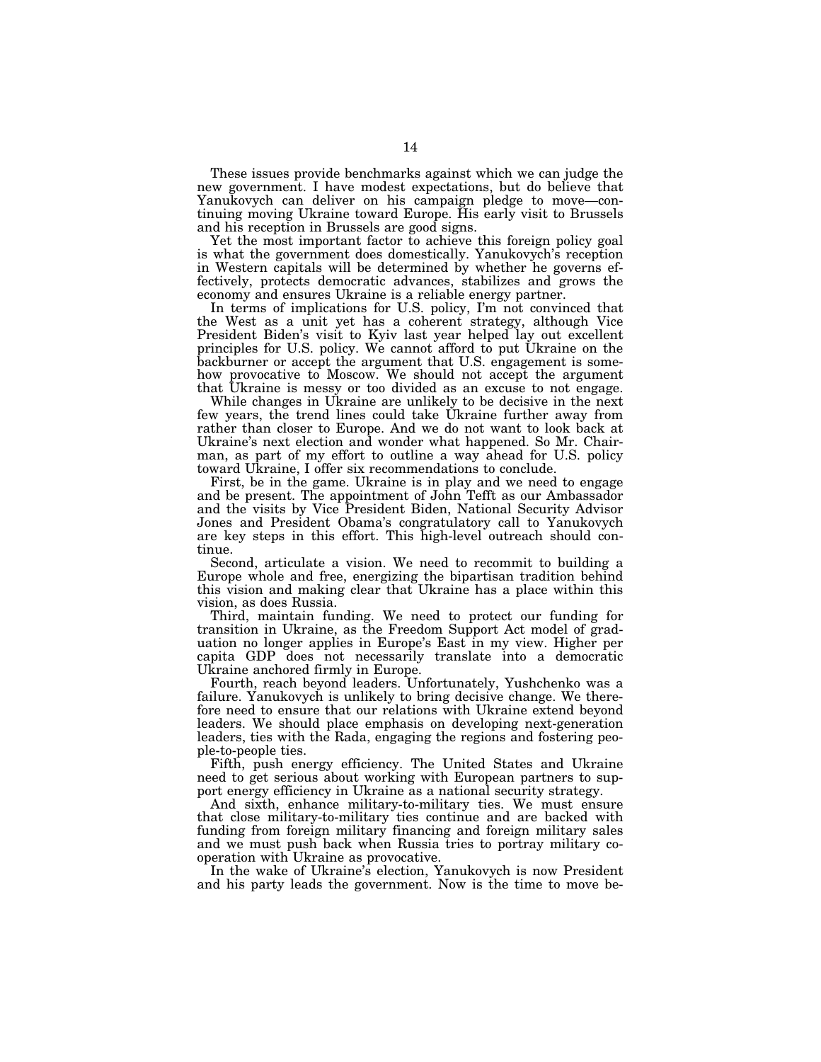These issues provide benchmarks against which we can judge the new government. I have modest expectations, but do believe that Yanukovych can deliver on his campaign pledge to move—continuing moving Ukraine toward Europe. His early visit to Brussels and his reception in Brussels are good signs.

Yet the most important factor to achieve this foreign policy goal is what the government does domestically. Yanukovych's reception in Western capitals will be determined by whether he governs effectively, protects democratic advances, stabilizes and grows the economy and ensures Ukraine is a reliable energy partner.

In terms of implications for U.S. policy, I'm not convinced that the West as a unit yet has a coherent strategy, although Vice President Biden's visit to Kyiv last year helped lay out excellent principles for U.S. policy. We cannot afford to put Ukraine on the backburner or accept the argument that U.S. engagement is somehow provocative to Moscow. We should not accept the argument that Ukraine is messy or too divided as an excuse to not engage.

While changes in Ukraine are unlikely to be decisive in the next few years, the trend lines could take Ukraine further away from rather than closer to Europe. And we do not want to look back at Ukraine's next election and wonder what happened. So Mr. Chairman, as part of my effort to outline a way ahead for U.S. policy toward Ukraine, I offer six recommendations to conclude.

First, be in the game. Ukraine is in play and we need to engage and be present. The appointment of John Tefft as our Ambassador and the visits by Vice President Biden, National Security Advisor Jones and President Obama's congratulatory call to Yanukovych are key steps in this effort. This high-level outreach should continue.

Second, articulate a vision. We need to recommit to building a Europe whole and free, energizing the bipartisan tradition behind this vision and making clear that Ukraine has a place within this vision, as does Russia.

Third, maintain funding. We need to protect our funding for transition in Ukraine, as the Freedom Support Act model of graduation no longer applies in Europe's East in my view. Higher per capita GDP does not necessarily translate into a democratic Ukraine anchored firmly in Europe.

Fourth, reach beyond leaders. Unfortunately, Yushchenko was a failure. Yanukovych is unlikely to bring decisive change. We therefore need to ensure that our relations with Ukraine extend beyond leaders. We should place emphasis on developing next-generation leaders, ties with the Rada, engaging the regions and fostering people-to-people ties.

Fifth, push energy efficiency. The United States and Ukraine need to get serious about working with European partners to support energy efficiency in Ukraine as a national security strategy.

And sixth, enhance military-to-military ties. We must ensure that close military-to-military ties continue and are backed with funding from foreign military financing and foreign military sales and we must push back when Russia tries to portray military cooperation with Ukraine as provocative.

In the wake of Ukraine's election, Yanukovych is now President and his party leads the government. Now is the time to move be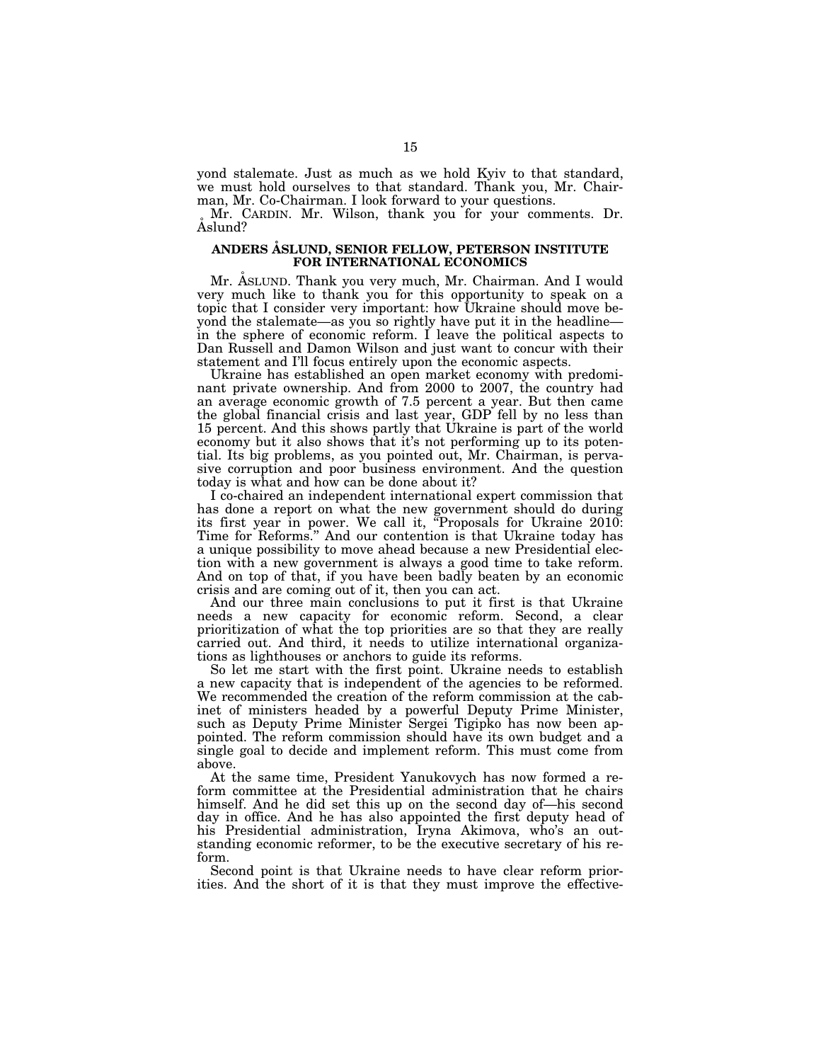yond stalemate. Just as much as we hold Kyiv to that standard, we must hold ourselves to that standard. Thank you, Mr. Chairman, Mr. Co-Chairman. I look forward to your questions.

Mr. CARDIN. Mr. Wilson, thank you for your comments. Dr. Aslund?

#### **ANDERS A˚ SLUND, SENIOR FELLOW, PETERSON INSTITUTE FOR INTERNATIONAL ECONOMICS**

Mr. ASLUND. Thank you very much, Mr. Chairman. And I would very much like to thank you for this opportunity to speak on a topic that I consider very important: how Ukraine should move beyond the stalemate—as you so rightly have put it in the headline in the sphere of economic reform. I leave the political aspects to Dan Russell and Damon Wilson and just want to concur with their statement and I'll focus entirely upon the economic aspects.

Ukraine has established an open market economy with predominant private ownership. And from 2000 to 2007, the country had an average economic growth of 7.5 percent a year. But then came the global financial crisis and last year, GDP fell by no less than 15 percent. And this shows partly that Ukraine is part of the world economy but it also shows that it's not performing up to its potential. Its big problems, as you pointed out, Mr. Chairman, is pervasive corruption and poor business environment. And the question today is what and how can be done about it?

I co-chaired an independent international expert commission that has done a report on what the new government should do during its first year in power. We call it, ''Proposals for Ukraine 2010: Time for Reforms.'' And our contention is that Ukraine today has a unique possibility to move ahead because a new Presidential election with a new government is always a good time to take reform. And on top of that, if you have been badly beaten by an economic crisis and are coming out of it, then you can act.

And our three main conclusions to put it first is that Ukraine needs a new capacity for economic reform. Second, a clear prioritization of what the top priorities are so that they are really carried out. And third, it needs to utilize international organizations as lighthouses or anchors to guide its reforms.

So let me start with the first point. Ukraine needs to establish a new capacity that is independent of the agencies to be reformed. We recommended the creation of the reform commission at the cabinet of ministers headed by a powerful Deputy Prime Minister, such as Deputy Prime Minister Sergei Tigipko has now been appointed. The reform commission should have its own budget and a single goal to decide and implement reform. This must come from above.

At the same time, President Yanukovych has now formed a reform committee at the Presidential administration that he chairs himself. And he did set this up on the second day of—his second day in office. And he has also appointed the first deputy head of his Presidential administration, Iryna Akimova, who's an outstanding economic reformer, to be the executive secretary of his reform.

Second point is that Ukraine needs to have clear reform priorities. And the short of it is that they must improve the effective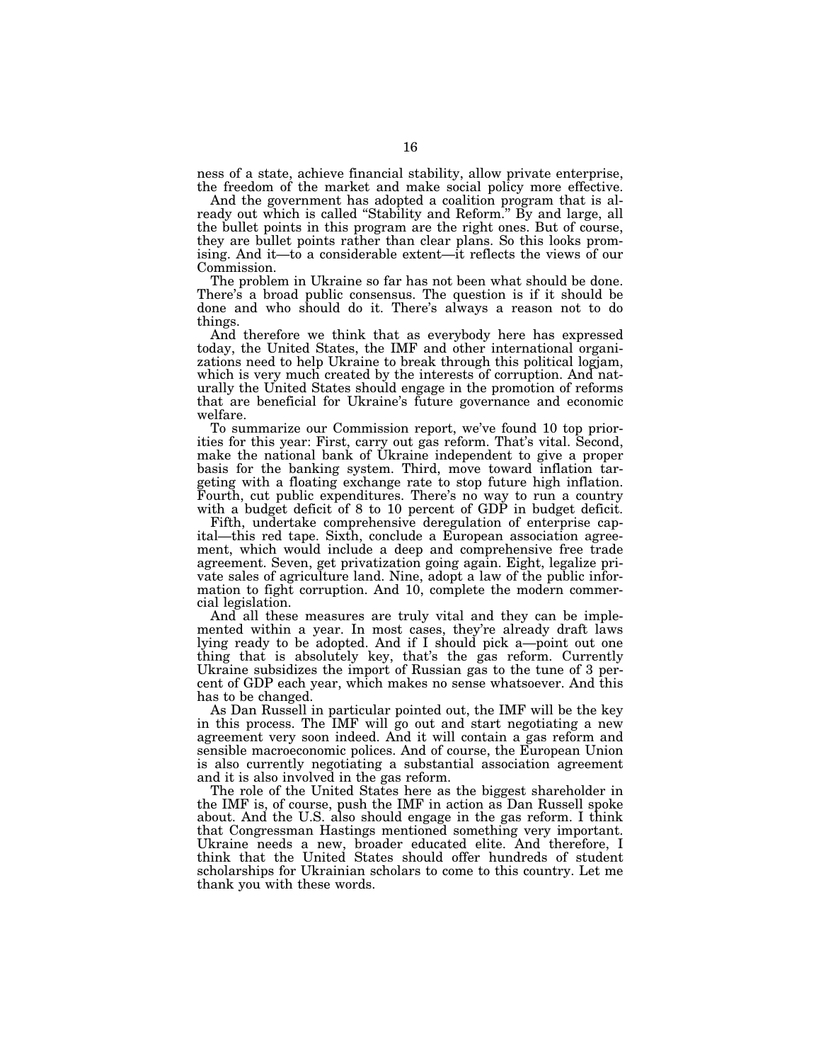ness of a state, achieve financial stability, allow private enterprise, the freedom of the market and make social policy more effective.

And the government has adopted a coalition program that is already out which is called "Stability and Reform." By and large, all the bullet points in this program are the right ones. But of course, they are bullet points rather than clear plans. So this looks promising. And it—to a considerable extent—it reflects the views of our Commission.

The problem in Ukraine so far has not been what should be done. There's a broad public consensus. The question is if it should be done and who should do it. There's always a reason not to do things.

And therefore we think that as everybody here has expressed today, the United States, the IMF and other international organizations need to help Ukraine to break through this political logjam, which is very much created by the interests of corruption. And naturally the United States should engage in the promotion of reforms that are beneficial for Ukraine's future governance and economic welfare.

To summarize our Commission report, we've found 10 top priorities for this year: First, carry out gas reform. That's vital. Second, make the national bank of Ukraine independent to give a proper basis for the banking system. Third, move toward inflation targeting with a floating exchange rate to stop future high inflation. Fourth, cut public expenditures. There's no way to run a country with a budget deficit of 8 to 10 percent of GDP in budget deficit.

Fifth, undertake comprehensive deregulation of enterprise capital—this red tape. Sixth, conclude a European association agreement, which would include a deep and comprehensive free trade agreement. Seven, get privatization going again. Eight, legalize private sales of agriculture land. Nine, adopt a law of the public information to fight corruption. And 10, complete the modern commercial legislation.

And all these measures are truly vital and they can be implemented within a year. In most cases, they're already draft laws lying ready to be adopted. And if I should pick a—point out one thing that is absolutely key, that's the gas reform. Currently Ukraine subsidizes the import of Russian gas to the tune of 3 percent of GDP each year, which makes no sense whatsoever. And this has to be changed.

As Dan Russell in particular pointed out, the IMF will be the key in this process. The IMF will go out and start negotiating a new agreement very soon indeed. And it will contain a gas reform and sensible macroeconomic polices. And of course, the European Union is also currently negotiating a substantial association agreement and it is also involved in the gas reform.

The role of the United States here as the biggest shareholder in the IMF is, of course, push the IMF in action as Dan Russell spoke about. And the U.S. also should engage in the gas reform. I think that Congressman Hastings mentioned something very important. Ukraine needs a new, broader educated elite. And therefore, I think that the United States should offer hundreds of student scholarships for Ukrainian scholars to come to this country. Let me thank you with these words.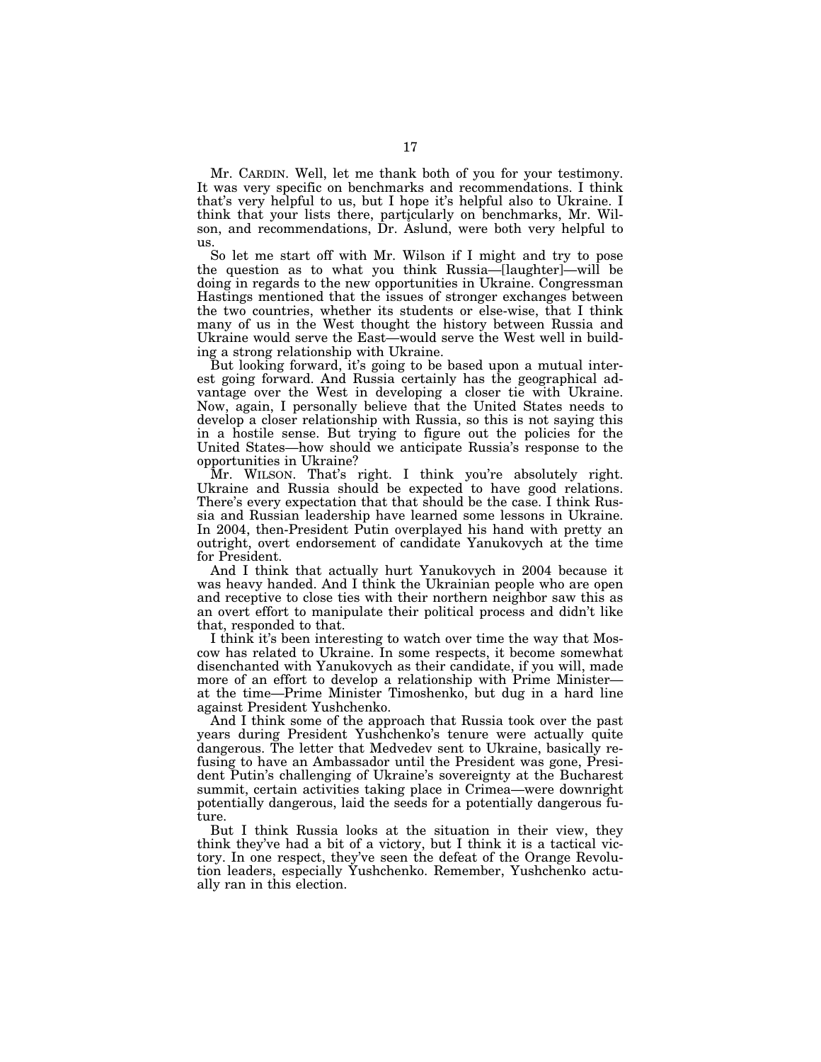Mr. CARDIN. Well, let me thank both of you for your testimony. It was very specific on benchmarks and recommendations. I think that's very helpful to us, but I hope it's helpful also to Ukraine. I think that your lists there, particularly on benchmarks, Mr. Wilson, and recommendations, Dr. Aslund, were both very helpful to us.

So let me start off with Mr. Wilson if I might and try to pose the question as to what you think Russia—[laughter]—will be doing in regards to the new opportunities in Ukraine. Congressman Hastings mentioned that the issues of stronger exchanges between the two countries, whether its students or else-wise, that I think many of us in the West thought the history between Russia and Ukraine would serve the East—would serve the West well in building a strong relationship with Ukraine.

But looking forward, it's going to be based upon a mutual interest going forward. And Russia certainly has the geographical advantage over the West in developing a closer tie with Ukraine. Now, again, I personally believe that the United States needs to develop a closer relationship with Russia, so this is not saying this in a hostile sense. But trying to figure out the policies for the United States—how should we anticipate Russia's response to the opportunities in Ukraine?

Mr. WILSON. That's right. I think you're absolutely right. Ukraine and Russia should be expected to have good relations. There's every expectation that that should be the case. I think Russia and Russian leadership have learned some lessons in Ukraine. In 2004, then-President Putin overplayed his hand with pretty an outright, overt endorsement of candidate Yanukovych at the time for President.

And I think that actually hurt Yanukovych in 2004 because it was heavy handed. And I think the Ukrainian people who are open and receptive to close ties with their northern neighbor saw this as an overt effort to manipulate their political process and didn't like that, responded to that.

I think it's been interesting to watch over time the way that Moscow has related to Ukraine. In some respects, it become somewhat disenchanted with Yanukovych as their candidate, if you will, made more of an effort to develop a relationship with Prime Minister at the time—Prime Minister Timoshenko, but dug in a hard line against President Yushchenko.

And I think some of the approach that Russia took over the past years during President Yushchenko's tenure were actually quite dangerous. The letter that Medvedev sent to Ukraine, basically refusing to have an Ambassador until the President was gone, President Putin's challenging of Ukraine's sovereignty at the Bucharest summit, certain activities taking place in Crimea—were downright potentially dangerous, laid the seeds for a potentially dangerous future.

But I think Russia looks at the situation in their view, they think they've had a bit of a victory, but I think it is a tactical victory. In one respect, they've seen the defeat of the Orange Revolution leaders, especially Yushchenko. Remember, Yushchenko actually ran in this election.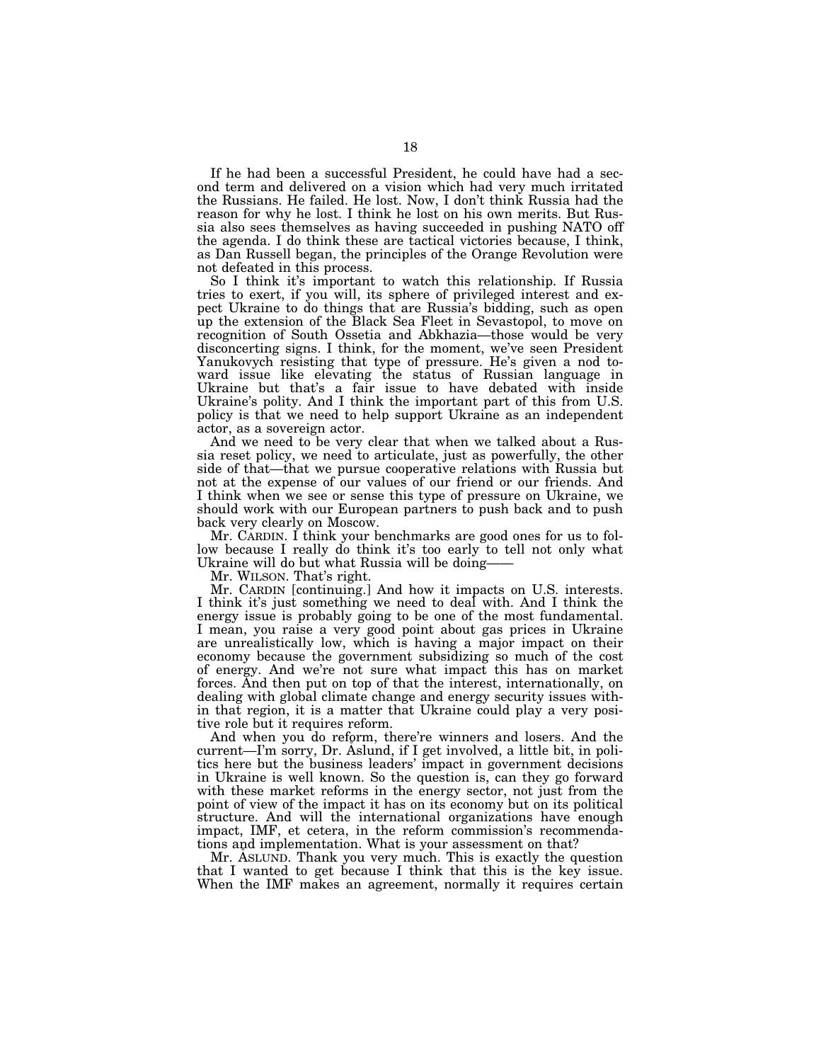If he had been a successful President, he could have had a second term and delivered on a vision which had very much irritated the Russians. He failed. He lost. Now, I don't think Russia had the reason for why he lost. I think he lost on his own merits. But Russia also sees themselves as having succeeded in pushing NATO off the agenda. I do think these are tactical victories because, I think, as Dan Russell began, the principles of the Orange Revolution were not defeated in this process.

So I think it's important to watch this relationship. If Russia tries to exert, if you will, its sphere of privileged interest and expect Ukraine to do things that are Russia's bidding, such as open up the extension of the Black Sea Fleet in Sevastopol, to move on recognition of South Ossetia and Abkhazia—those would be very disconcerting signs. I think, for the moment, we've seen President Yanukovych resisting that type of pressure. He's given a nod toward issue like elevating the status of Russian language in Ukraine but that's a fair issue to have debated with inside Ukraine's polity. And I think the important part of this from U.S. policy is that we need to help support Ukraine as an independent actor, as a sovereign actor.

And we need to be very clear that when we talked about a Russia reset policy, we need to articulate, just as powerfully, the other side of that—that we pursue cooperative relations with Russia but not at the expense of our values of our friend or our friends. And I think when we see or sense this type of pressure on Ukraine, we should work with our European partners to push back and to push back very clearly on Moscow.

Mr. CARDIN. I think your benchmarks are good ones for us to follow because I really do think it's too early to tell not only what Ukraine will do but what Russia will be doing——

Mr. WILSON. That's right.

Mr. CARDIN [continuing.] And how it impacts on U.S. interests. I think it's just something we need to deal with. And I think the energy issue is probably going to be one of the most fundamental. I mean, you raise a very good point about gas prices in Ukraine are unrealistically low, which is having a major impact on their economy because the government subsidizing so much of the cost of energy. And we're not sure what impact this has on market forces. And then put on top of that the interest, internationally, on dealing with global climate change and energy security issues within that region, it is a matter that Ukraine could play a very positive role but it requires reform.

And when you do reform, there're winners and losers. And the current—I'm sorry, Dr. Aslund, if I get involved, a little bit, in politics here but the business leaders' impact in government decisions in Ukraine is well known. So the question is, can they go forward with these market reforms in the energy sector, not just from the point of view of the impact it has on its economy but on its political structure. And will the international organizations have enough impact, IMF, et cetera, in the reform commission's recommendations and implementation. What is your assessment on that?

Mr. ASLUND. Thank you very much. This is exactly the question that I wanted to get because I think that this is the key issue. When the IMF makes an agreement, normally it requires certain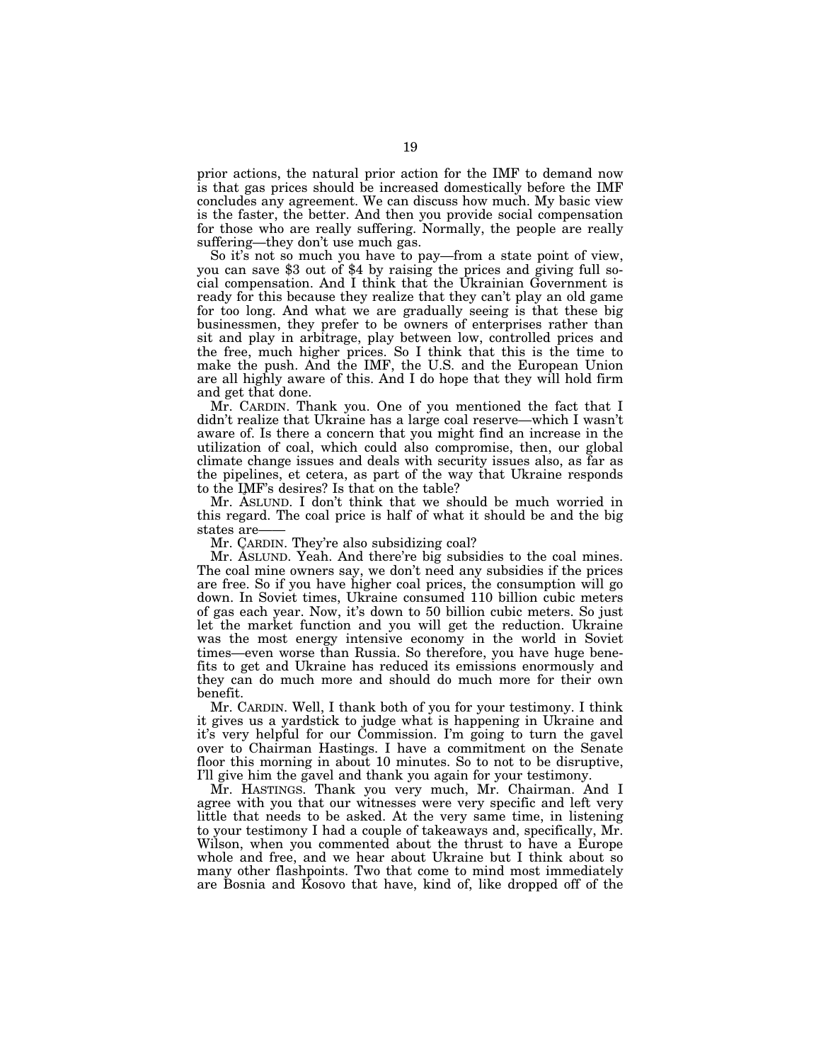prior actions, the natural prior action for the IMF to demand now is that gas prices should be increased domestically before the IMF concludes any agreement. We can discuss how much. My basic view is the faster, the better. And then you provide social compensation for those who are really suffering. Normally, the people are really suffering—they don't use much gas.

So it's not so much you have to pay—from a state point of view, you can save \$3 out of \$4 by raising the prices and giving full social compensation. And I think that the Ukrainian Government is ready for this because they realize that they can't play an old game for too long. And what we are gradually seeing is that these big businessmen, they prefer to be owners of enterprises rather than sit and play in arbitrage, play between low, controlled prices and the free, much higher prices. So I think that this is the time to make the push. And the IMF, the U.S. and the European Union are all highly aware of this. And I do hope that they will hold firm and get that done.

Mr. CARDIN. Thank you. One of you mentioned the fact that I didn't realize that Ukraine has a large coal reserve—which I wasn't aware of. Is there a concern that you might find an increase in the utilization of coal, which could also compromise, then, our global climate change issues and deals with security issues also, as far as the pipelines, et cetera, as part of the way that Ukraine responds to the IMF's desires? Is that on the table?

Mr. ASLUND. I don't think that we should be much worried in this regard. The coal price is half of what it should be and the big states are-

Mr. CARDIN. They're also subsidizing coal?

Mr. ASLUND. Yeah. And there're big subsidies to the coal mines. The coal mine owners say, we don't need any subsidies if the prices are free. So if you have higher coal prices, the consumption will go down. In Soviet times, Ukraine consumed 110 billion cubic meters of gas each year. Now, it's down to 50 billion cubic meters. So just let the market function and you will get the reduction. Ukraine was the most energy intensive economy in the world in Soviet times—even worse than Russia. So therefore, you have huge benefits to get and Ukraine has reduced its emissions enormously and they can do much more and should do much more for their own benefit.

Mr. CARDIN. Well, I thank both of you for your testimony. I think it gives us a yardstick to judge what is happening in Ukraine and it's very helpful for our Commission. I'm going to turn the gavel over to Chairman Hastings. I have a commitment on the Senate floor this morning in about 10 minutes. So to not to be disruptive, I'll give him the gavel and thank you again for your testimony.

Mr. HASTINGS. Thank you very much, Mr. Chairman. And I agree with you that our witnesses were very specific and left very little that needs to be asked. At the very same time, in listening to your testimony I had a couple of takeaways and, specifically, Mr. Wilson, when you commented about the thrust to have a Europe whole and free, and we hear about Ukraine but I think about so many other flashpoints. Two that come to mind most immediately are Bosnia and Kosovo that have, kind of, like dropped off of the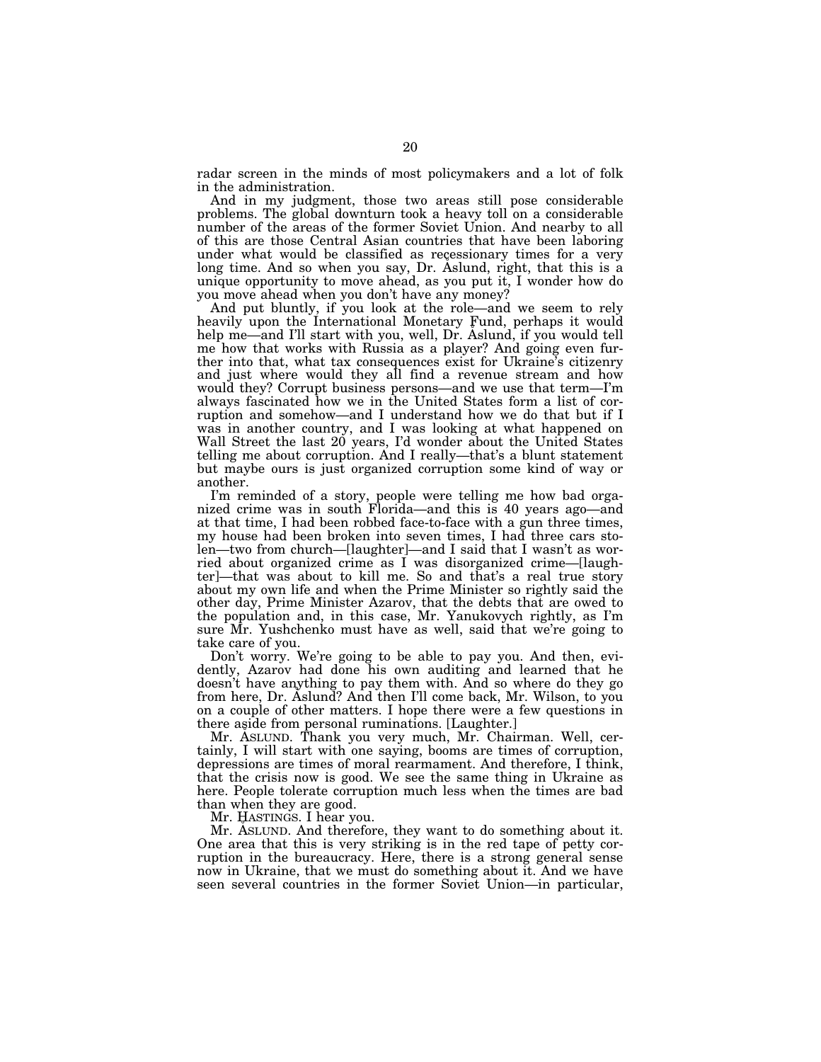radar screen in the minds of most policymakers and a lot of folk in the administration.

And in my judgment, those two areas still pose considerable problems. The global downturn took a heavy toll on a considerable number of the areas of the former Soviet Union. And nearby to all of this are those Central Asian countries that have been laboring under what would be classified as recessionary times for a very long time. And so when you say, Dr. Aslund, right, that this is a unique opportunity to move ahead, as you put it, I wonder how do you move ahead when you don't have any money?

And put bluntly, if you look at the role—and we seem to rely heavily upon the International Monetary Fund, perhaps it would help me—and I'll start with you, well, Dr. Aslund, if you would tell me how that works with Russia as a player? And going even further into that, what tax consequences exist for Ukraine's citizenry and just where would they all find a revenue stream and how would they? Corrupt business persons—and we use that term—I'm always fascinated how we in the United States form a list of corruption and somehow—and I understand how we do that but if I was in another country, and I was looking at what happened on Wall Street the last 20 years, I'd wonder about the United States telling me about corruption. And I really—that's a blunt statement but maybe ours is just organized corruption some kind of way or another.

I'm reminded of a story, people were telling me how bad organized crime was in south Florida—and this is 40 years ago—and at that time, I had been robbed face-to-face with a gun three times, my house had been broken into seven times, I had three cars stolen—two from church—[laughter]—and I said that I wasn't as worried about organized crime as I was disorganized crime—[laughter]—that was about to kill me. So and that's a real true story about my own life and when the Prime Minister so rightly said the other day, Prime Minister Azarov, that the debts that are owed to the population and, in this case, Mr. Yanukovych rightly, as I'm sure Mr. Yushchenko must have as well, said that we're going to take care of you.

Don't worry. We're going to be able to pay you. And then, evidently, Azarov had done his own auditing and learned that he doesn't have anything to pay them with. And so where do they go from here, Dr. Aslund? And then I'll come back, Mr. Wilson, to you on a couple of other matters. I hope there were a few questions in there aside from personal ruminations. [Laughter.]

Mr. ASLUND. Thank you very much, Mr. Chairman. Well, certainly, I will start with one saying, booms are times of corruption, depressions are times of moral rearmament. And therefore, I think, that the crisis now is good. We see the same thing in Ukraine as here. People tolerate corruption much less when the times are bad than when they are good.

Mr. HASTINGS. I hear you.

Mr. ASLUND. And therefore, they want to do something about it. One area that this is very striking is in the red tape of petty corruption in the bureaucracy. Here, there is a strong general sense now in Ukraine, that we must do something about it. And we have seen several countries in the former Soviet Union—in particular,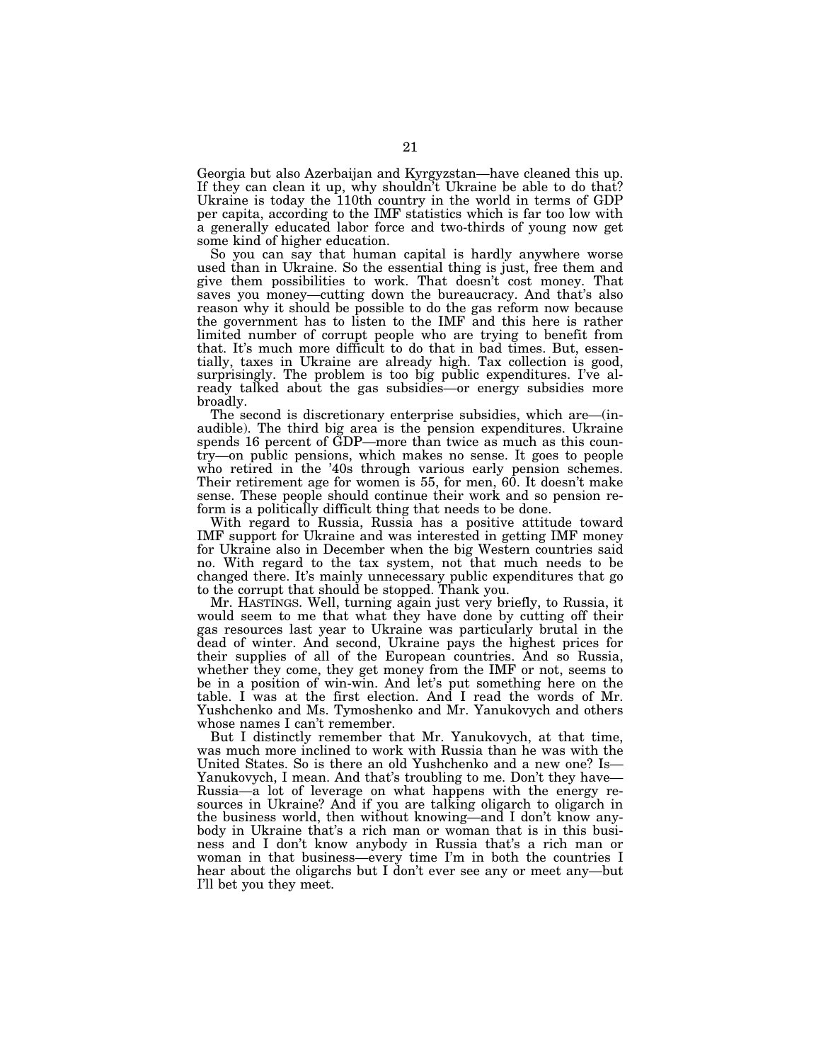Georgia but also Azerbaijan and Kyrgyzstan—have cleaned this up. If they can clean it up, why shouldn't Ukraine be able to do that? Ukraine is today the 110th country in the world in terms of GDP per capita, according to the IMF statistics which is far too low with a generally educated labor force and two-thirds of young now get some kind of higher education.

So you can say that human capital is hardly anywhere worse used than in Ukraine. So the essential thing is just, free them and give them possibilities to work. That doesn't cost money. That saves you money—cutting down the bureaucracy. And that's also reason why it should be possible to do the gas reform now because the government has to listen to the IMF and this here is rather limited number of corrupt people who are trying to benefit from that. It's much more difficult to do that in bad times. But, essentially, taxes in Ukraine are already high. Tax collection is good, surprisingly. The problem is too big public expenditures. I've already talked about the gas subsidies—or energy subsidies more broadly.

The second is discretionary enterprise subsidies, which are—(inaudible). The third big area is the pension expenditures. Ukraine spends 16 percent of GDP—more than twice as much as this country—on public pensions, which makes no sense. It goes to people who retired in the '40s through various early pension schemes. Their retirement age for women is 55, for men, 60. It doesn't make sense. These people should continue their work and so pension reform is a politically difficult thing that needs to be done.

With regard to Russia, Russia has a positive attitude toward IMF support for Ukraine and was interested in getting IMF money for Ukraine also in December when the big Western countries said no. With regard to the tax system, not that much needs to be changed there. It's mainly unnecessary public expenditures that go to the corrupt that should be stopped. Thank you.

Mr. HASTINGS. Well, turning again just very briefly, to Russia, it would seem to me that what they have done by cutting off their gas resources last year to Ukraine was particularly brutal in the dead of winter. And second, Ukraine pays the highest prices for their supplies of all of the European countries. And so Russia, whether they come, they get money from the IMF or not, seems to be in a position of win-win. And let's put something here on the table. I was at the first election. And I read the words of Mr. Yushchenko and Ms. Tymoshenko and Mr. Yanukovych and others whose names I can't remember.

But I distinctly remember that Mr. Yanukovych, at that time, was much more inclined to work with Russia than he was with the United States. So is there an old Yushchenko and a new one? Is— Yanukovych, I mean. And that's troubling to me. Don't they have— Russia—a lot of leverage on what happens with the energy resources in Ukraine? And if you are talking oligarch to oligarch in the business world, then without knowing—and I don't know anybody in Ukraine that's a rich man or woman that is in this business and I don't know anybody in Russia that's a rich man or woman in that business—every time I'm in both the countries I hear about the oligarchs but I don't ever see any or meet any—but I'll bet you they meet.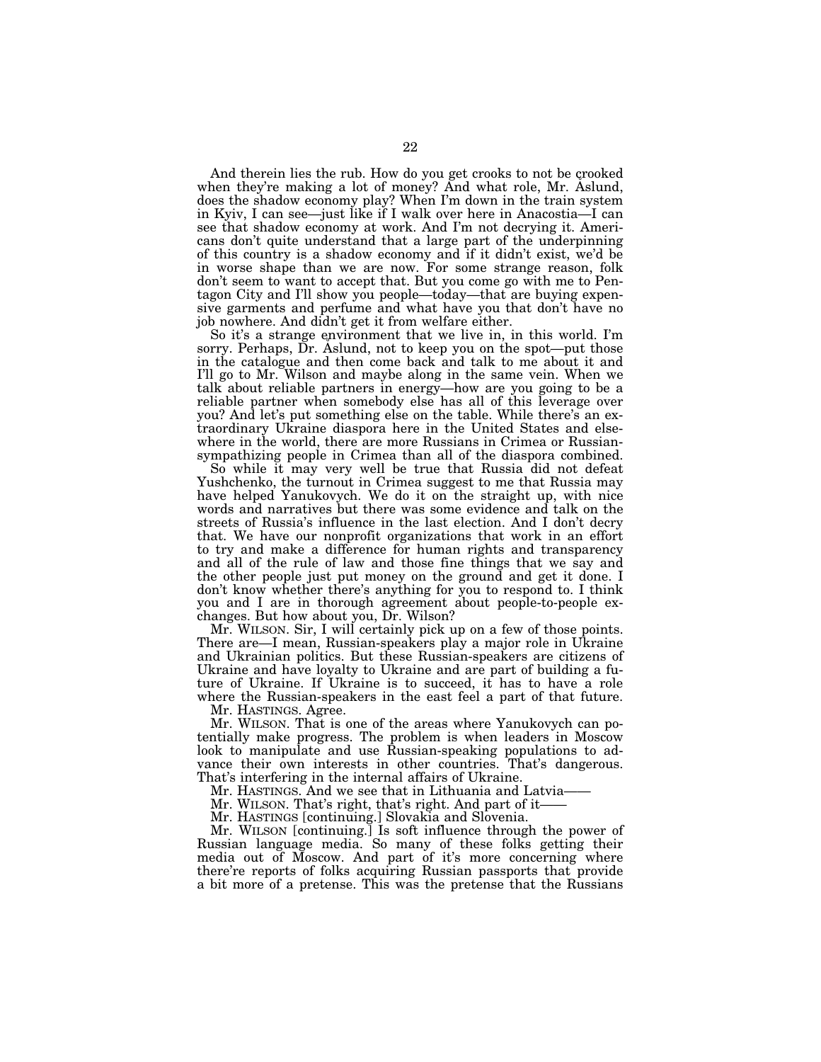And therein lies the rub. How do you get crooks to not be crooked when they're making a lot of money? And what role, Mr. Aslund, does the shadow economy play? When I'm down in the train system in Kyiv, I can see—just like if I walk over here in Anacostia—I can see that shadow economy at work. And I'm not decrying it. Americans don't quite understand that a large part of the underpinning of this country is a shadow economy and if it didn't exist, we'd be in worse shape than we are now. For some strange reason, folk don't seem to want to accept that. But you come go with me to Pentagon City and I'll show you people—today—that are buying expensive garments and perfume and what have you that don't have no job nowhere. And didn't get it from welfare either.

So it's a strange environment that we live in, in this world. I'm sorry. Perhaps, Dr. Aslund, not to keep you on the spot—put those in the catalogue and then come back and talk to me about it and I'll go to Mr. Wilson and maybe along in the same vein. When we talk about reliable partners in energy—how are you going to be a reliable partner when somebody else has all of this leverage over you? And let's put something else on the table. While there's an extraordinary Ukraine diaspora here in the United States and elsewhere in the world, there are more Russians in Crimea or Russiansympathizing people in Crimea than all of the diaspora combined.

So while it may very well be true that Russia did not defeat Yushchenko, the turnout in Crimea suggest to me that Russia may have helped Yanukovych. We do it on the straight up, with nice words and narratives but there was some evidence and talk on the streets of Russia's influence in the last election. And I don't decry that. We have our nonprofit organizations that work in an effort to try and make a difference for human rights and transparency and all of the rule of law and those fine things that we say and the other people just put money on the ground and get it done. I don't know whether there's anything for you to respond to. I think you and I are in thorough agreement about people-to-people exchanges. But how about you, Dr. Wilson?

Mr. WILSON. Sir, I will certainly pick up on a few of those points. There are—I mean, Russian-speakers play a major role in Ukraine and Ukrainian politics. But these Russian-speakers are citizens of Ukraine and have loyalty to Ukraine and are part of building a future of Ukraine. If Ukraine is to succeed, it has to have a role where the Russian-speakers in the east feel a part of that future.

Mr. HASTINGS. Agree.

Mr. WILSON. That is one of the areas where Yanukovych can potentially make progress. The problem is when leaders in Moscow look to manipulate and use Russian-speaking populations to advance their own interests in other countries. That's dangerous. That's interfering in the internal affairs of Ukraine.

Mr. HASTINGS. And we see that in Lithuania and Latvia–

Mr. WILSON. That's right, that's right. And part of it-

Mr. HASTINGS [continuing.] Slovakia and Slovenia.

Mr. WILSON [continuing.] Is soft influence through the power of Russian language media. So many of these folks getting their media out of Moscow. And part of it's more concerning where there're reports of folks acquiring Russian passports that provide a bit more of a pretense. This was the pretense that the Russians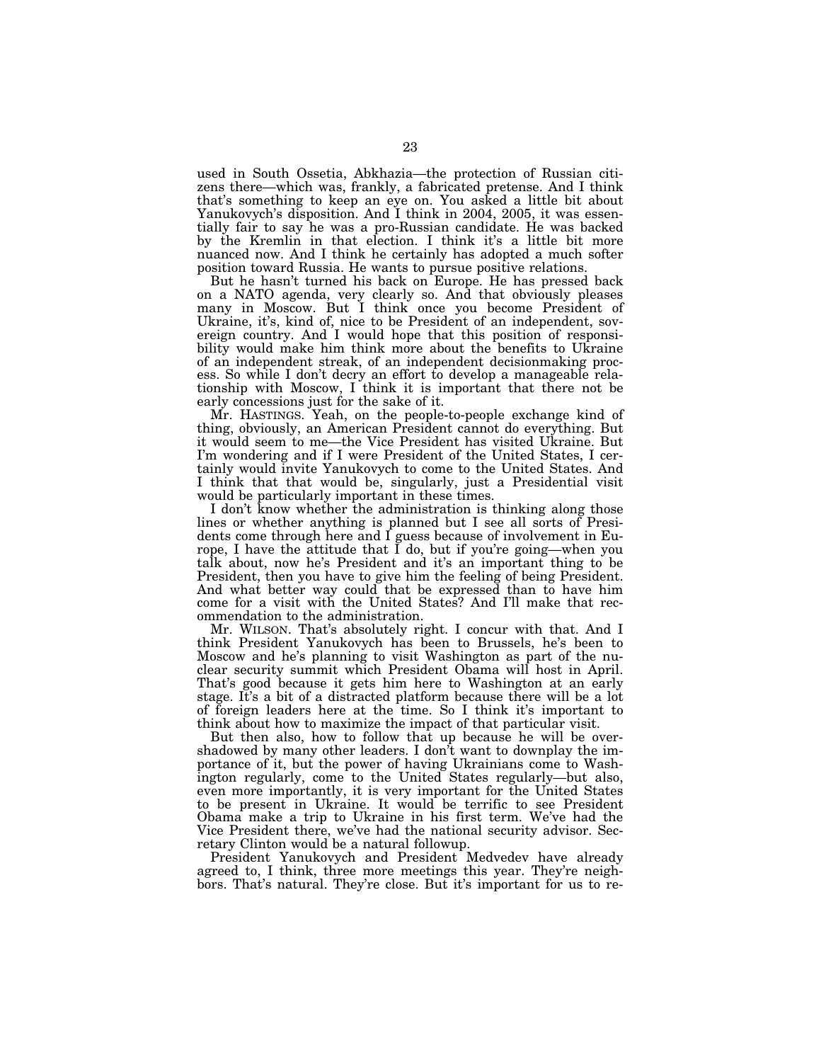used in South Ossetia, Abkhazia—the protection of Russian citizens there—which was, frankly, a fabricated pretense. And I think that's something to keep an eye on. You asked a little bit about Yanukovych's disposition. And I think in 2004, 2005, it was essentially fair to say he was a pro-Russian candidate. He was backed by the Kremlin in that election. I think it's a little bit more nuanced now. And I think he certainly has adopted a much softer position toward Russia. He wants to pursue positive relations.

But he hasn't turned his back on Europe. He has pressed back on a NATO agenda, very clearly so. And that obviously pleases many in Moscow. But I think once you become President of Ukraine, it's, kind of, nice to be President of an independent, sovereign country. And I would hope that this position of responsibility would make him think more about the benefits to Ukraine of an independent streak, of an independent decisionmaking process. So while I don't decry an effort to develop a manageable relationship with Moscow, I think it is important that there not be early concessions just for the sake of it.

Mr. HASTINGS. Yeah, on the people-to-people exchange kind of thing, obviously, an American President cannot do everything. But it would seem to me—the Vice President has visited Ukraine. But I'm wondering and if I were President of the United States, I certainly would invite Yanukovych to come to the United States. And I think that that would be, singularly, just a Presidential visit would be particularly important in these times.

I don't know whether the administration is thinking along those lines or whether anything is planned but I see all sorts of Presidents come through here and I guess because of involvement in Europe, I have the attitude that I do, but if you're going—when you talk about, now he's President and it's an important thing to be President, then you have to give him the feeling of being President. And what better way could that be expressed than to have him come for a visit with the United States? And I'll make that recommendation to the administration.

Mr. WILSON. That's absolutely right. I concur with that. And I think President Yanukovych has been to Brussels, he's been to Moscow and he's planning to visit Washington as part of the nuclear security summit which President Obama will host in April. That's good because it gets him here to Washington at an early stage. It's a bit of a distracted platform because there will be a lot of foreign leaders here at the time. So I think it's important to think about how to maximize the impact of that particular visit.

But then also, how to follow that up because he will be overshadowed by many other leaders. I don't want to downplay the importance of it, but the power of having Ukrainians come to Washington regularly, come to the United States regularly—but also, even more importantly, it is very important for the United States to be present in Ukraine. It would be terrific to see President Obama make a trip to Ukraine in his first term. We've had the Vice President there, we've had the national security advisor. Secretary Clinton would be a natural followup.

President Yanukovych and President Medvedev have already agreed to, I think, three more meetings this year. They're neighbors. That's natural. They're close. But it's important for us to re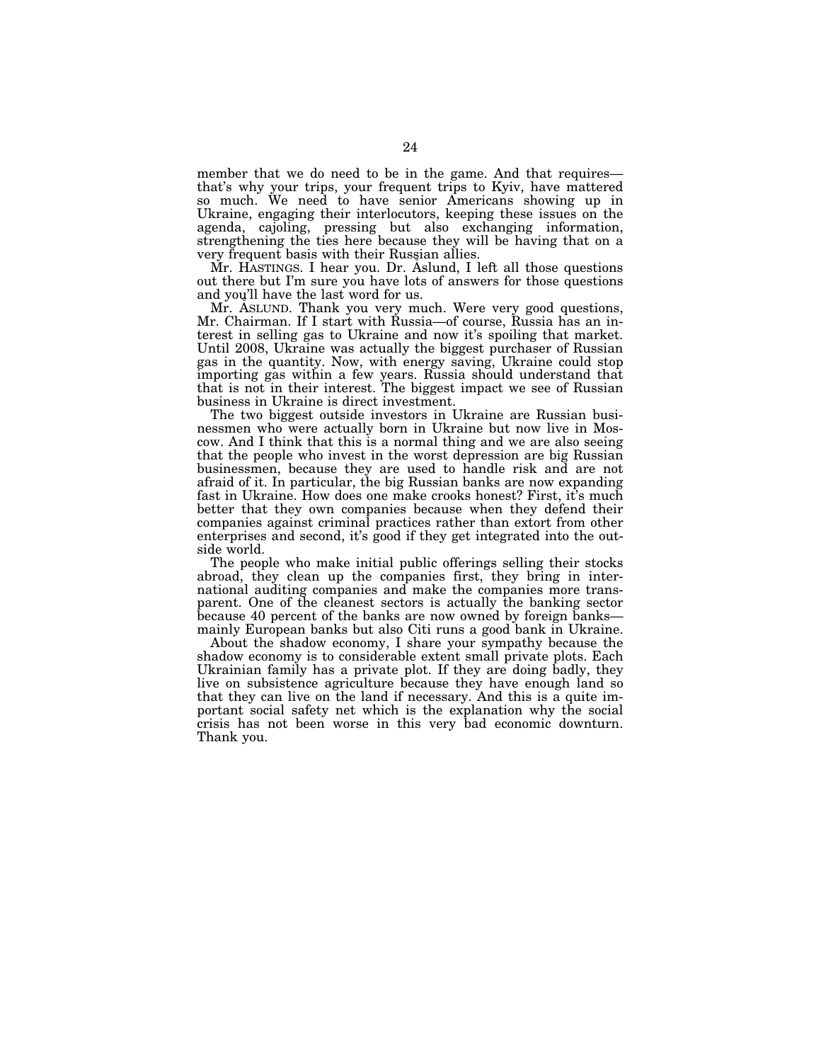member that we do need to be in the game. And that requires that's why your trips, your frequent trips to Kyiv, have mattered so much. We need to have senior Americans showing up in Ukraine, engaging their interlocutors, keeping these issues on the agenda, cajoling, pressing but also exchanging information, strengthening the ties here because they will be having that on a very frequent basis with their Russian allies.

Mr. HASTINGS. I hear you. Dr. Aslund, I left all those questions out there but I'm sure you have lots of answers for those questions and you'll have the last word for us.

Mr. ASLUND. Thank you very much. Were very good questions, Mr. Chairman. If I start with Russia—of course, Russia has an interest in selling gas to Ukraine and now it's spoiling that market. Until 2008, Ukraine was actually the biggest purchaser of Russian gas in the quantity. Now, with energy saving, Ukraine could stop importing gas within a few years. Russia should understand that that is not in their interest. The biggest impact we see of Russian business in Ukraine is direct investment.

The two biggest outside investors in Ukraine are Russian businessmen who were actually born in Ukraine but now live in Moscow. And I think that this is a normal thing and we are also seeing that the people who invest in the worst depression are big Russian businessmen, because they are used to handle risk and are not afraid of it. In particular, the big Russian banks are now expanding fast in Ukraine. How does one make crooks honest? First, it's much better that they own companies because when they defend their companies against criminal practices rather than extort from other enterprises and second, it's good if they get integrated into the outside world.

The people who make initial public offerings selling their stocks abroad, they clean up the companies first, they bring in international auditing companies and make the companies more transparent. One of the cleanest sectors is actually the banking sector because 40 percent of the banks are now owned by foreign banks mainly European banks but also Citi runs a good bank in Ukraine.

About the shadow economy, I share your sympathy because the shadow economy is to considerable extent small private plots. Each Ukrainian family has a private plot. If they are doing badly, they live on subsistence agriculture because they have enough land so that they can live on the land if necessary. And this is a quite important social safety net which is the explanation why the social crisis has not been worse in this very bad economic downturn. Thank you.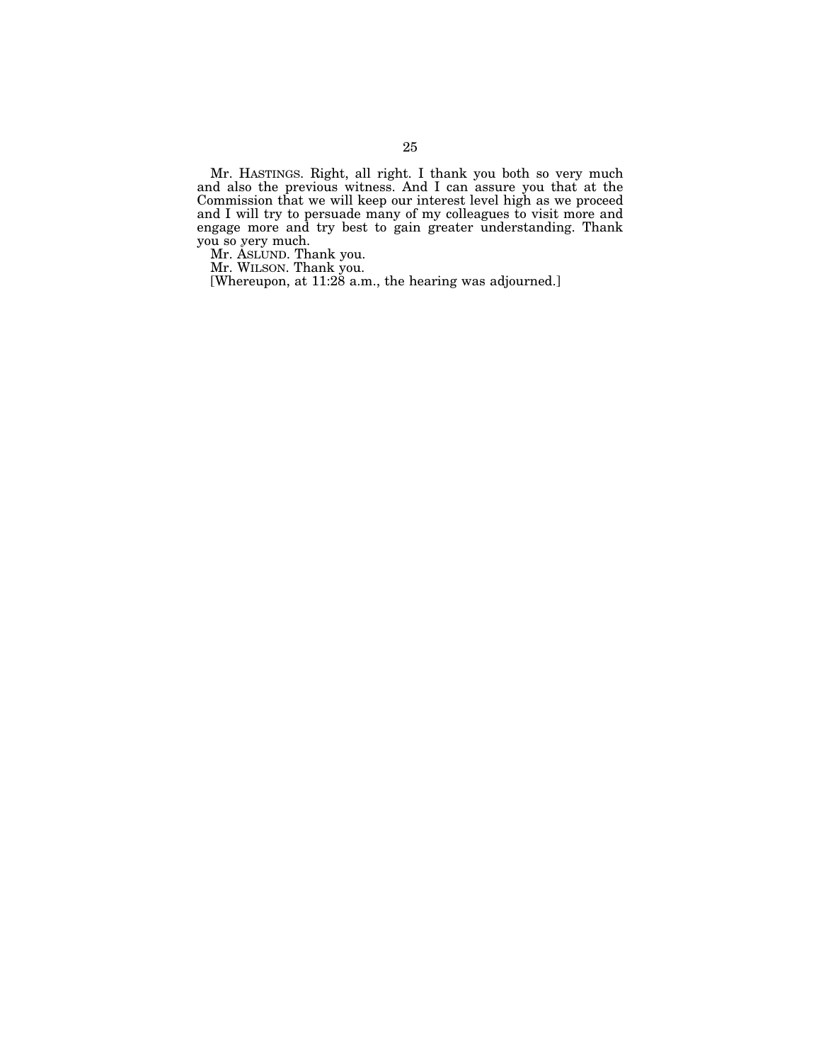Mr. HASTINGS. Right, all right. I thank you both so very much and also the previous witness. And I can assure you that at the Commission that we will keep our interest level high as we proceed and I will try to persuade many of my colleagues to visit more and engage more and try best to gain greater understanding. Thank you so very much.<br>Mr. ÅSLUND. Thank you.

Mr. WILSON. Thank you.

[Whereupon, at 11:28 a.m., the hearing was adjourned.]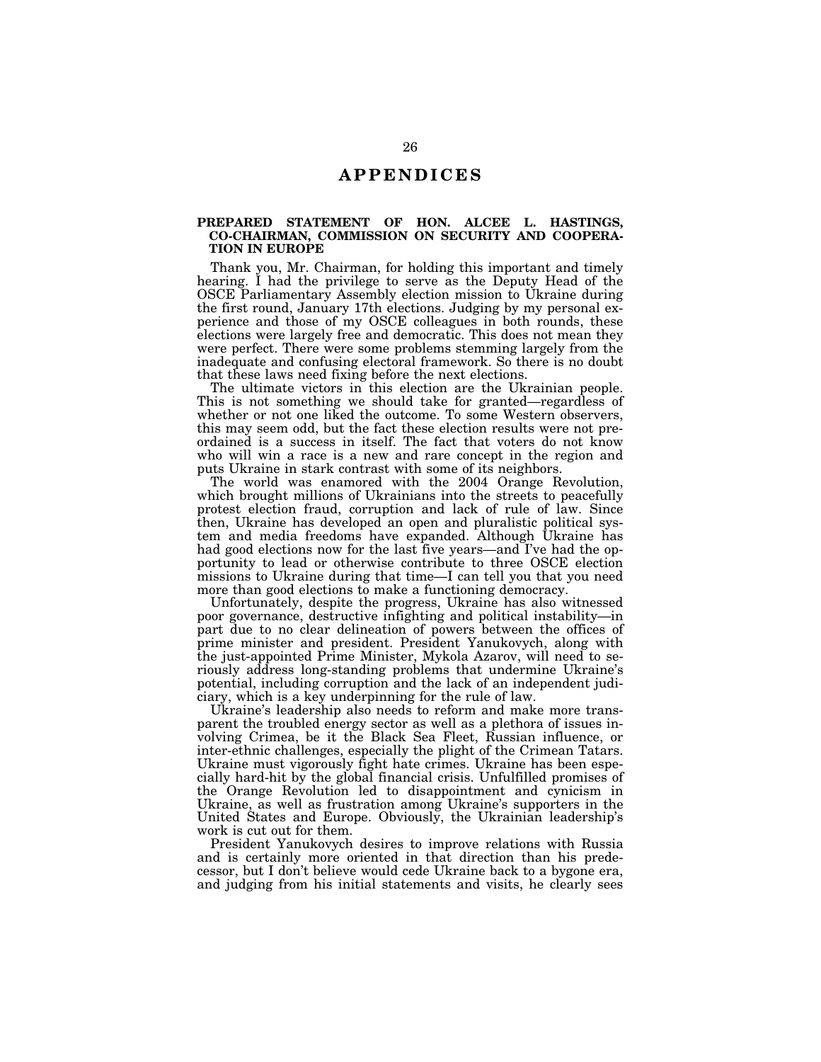### **A P P E N D I C E S**

#### **PREPARED STATEMENT OF HON. ALCEE L. HASTINGS, CO-CHAIRMAN, COMMISSION ON SECURITY AND COOPERA-TION IN EUROPE**

Thank you, Mr. Chairman, for holding this important and timely hearing. I had the privilege to serve as the Deputy Head of the OSCE Parliamentary Assembly election mission to Ukraine during the first round, January 17th elections. Judging by my personal experience and those of my OSCE colleagues in both rounds, these elections were largely free and democratic. This does not mean they were perfect. There were some problems stemming largely from the inadequate and confusing electoral framework. So there is no doubt that these laws need fixing before the next elections.

The ultimate victors in this election are the Ukrainian people. This is not something we should take for granted—regardless of whether or not one liked the outcome. To some Western observers, this may seem odd, but the fact these election results were not preordained is a success in itself. The fact that voters do not know who will win a race is a new and rare concept in the region and puts Ukraine in stark contrast with some of its neighbors.

The world was enamored with the 2004 Orange Revolution, which brought millions of Ukrainians into the streets to peacefully protest election fraud, corruption and lack of rule of law. Since then, Ukraine has developed an open and pluralistic political system and media freedoms have expanded. Although Ukraine has had good elections now for the last five years—and I've had the opportunity to lead or otherwise contribute to three OSCE election missions to Ukraine during that time—I can tell you that you need more than good elections to make a functioning democracy.

Unfortunately, despite the progress, Ukraine has also witnessed poor governance, destructive infighting and political instability—in part due to no clear delineation of powers between the offices of prime minister and president. President Yanukovych, along with the just-appointed Prime Minister, Mykola Azarov, will need to seriously address long-standing problems that undermine Ukraine's potential, including corruption and the lack of an independent judiciary, which is a key underpinning for the rule of law.

Ukraine's leadership also needs to reform and make more transparent the troubled energy sector as well as a plethora of issues involving Crimea, be it the Black Sea Fleet, Russian influence, or inter-ethnic challenges, especially the plight of the Crimean Tatars. Ukraine must vigorously fight hate crimes. Ukraine has been especially hard-hit by the global financial crisis. Unfulfilled promises of the Orange Revolution led to disappointment and cynicism in Ukraine, as well as frustration among Ukraine's supporters in the United States and Europe. Obviously, the Ukrainian leadership's work is cut out for them.

President Yanukovych desires to improve relations with Russia and is certainly more oriented in that direction than his predecessor, but I don't believe would cede Ukraine back to a bygone era, and judging from his initial statements and visits, he clearly sees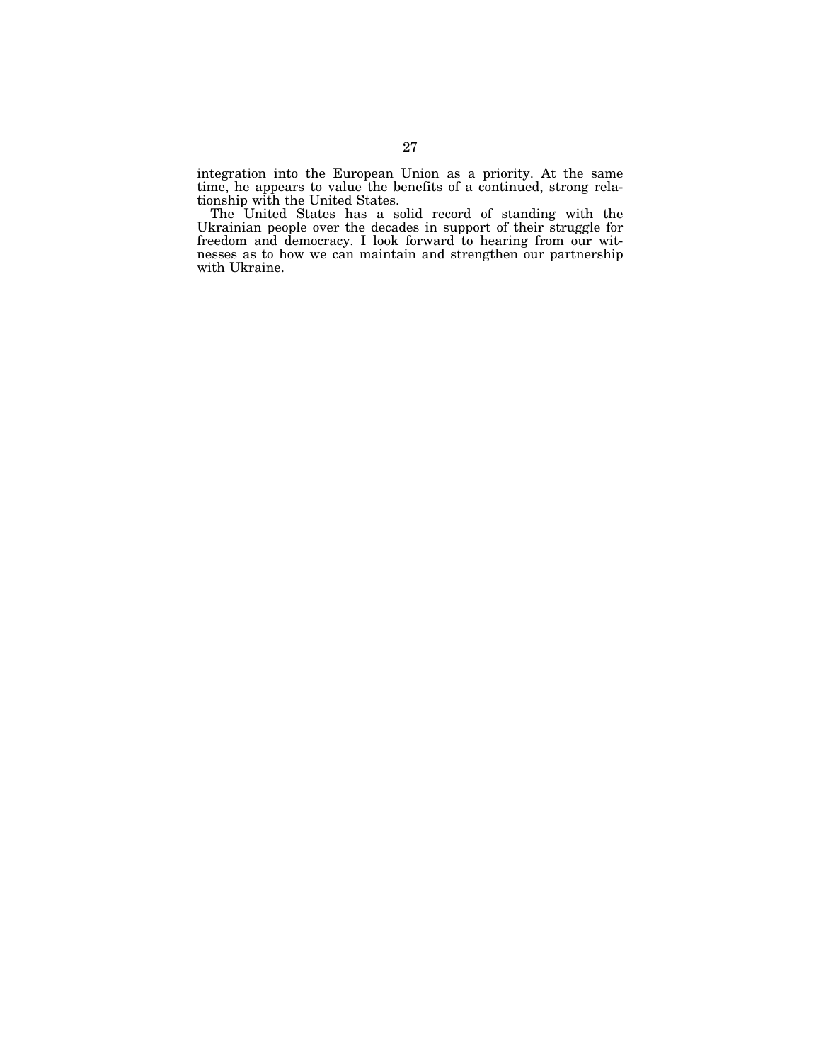integration into the European Union as a priority. At the same time, he appears to value the benefits of a continued, strong relationship with the United States.

The United States has a solid record of standing with the Ukrainian people over the decades in support of their struggle for freedom and democracy. I look forward to hearing from our witnesses as to how we can maintain and strengthen our partnership with Ukraine.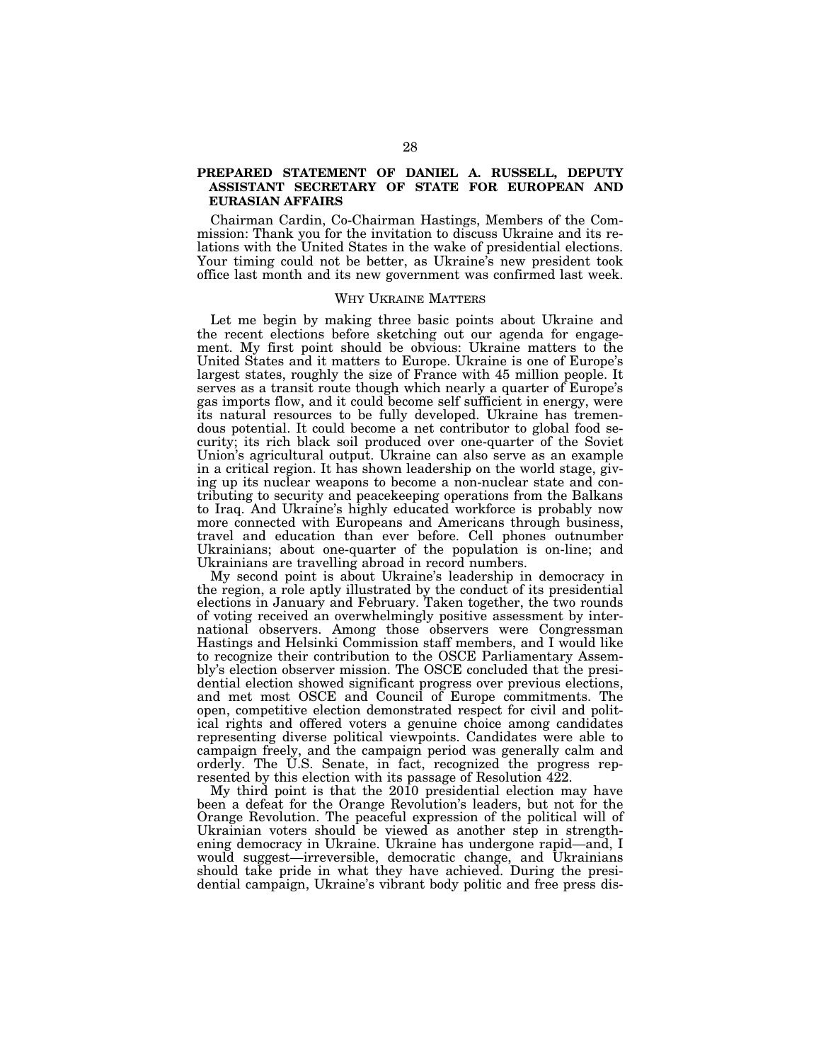### **PREPARED STATEMENT OF DANIEL A. RUSSELL, DEPUTY ASSISTANT SECRETARY OF STATE FOR EUROPEAN AND EURASIAN AFFAIRS**

Chairman Cardin, Co-Chairman Hastings, Members of the Commission: Thank you for the invitation to discuss Ukraine and its relations with the United States in the wake of presidential elections. Your timing could not be better, as Ukraine's new president took office last month and its new government was confirmed last week.

#### WHY UKRAINE MATTERS

Let me begin by making three basic points about Ukraine and the recent elections before sketching out our agenda for engagement. My first point should be obvious: Ukraine matters to the United States and it matters to Europe. Ukraine is one of Europe's largest states, roughly the size of France with 45 million people. It serves as a transit route though which nearly a quarter of Europe's gas imports flow, and it could become self sufficient in energy, were its natural resources to be fully developed. Ukraine has tremendous potential. It could become a net contributor to global food security; its rich black soil produced over one-quarter of the Soviet Union's agricultural output. Ukraine can also serve as an example in a critical region. It has shown leadership on the world stage, giving up its nuclear weapons to become a non-nuclear state and contributing to security and peacekeeping operations from the Balkans to Iraq. And Ukraine's highly educated workforce is probably now more connected with Europeans and Americans through business, travel and education than ever before. Cell phones outnumber Ukrainians; about one-quarter of the population is on-line; and Ukrainians are travelling abroad in record numbers.

My second point is about Ukraine's leadership in democracy in the region, a role aptly illustrated by the conduct of its presidential elections in January and February. Taken together, the two rounds of voting received an overwhelmingly positive assessment by international observers. Among those observers were Congressman Hastings and Helsinki Commission staff members, and I would like to recognize their contribution to the OSCE Parliamentary Assembly's election observer mission. The OSCE concluded that the presidential election showed significant progress over previous elections, and met most OSCE and Council of Europe commitments. The open, competitive election demonstrated respect for civil and political rights and offered voters a genuine choice among candidates representing diverse political viewpoints. Candidates were able to campaign freely, and the campaign period was generally calm and orderly. The U.S. Senate, in fact, recognized the progress represented by this election with its passage of Resolution 422.

My third point is that the 2010 presidential election may have been a defeat for the Orange Revolution's leaders, but not for the Orange Revolution. The peaceful expression of the political will of Ukrainian voters should be viewed as another step in strengthening democracy in Ukraine. Ukraine has undergone rapid—and, I would suggest—irreversible, democratic change, and Ukrainians should take pride in what they have achieved. During the presidential campaign, Ukraine's vibrant body politic and free press dis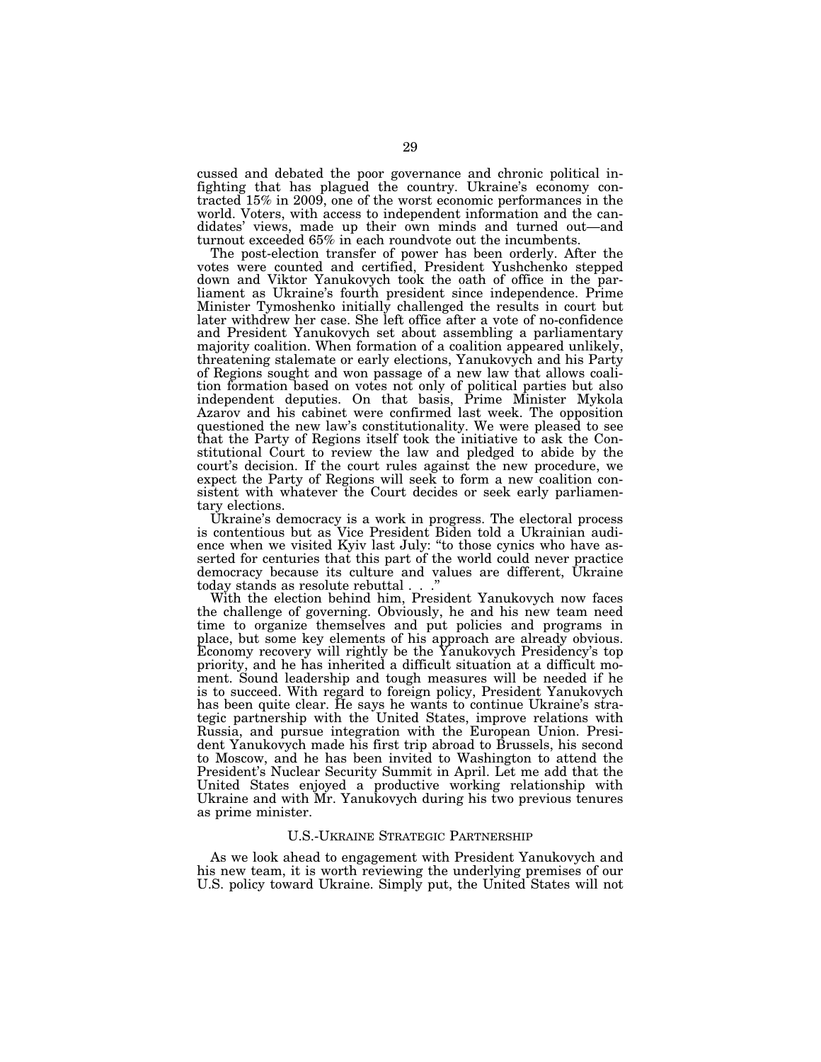cussed and debated the poor governance and chronic political infighting that has plagued the country. Ukraine's economy contracted 15% in 2009, one of the worst economic performances in the world. Voters, with access to independent information and the candidates' views, made up their own minds and turned out—and turnout exceeded 65% in each roundvote out the incumbents.

The post-election transfer of power has been orderly. After the votes were counted and certified, President Yushchenko stepped down and Viktor Yanukovych took the oath of office in the parliament as Ukraine's fourth president since independence. Prime Minister Tymoshenko initially challenged the results in court but later withdrew her case. She left office after a vote of no-confidence and President Yanukovych set about assembling a parliamentary majority coalition. When formation of a coalition appeared unlikely, threatening stalemate or early elections, Yanukovych and his Party of Regions sought and won passage of a new law that allows coalition formation based on votes not only of political parties but also independent deputies. On that basis, Prime Minister Mykola Azarov and his cabinet were confirmed last week. The opposition questioned the new law's constitutionality. We were pleased to see that the Party of Regions itself took the initiative to ask the Constitutional Court to review the law and pledged to abide by the court's decision. If the court rules against the new procedure, we expect the Party of Regions will seek to form a new coalition consistent with whatever the Court decides or seek early parliamentary elections.

Ukraine's democracy is a work in progress. The electoral process is contentious but as Vice President Biden told a Ukrainian audience when we visited Kyiv last July: ''to those cynics who have asserted for centuries that this part of the world could never practice democracy because its culture and values are different, Ukraine today stands as resolute rebuttal . . .''

With the election behind him, President Yanukovych now faces the challenge of governing. Obviously, he and his new team need time to organize themselves and put policies and programs in place, but some key elements of his approach are already obvious. Economy recovery will rightly be the Yanukovych Presidency's top priority, and he has inherited a difficult situation at a difficult moment. Sound leadership and tough measures will be needed if he is to succeed. With regard to foreign policy, President Yanukovych has been quite clear. He says he wants to continue Ukraine's strategic partnership with the United States, improve relations with Russia, and pursue integration with the European Union. President Yanukovych made his first trip abroad to Brussels, his second to Moscow, and he has been invited to Washington to attend the President's Nuclear Security Summit in April. Let me add that the United States enjoyed a productive working relationship with Ukraine and with Mr. Yanukovych during his two previous tenures as prime minister.

#### U.S.-UKRAINE STRATEGIC PARTNERSHIP

As we look ahead to engagement with President Yanukovych and his new team, it is worth reviewing the underlying premises of our U.S. policy toward Ukraine. Simply put, the United States will not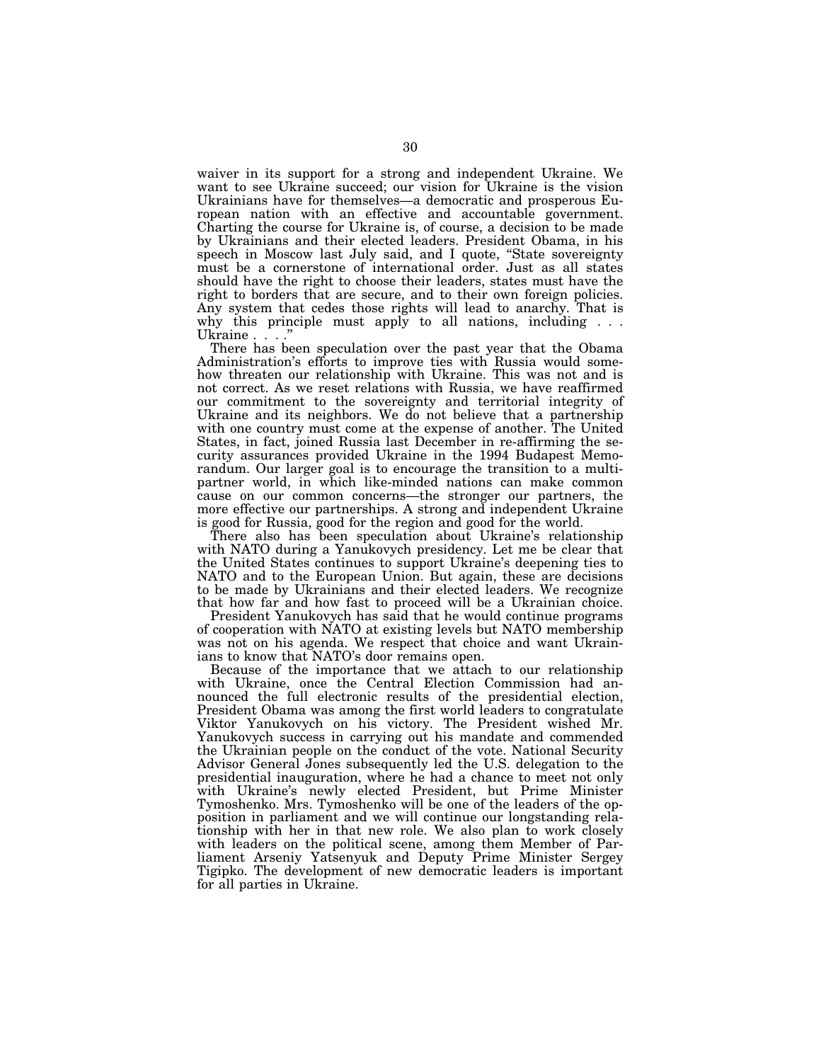waiver in its support for a strong and independent Ukraine. We want to see Ukraine succeed; our vision for Ukraine is the vision Ukrainians have for themselves—a democratic and prosperous European nation with an effective and accountable government. Charting the course for Ukraine is, of course, a decision to be made by Ukrainians and their elected leaders. President Obama, in his speech in Moscow last July said, and I quote, ''State sovereignty must be a cornerstone of international order. Just as all states should have the right to choose their leaders, states must have the right to borders that are secure, and to their own foreign policies. Any system that cedes those rights will lead to anarchy. That is why this principle must apply to all nations, including . . . Ukraine . . . .

There has been speculation over the past year that the Obama Administration's efforts to improve ties with Russia would somehow threaten our relationship with Ukraine. This was not and is not correct. As we reset relations with Russia, we have reaffirmed our commitment to the sovereignty and territorial integrity of Ukraine and its neighbors. We do not believe that a partnership with one country must come at the expense of another. The United States, in fact, joined Russia last December in re-affirming the security assurances provided Ukraine in the 1994 Budapest Memorandum. Our larger goal is to encourage the transition to a multipartner world, in which like-minded nations can make common cause on our common concerns—the stronger our partners, the more effective our partnerships. A strong and independent Ukraine is good for Russia, good for the region and good for the world.

There also has been speculation about Ukraine's relationship with NATO during a Yanukovych presidency. Let me be clear that the United States continues to support Ukraine's deepening ties to NATO and to the European Union. But again, these are decisions to be made by Ukrainians and their elected leaders. We recognize that how far and how fast to proceed will be a Ukrainian choice.

President Yanukovych has said that he would continue programs of cooperation with NATO at existing levels but NATO membership was not on his agenda. We respect that choice and want Ukrainians to know that NATO's door remains open.

Because of the importance that we attach to our relationship with Ukraine, once the Central Election Commission had announced the full electronic results of the presidential election, President Obama was among the first world leaders to congratulate Viktor Yanukovych on his victory. The President wished Mr. Yanukovych success in carrying out his mandate and commended the Ukrainian people on the conduct of the vote. National Security Advisor General Jones subsequently led the U.S. delegation to the presidential inauguration, where he had a chance to meet not only with Ukraine's newly elected President, but Prime Minister Tymoshenko. Mrs. Tymoshenko will be one of the leaders of the opposition in parliament and we will continue our longstanding relationship with her in that new role. We also plan to work closely with leaders on the political scene, among them Member of Parliament Arseniy Yatsenyuk and Deputy Prime Minister Sergey Tigipko. The development of new democratic leaders is important for all parties in Ukraine.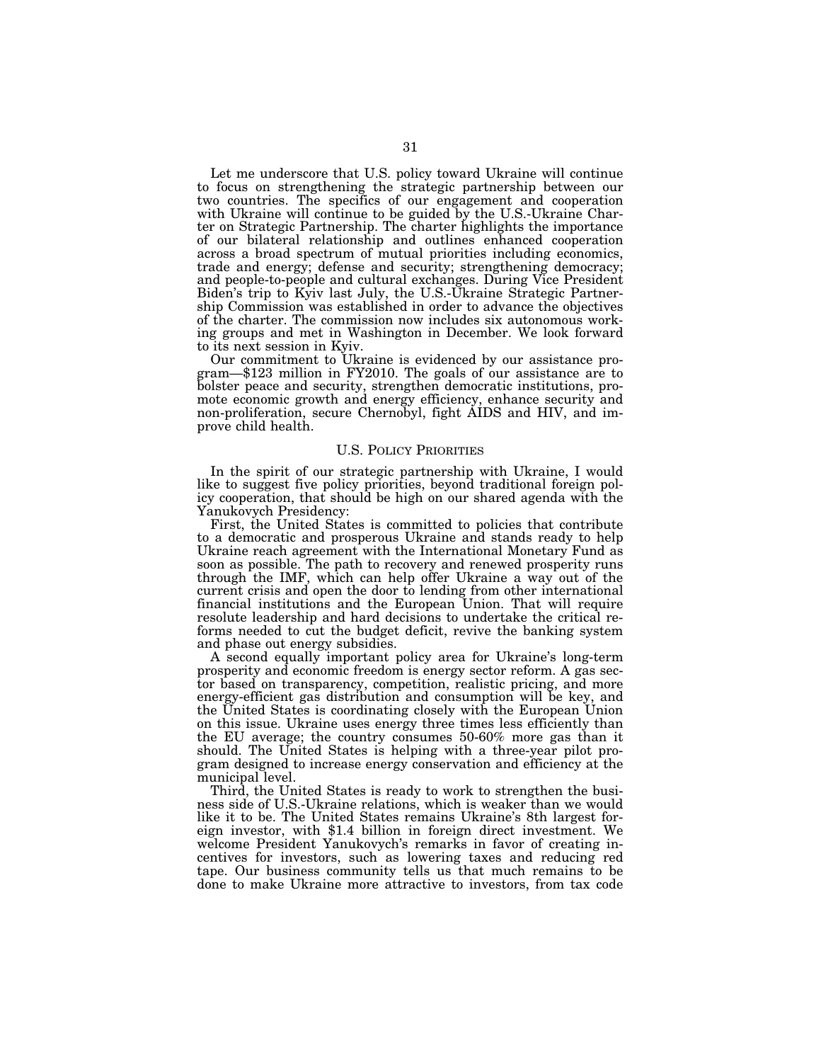Let me underscore that U.S. policy toward Ukraine will continue to focus on strengthening the strategic partnership between our two countries. The specifics of our engagement and cooperation with Ukraine will continue to be guided by the U.S.-Ukraine Charter on Strategic Partnership. The charter highlights the importance of our bilateral relationship and outlines enhanced cooperation across a broad spectrum of mutual priorities including economics, trade and energy; defense and security; strengthening democracy; and people-to-people and cultural exchanges. During Vice President Biden's trip to Kyiv last July, the U.S.-Ukraine Strategic Partnership Commission was established in order to advance the objectives of the charter. The commission now includes six autonomous working groups and met in Washington in December. We look forward to its next session in Kyiv.<br>Our commitment to Ukraine is evidenced by our assistance pro-

 $gram$ —\$123 million in FY2010. The goals of our assistance are to bolster peace and security, strengthen democratic institutions, promote economic growth and energy efficiency, enhance security and non-proliferation, secure Chernobyl, fight AIDS and HIV, and improve child health.

#### U.S. POLICY PRIORITIES

In the spirit of our strategic partnership with Ukraine, I would like to suggest five policy priorities, beyond traditional foreign policy cooperation, that should be high on our shared agenda with the Yanukovych Presidency:

First, the United States is committed to policies that contribute to a democratic and prosperous Ukraine and stands ready to help Ukraine reach agreement with the International Monetary Fund as soon as possible. The path to recovery and renewed prosperity runs through the IMF, which can help offer Ukraine a way out of the current crisis and open the door to lending from other international financial institutions and the European Union. That will require resolute leadership and hard decisions to undertake the critical reforms needed to cut the budget deficit, revive the banking system and phase out energy subsidies.

A second equally important policy area for Ukraine's long-term prosperity and economic freedom is energy sector reform. A gas sector based on transparency, competition, realistic pricing, and more energy-efficient gas distribution and consumption will be key, and the United States is coordinating closely with the European Union on this issue. Ukraine uses energy three times less efficiently than the EU average; the country consumes 50-60% more gas than it should. The United States is helping with a three-year pilot program designed to increase energy conservation and efficiency at the municipal level.

Third, the United States is ready to work to strengthen the business side of U.S.-Ukraine relations, which is weaker than we would like it to be. The United States remains Ukraine's 8th largest foreign investor, with \$1.4 billion in foreign direct investment. We welcome President Yanukovych's remarks in favor of creating incentives for investors, such as lowering taxes and reducing red tape. Our business community tells us that much remains to be done to make Ukraine more attractive to investors, from tax code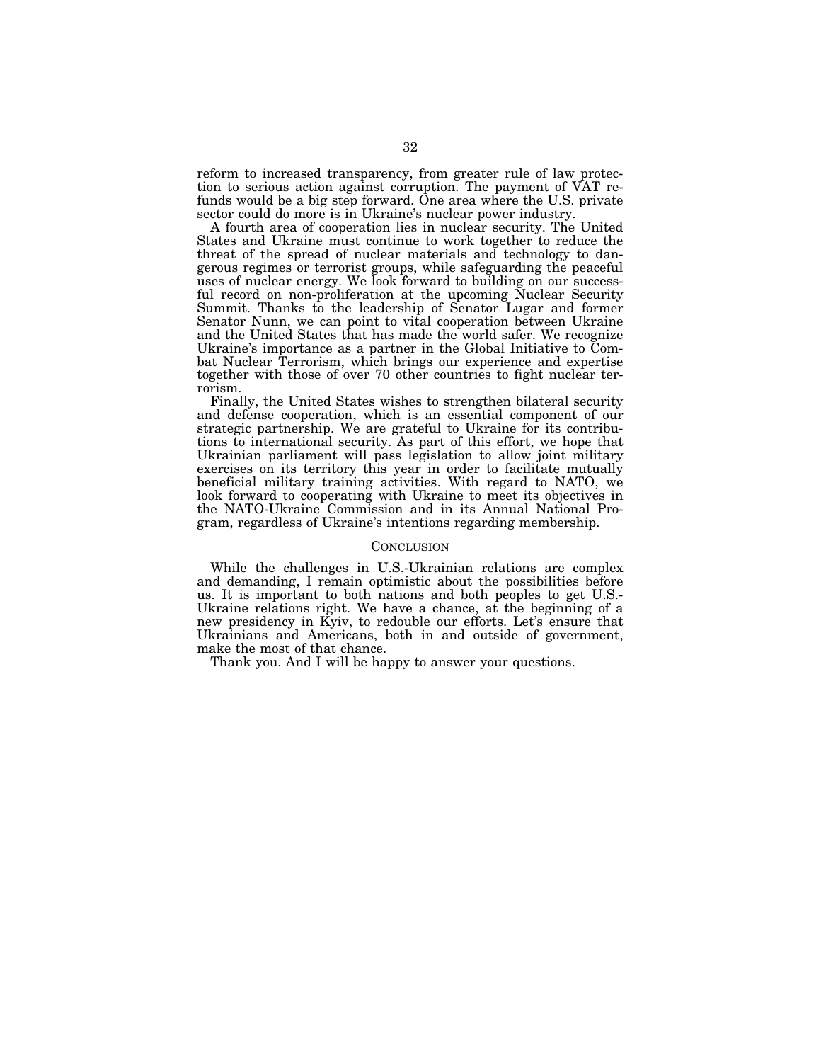reform to increased transparency, from greater rule of law protection to serious action against corruption. The payment of VAT refunds would be a big step forward. One area where the U.S. private sector could do more is in Ukraine's nuclear power industry.

A fourth area of cooperation lies in nuclear security. The United States and Ukraine must continue to work together to reduce the threat of the spread of nuclear materials and technology to dangerous regimes or terrorist groups, while safeguarding the peaceful uses of nuclear energy. We look forward to building on our successful record on non-proliferation at the upcoming Nuclear Security Summit. Thanks to the leadership of Senator Lugar and former Senator Nunn, we can point to vital cooperation between Ukraine and the United States that has made the world safer. We recognize Ukraine's importance as a partner in the Global Initiative to Combat Nuclear Terrorism, which brings our experience and expertise together with those of over 70 other countries to fight nuclear terrorism.

Finally, the United States wishes to strengthen bilateral security and defense cooperation, which is an essential component of our strategic partnership. We are grateful to Ukraine for its contributions to international security. As part of this effort, we hope that Ukrainian parliament will pass legislation to allow joint military exercises on its territory this year in order to facilitate mutually beneficial military training activities. With regard to NATO, we look forward to cooperating with Ukraine to meet its objectives in the NATO-Ukraine Commission and in its Annual National Program, regardless of Ukraine's intentions regarding membership.

#### **CONCLUSION**

While the challenges in U.S.-Ukrainian relations are complex and demanding, I remain optimistic about the possibilities before us. It is important to both nations and both peoples to get U.S.- Ukraine relations right. We have a chance, at the beginning of a new presidency in Kyiv, to redouble our efforts. Let's ensure that Ukrainians and Americans, both in and outside of government, make the most of that chance.

Thank you. And I will be happy to answer your questions.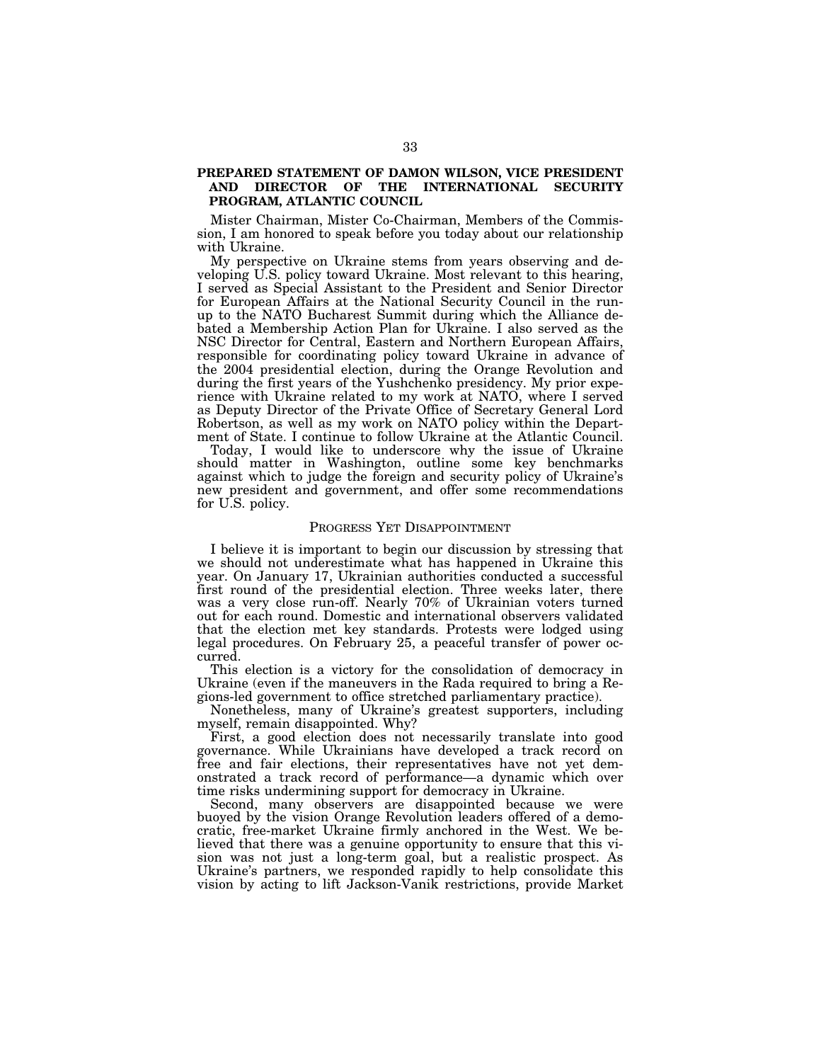### **PREPARED STATEMENT OF DAMON WILSON, VICE PRESIDENT AND DIRECTOR OF THE INTERNATIONAL SECURITY PROGRAM, ATLANTIC COUNCIL**

Mister Chairman, Mister Co-Chairman, Members of the Commission, I am honored to speak before you today about our relationship with Ukraine.

My perspective on Ukraine stems from years observing and developing U.S. policy toward Ukraine. Most relevant to this hearing, I served as Special Assistant to the President and Senior Director for European Affairs at the National Security Council in the runup to the NATO Bucharest Summit during which the Alliance debated a Membership Action Plan for Ukraine. I also served as the NSC Director for Central, Eastern and Northern European Affairs, responsible for coordinating policy toward Ukraine in advance of the 2004 presidential election, during the Orange Revolution and during the first years of the Yushchenko presidency. My prior experience with Ukraine related to my work at NATO, where I served as Deputy Director of the Private Office of Secretary General Lord Robertson, as well as my work on NATO policy within the Department of State. I continue to follow Ukraine at the Atlantic Council.

Today, I would like to underscore why the issue of Ukraine should matter in Washington, outline some key benchmarks against which to judge the foreign and security policy of Ukraine's new president and government, and offer some recommendations for U.S. policy.

#### PROGRESS YET DISAPPOINTMENT

I believe it is important to begin our discussion by stressing that we should not underestimate what has happened in Ukraine this year. On January 17, Ukrainian authorities conducted a successful first round of the presidential election. Three weeks later, there was a very close run-off. Nearly 70% of Ukrainian voters turned out for each round. Domestic and international observers validated that the election met key standards. Protests were lodged using legal procedures. On February 25, a peaceful transfer of power occurred.

This election is a victory for the consolidation of democracy in Ukraine (even if the maneuvers in the Rada required to bring a Regions-led government to office stretched parliamentary practice).

Nonetheless, many of Ukraine's greatest supporters, including myself, remain disappointed. Why?

First, a good election does not necessarily translate into good governance. While Ukrainians have developed a track record on free and fair elections, their representatives have not yet demonstrated a track record of performance—a dynamic which over time risks undermining support for democracy in Ukraine.

Second, many observers are disappointed because we were buoyed by the vision Orange Revolution leaders offered of a democratic, free-market Ukraine firmly anchored in the West. We believed that there was a genuine opportunity to ensure that this vision was not just a long-term goal, but a realistic prospect. As Ukraine's partners, we responded rapidly to help consolidate this vision by acting to lift Jackson-Vanik restrictions, provide Market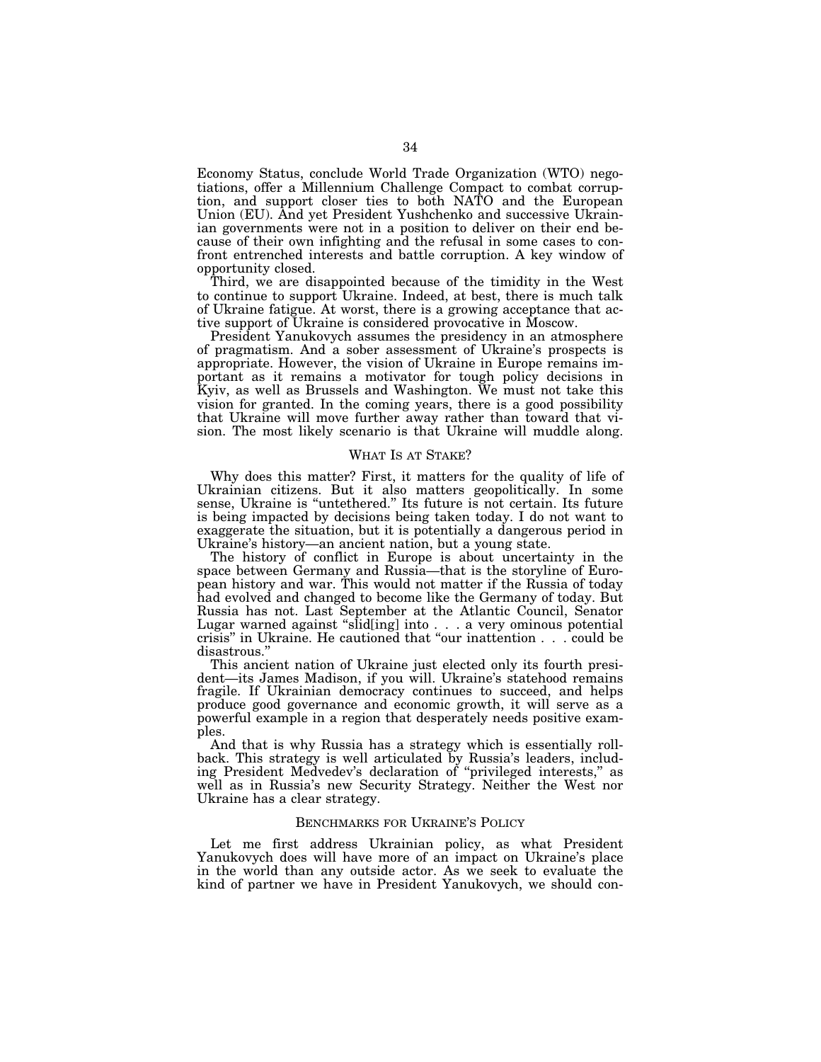Economy Status, conclude World Trade Organization (WTO) negotiations, offer a Millennium Challenge Compact to combat corruption, and support closer ties to both NATO and the European Union (EU). And yet President Yushchenko and successive Ukrainian governments were not in a position to deliver on their end because of their own infighting and the refusal in some cases to confront entrenched interests and battle corruption. A key window of opportunity closed.

Third, we are disappointed because of the timidity in the West to continue to support Ukraine. Indeed, at best, there is much talk of Ukraine fatigue. At worst, there is a growing acceptance that active support of Ukraine is considered provocative in Moscow.

President Yanukovych assumes the presidency in an atmosphere of pragmatism. And a sober assessment of Ukraine's prospects is appropriate. However, the vision of Ukraine in Europe remains important as it remains a motivator for tough policy decisions in Kyiv, as well as Brussels and Washington. We must not take this vision for granted. In the coming years, there is a good possibility that Ukraine will move further away rather than toward that vision. The most likely scenario is that Ukraine will muddle along.

#### WHAT IS AT STAKE?

Why does this matter? First, it matters for the quality of life of Ukrainian citizens. But it also matters geopolitically. In some sense, Ukraine is "untethered." Its future is not certain. Its future is being impacted by decisions being taken today. I do not want to exaggerate the situation, but it is potentially a dangerous period in Ukraine's history—an ancient nation, but a young state.

The history of conflict in Europe is about uncertainty in the space between Germany and Russia—that is the storyline of European history and war. This would not matter if the Russia of today had evolved and changed to become like the Germany of today. But Russia has not. Last September at the Atlantic Council, Senator Lugar warned against ''slid[ing] into . . . a very ominous potential crisis'' in Ukraine. He cautioned that ''our inattention . . . could be disastrous.''

This ancient nation of Ukraine just elected only its fourth president—its James Madison, if you will. Ukraine's statehood remains fragile. If Ukrainian democracy continues to succeed, and helps produce good governance and economic growth, it will serve as a powerful example in a region that desperately needs positive examples.

And that is why Russia has a strategy which is essentially rollback. This strategy is well articulated by Russia's leaders, including President Medvedev's declaration of ''privileged interests,'' as well as in Russia's new Security Strategy. Neither the West nor Ukraine has a clear strategy.

#### BENCHMARKS FOR UKRAINE'S POLICY

Let me first address Ukrainian policy, as what President Yanukovych does will have more of an impact on Ukraine's place in the world than any outside actor. As we seek to evaluate the kind of partner we have in President Yanukovych, we should con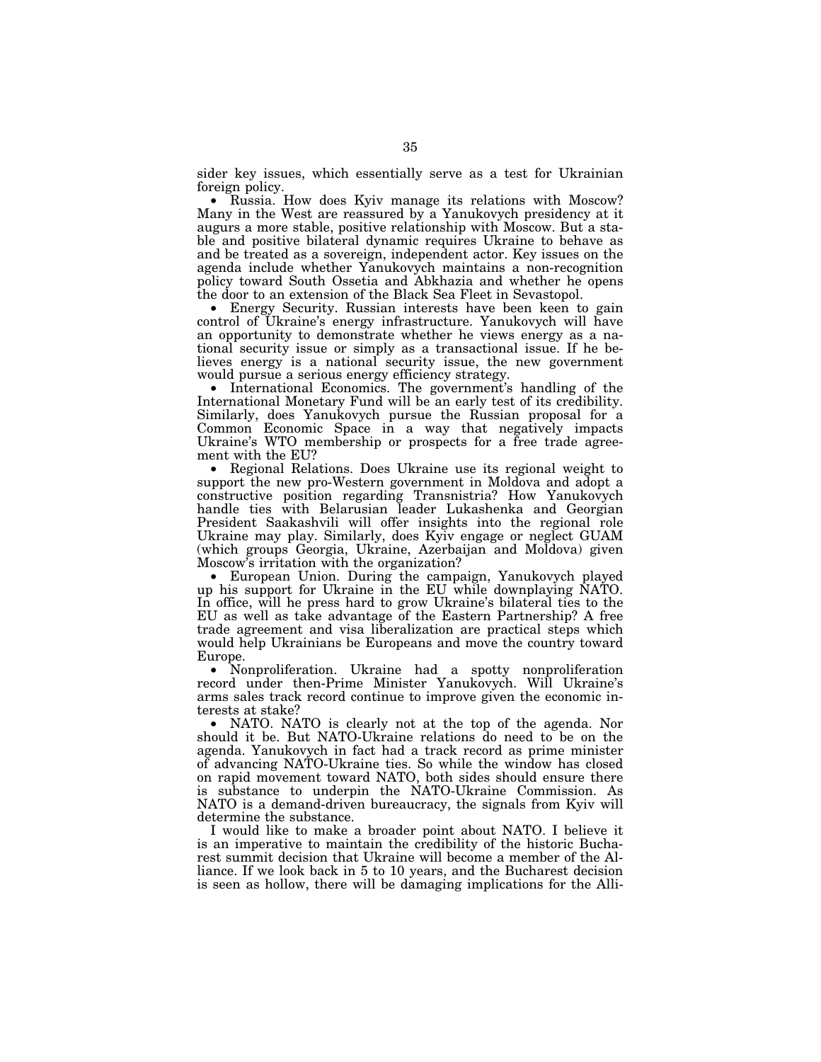sider key issues, which essentially serve as a test for Ukrainian foreign policy.

• Russia. How does Kyiv manage its relations with Moscow? Many in the West are reassured by a Yanukovych presidency at it augurs a more stable, positive relationship with Moscow. But a stable and positive bilateral dynamic requires Ukraine to behave as and be treated as a sovereign, independent actor. Key issues on the agenda include whether Yanukovych maintains a non-recognition policy toward South Ossetia and Abkhazia and whether he opens the door to an extension of the Black Sea Fleet in Sevastopol.

• Energy Security. Russian interests have been keen to gain control of Ukraine's energy infrastructure. Yanukovych will have an opportunity to demonstrate whether he views energy as a national security issue or simply as a transactional issue. If he believes energy is a national security issue, the new government would pursue a serious energy efficiency strategy.

• International Economics. The government's handling of the International Monetary Fund will be an early test of its credibility. Similarly, does Yanukovych pursue the Russian proposal for a Common Economic Space in a way that negatively impacts Ukraine's WTO membership or prospects for a free trade agreement with the EU?

• Regional Relations. Does Ukraine use its regional weight to support the new pro-Western government in Moldova and adopt a constructive position regarding Transnistria? How Yanukovych handle ties with Belarusian leader Lukashenka and Georgian President Saakashvili will offer insights into the regional role Ukraine may play. Similarly, does Kyiv engage or neglect GUAM (which groups Georgia, Ukraine, Azerbaijan and Moldova) given Moscow's irritation with the organization?

• European Union. During the campaign, Yanukovych played up his support for Ukraine in the EU while downplaying NATO. In office, will he press hard to grow Ukraine's bilateral ties to the EU as well as take advantage of the Eastern Partnership? A free trade agreement and visa liberalization are practical steps which would help Ukrainians be Europeans and move the country toward Europe.

• Nonproliferation. Ukraine had a spotty nonproliferation record under then-Prime Minister Yanukovych. Will Ukraine's arms sales track record continue to improve given the economic interests at stake?

• NATO. NATO is clearly not at the top of the agenda. Nor should it be. But NATO-Ukraine relations do need to be on the agenda. Yanukovych in fact had a track record as prime minister of advancing NATO-Ukraine ties. So while the window has closed on rapid movement toward NATO, both sides should ensure there is substance to underpin the NATO-Ukraine Commission. As NATO is a demand-driven bureaucracy, the signals from Kyiv will determine the substance.

I would like to make a broader point about NATO. I believe it is an imperative to maintain the credibility of the historic Bucharest summit decision that Ukraine will become a member of the Alliance. If we look back in 5 to 10 years, and the Bucharest decision is seen as hollow, there will be damaging implications for the Alli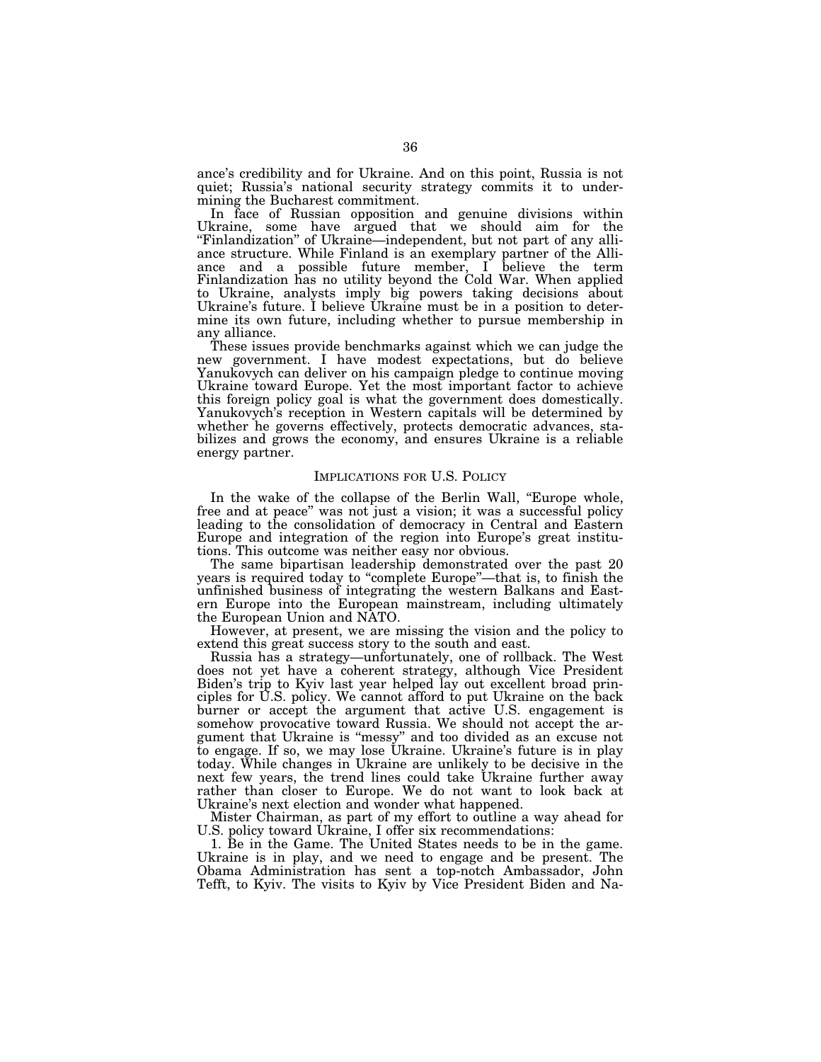ance's credibility and for Ukraine. And on this point, Russia is not quiet; Russia's national security strategy commits it to undermining the Bucharest commitment.

In face of Russian opposition and genuine divisions within Ukraine, some have argued that we should aim for the ''Finlandization'' of Ukraine—independent, but not part of any alliance structure. While Finland is an exemplary partner of the Alliance and a possible future member, I believe the term Finlandization has no utility beyond the Cold War. When applied to Ukraine, analysts imply big powers taking decisions about Ukraine's future. I believe Ukraine must be in a position to determine its own future, including whether to pursue membership in any alliance.

These issues provide benchmarks against which we can judge the new government. I have modest expectations, but do believe Yanukovych can deliver on his campaign pledge to continue moving Ukraine toward Europe. Yet the most important factor to achieve this foreign policy goal is what the government does domestically. Yanukovych's reception in Western capitals will be determined by whether he governs effectively, protects democratic advances, stabilizes and grows the economy, and ensures Ukraine is a reliable energy partner.

#### IMPLICATIONS FOR U.S. POLICY

In the wake of the collapse of the Berlin Wall, "Europe whole, free and at peace'' was not just a vision; it was a successful policy leading to the consolidation of democracy in Central and Eastern Europe and integration of the region into Europe's great institutions. This outcome was neither easy nor obvious.

The same bipartisan leadership demonstrated over the past 20 years is required today to ''complete Europe''—that is, to finish the unfinished business of integrating the western Balkans and Eastern Europe into the European mainstream, including ultimately the European Union and NATO.

However, at present, we are missing the vision and the policy to extend this great success story to the south and east.

Russia has a strategy—unfortunately, one of rollback. The West does not yet have a coherent strategy, although Vice President Biden's trip to Kyiv last year helped lay out excellent broad principles for U.S. policy. We cannot afford to put Ukraine on the back burner or accept the argument that active U.S. engagement is somehow provocative toward Russia. We should not accept the argument that Ukraine is ''messy'' and too divided as an excuse not to engage. If so, we may lose Ukraine. Ukraine's future is in play today. While changes in Ukraine are unlikely to be decisive in the next few years, the trend lines could take Ukraine further away rather than closer to Europe. We do not want to look back at Ukraine's next election and wonder what happened.

Mister Chairman, as part of my effort to outline a way ahead for U.S. policy toward Ukraine, I offer six recommendations:

1. Be in the Game. The United States needs to be in the game. Ukraine is in play, and we need to engage and be present. The Obama Administration has sent a top-notch Ambassador, John Tefft, to Kyiv. The visits to Kyiv by Vice President Biden and Na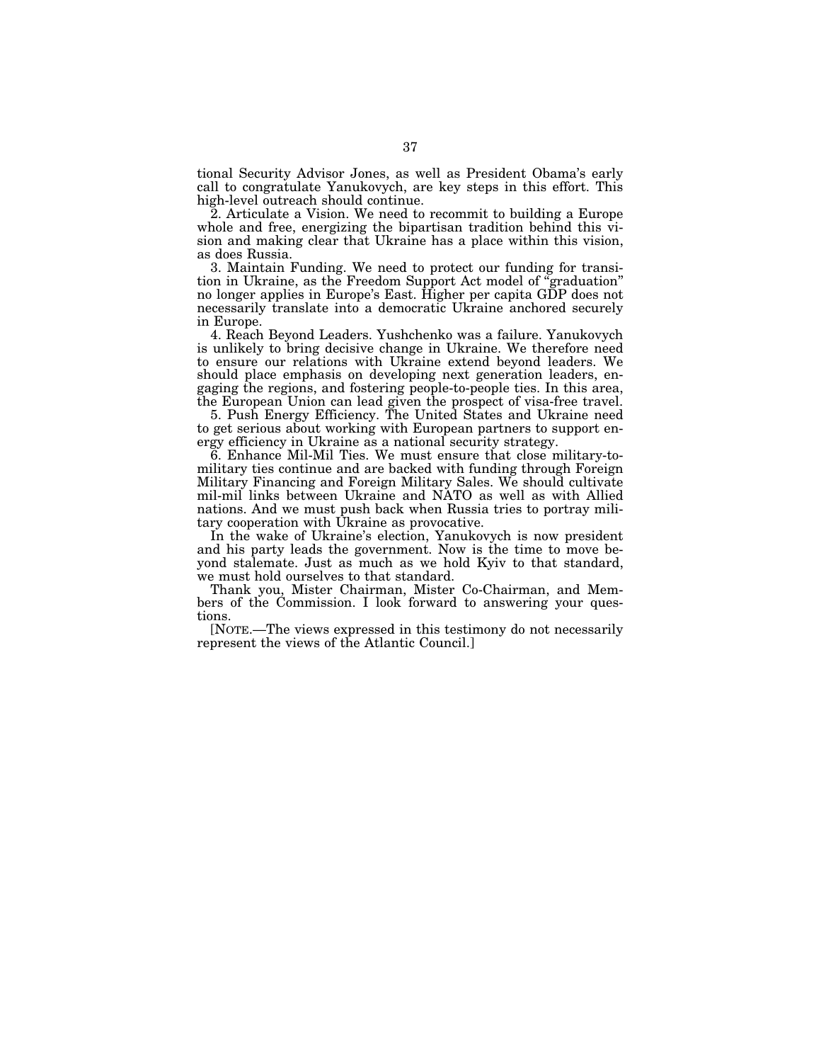tional Security Advisor Jones, as well as President Obama's early call to congratulate Yanukovych, are key steps in this effort. This high-level outreach should continue.

2. Articulate a Vision. We need to recommit to building a Europe whole and free, energizing the bipartisan tradition behind this vision and making clear that Ukraine has a place within this vision, as does Russia.

3. Maintain Funding. We need to protect our funding for transition in Ukraine, as the Freedom Support Act model of ''graduation'' no longer applies in Europe's East. Higher per capita GDP does not necessarily translate into a democratic Ukraine anchored securely in Europe.

4. Reach Beyond Leaders. Yushchenko was a failure. Yanukovych is unlikely to bring decisive change in Ukraine. We therefore need to ensure our relations with Ukraine extend beyond leaders. We should place emphasis on developing next generation leaders, engaging the regions, and fostering people-to-people ties. In this area, the European Union can lead given the prospect of visa-free travel.

5. Push Energy Efficiency. The United States and Ukraine need to get serious about working with European partners to support energy efficiency in Ukraine as a national security strategy.

6. Enhance Mil-Mil Ties. We must ensure that close military-tomilitary ties continue and are backed with funding through Foreign Military Financing and Foreign Military Sales. We should cultivate mil-mil links between Ukraine and NATO as well as with Allied nations. And we must push back when Russia tries to portray military cooperation with Ukraine as provocative.

In the wake of Ukraine's election, Yanukovych is now president and his party leads the government. Now is the time to move beyond stalemate. Just as much as we hold Kyiv to that standard, we must hold ourselves to that standard.

Thank you, Mister Chairman, Mister Co-Chairman, and Members of the Commission. I look forward to answering your questions.

[NOTE.—The views expressed in this testimony do not necessarily represent the views of the Atlantic Council.]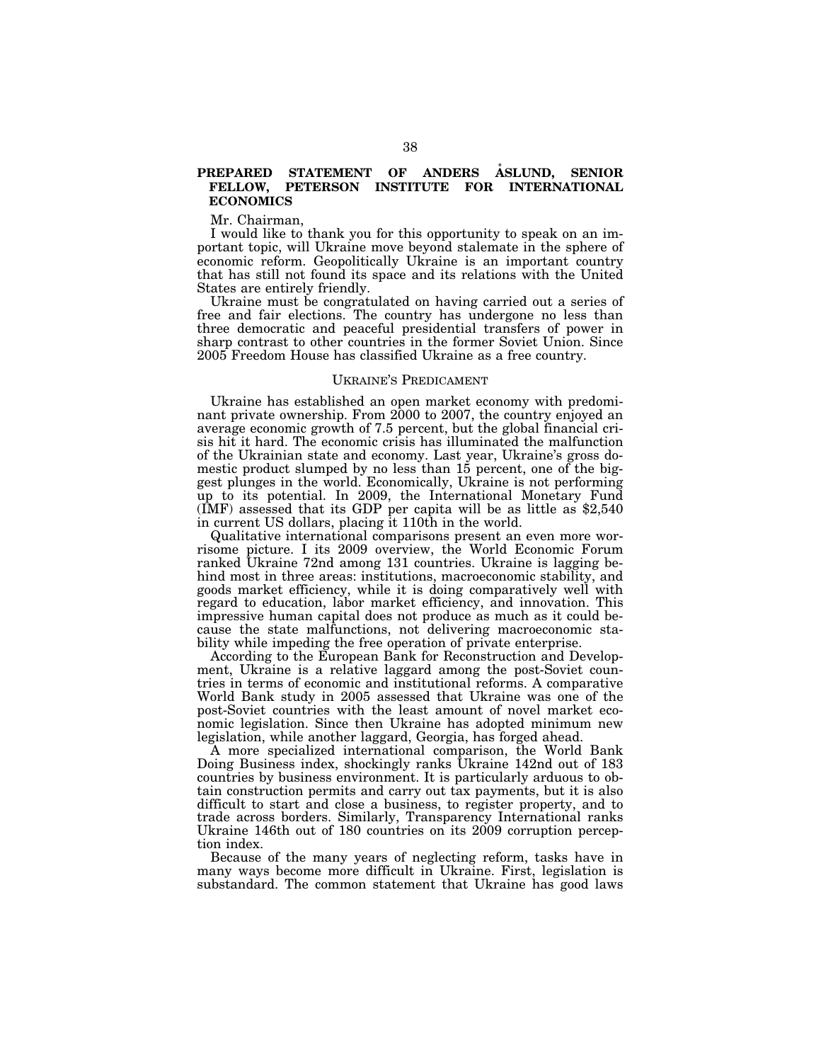### **PREPARED STATEMENT OF ANDERS ASLUND. SENIOR FELLOW, PETERSON INSTITUTE FOR INTERNATIONAL ECONOMICS**

Mr. Chairman,

I would like to thank you for this opportunity to speak on an important topic, will Ukraine move beyond stalemate in the sphere of economic reform. Geopolitically Ukraine is an important country that has still not found its space and its relations with the United States are entirely friendly.

Ukraine must be congratulated on having carried out a series of free and fair elections. The country has undergone no less than three democratic and peaceful presidential transfers of power in sharp contrast to other countries in the former Soviet Union. Since 2005 Freedom House has classified Ukraine as a free country.

#### UKRAINE'S PREDICAMENT

Ukraine has established an open market economy with predominant private ownership. From 2000 to 2007, the country enjoyed an average economic growth of 7.5 percent, but the global financial crisis hit it hard. The economic crisis has illuminated the malfunction of the Ukrainian state and economy. Last year, Ukraine's gross domestic product slumped by no less than 15 percent, one of the biggest plunges in the world. Economically, Ukraine is not performing up to its potential. In 2009, the International Monetary Fund (IMF) assessed that its GDP per capita will be as little as \$2,540 in current US dollars, placing it 110th in the world.

Qualitative international comparisons present an even more worrisome picture. I its 2009 overview, the World Economic Forum ranked Ukraine 72nd among 131 countries. Ukraine is lagging behind most in three areas: institutions, macroeconomic stability, and goods market efficiency, while it is doing comparatively well with regard to education, labor market efficiency, and innovation. This impressive human capital does not produce as much as it could because the state malfunctions, not delivering macroeconomic stability while impeding the free operation of private enterprise.

According to the European Bank for Reconstruction and Development, Ukraine is a relative laggard among the post-Soviet countries in terms of economic and institutional reforms. A comparative World Bank study in 2005 assessed that Ukraine was one of the post-Soviet countries with the least amount of novel market economic legislation. Since then Ukraine has adopted minimum new legislation, while another laggard, Georgia, has forged ahead.

A more specialized international comparison, the World Bank Doing Business index, shockingly ranks Ukraine 142nd out of 183 countries by business environment. It is particularly arduous to obtain construction permits and carry out tax payments, but it is also difficult to start and close a business, to register property, and to trade across borders. Similarly, Transparency International ranks Ukraine 146th out of 180 countries on its 2009 corruption perception index.

Because of the many years of neglecting reform, tasks have in many ways become more difficult in Ukraine. First, legislation is substandard. The common statement that Ukraine has good laws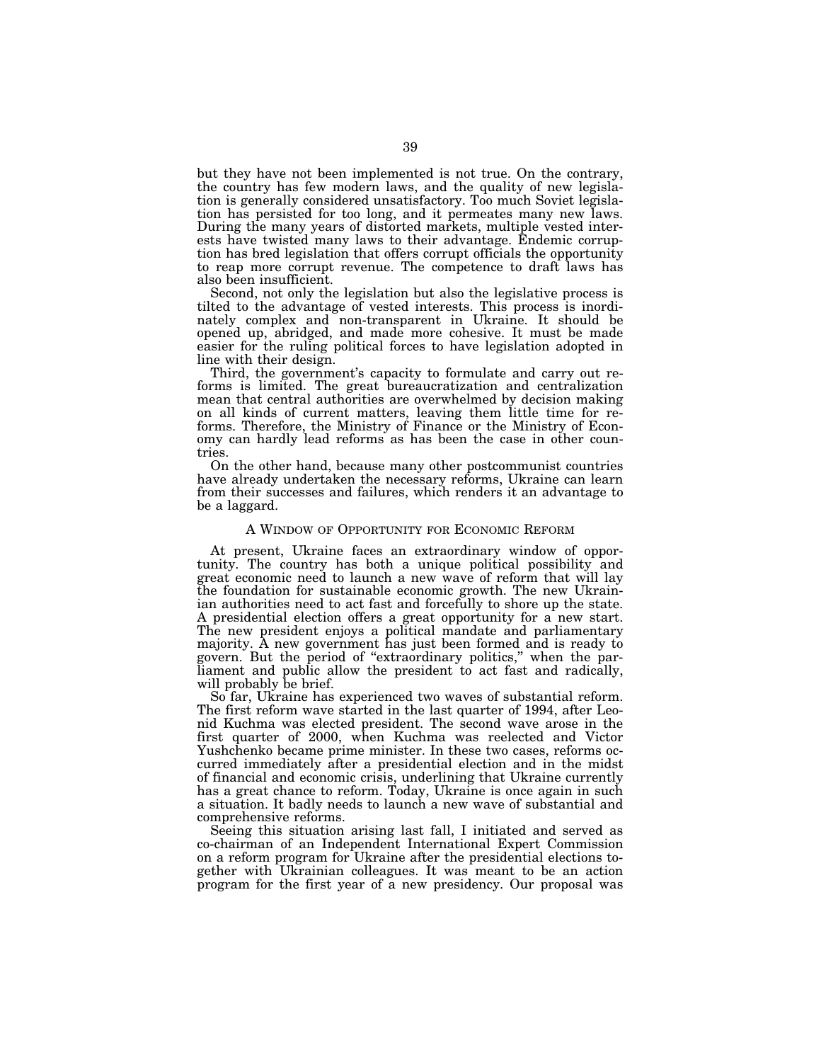but they have not been implemented is not true. On the contrary, the country has few modern laws, and the quality of new legislation is generally considered unsatisfactory. Too much Soviet legislation has persisted for too long, and it permeates many new laws. During the many years of distorted markets, multiple vested interests have twisted many laws to their advantage. Endemic corruption has bred legislation that offers corrupt officials the opportunity to reap more corrupt revenue. The competence to draft laws has also been insufficient.

Second, not only the legislation but also the legislative process is tilted to the advantage of vested interests. This process is inordinately complex and non-transparent in Ukraine. It should be opened up, abridged, and made more cohesive. It must be made easier for the ruling political forces to have legislation adopted in line with their design.

Third, the government's capacity to formulate and carry out reforms is limited. The great bureaucratization and centralization mean that central authorities are overwhelmed by decision making on all kinds of current matters, leaving them little time for reforms. Therefore, the Ministry of Finance or the Ministry of Economy can hardly lead reforms as has been the case in other countries.

On the other hand, because many other postcommunist countries have already undertaken the necessary reforms, Ukraine can learn from their successes and failures, which renders it an advantage to be a laggard.

#### A WINDOW OF OPPORTUNITY FOR ECONOMIC REFORM

At present, Ukraine faces an extraordinary window of opportunity. The country has both a unique political possibility and great economic need to launch a new wave of reform that will lay the foundation for sustainable economic growth. The new Ukrainian authorities need to act fast and forcefully to shore up the state. A presidential election offers a great opportunity for a new start. The new president enjoys a political mandate and parliamentary majority. A new government has just been formed and is ready to govern. But the period of ''extraordinary politics,'' when the parliament and public allow the president to act fast and radically, will probably be brief.

So far, Ukraine has experienced two waves of substantial reform. The first reform wave started in the last quarter of 1994, after Leonid Kuchma was elected president. The second wave arose in the first quarter of 2000, when Kuchma was reelected and Victor Yushchenko became prime minister. In these two cases, reforms occurred immediately after a presidential election and in the midst of financial and economic crisis, underlining that Ukraine currently has a great chance to reform. Today, Ukraine is once again in such a situation. It badly needs to launch a new wave of substantial and comprehensive reforms.

Seeing this situation arising last fall, I initiated and served as co-chairman of an Independent International Expert Commission on a reform program for Ukraine after the presidential elections together with Ukrainian colleagues. It was meant to be an action program for the first year of a new presidency. Our proposal was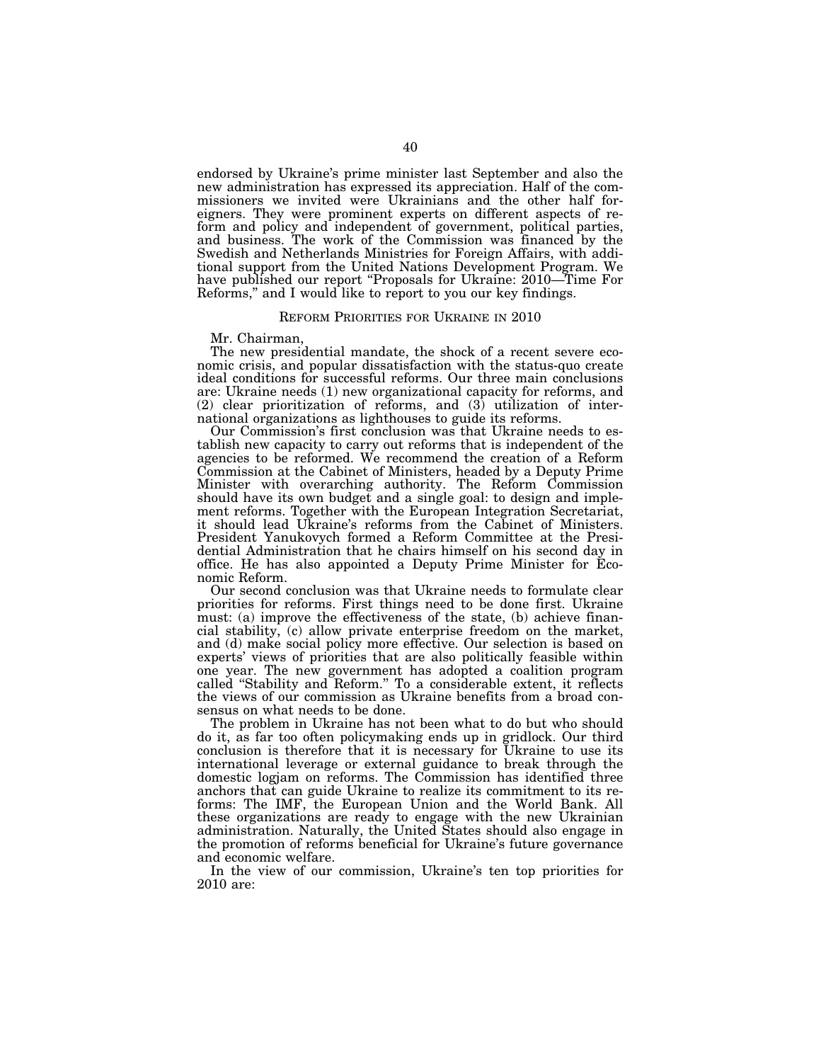endorsed by Ukraine's prime minister last September and also the new administration has expressed its appreciation. Half of the commissioners we invited were Ukrainians and the other half foreigners. They were prominent experts on different aspects of reform and policy and independent of government, political parties, and business. The work of the Commission was financed by the Swedish and Netherlands Ministries for Foreign Affairs, with additional support from the United Nations Development Program. We have published our report "Proposals for Ukraine: 2010—Time For Reforms,'' and I would like to report to you our key findings.

#### REFORM PRIORITIES FOR UKRAINE IN 2010

Mr. Chairman,

The new presidential mandate, the shock of a recent severe economic crisis, and popular dissatisfaction with the status-quo create ideal conditions for successful reforms. Our three main conclusions are: Ukraine needs (1) new organizational capacity for reforms, and (2) clear prioritization of reforms, and (3) utilization of international organizations as lighthouses to guide its reforms.

Our Commission's first conclusion was that Ukraine needs to establish new capacity to carry out reforms that is independent of the agencies to be reformed. We recommend the creation of a Reform Commission at the Cabinet of Ministers, headed by a Deputy Prime Minister with overarching authority. The Reform Commission should have its own budget and a single goal: to design and implement reforms. Together with the European Integration Secretariat, it should lead Ukraine's reforms from the Cabinet of Ministers. President Yanukovych formed a Reform Committee at the Presidential Administration that he chairs himself on his second day in office. He has also appointed a Deputy Prime Minister for Economic Reform.

Our second conclusion was that Ukraine needs to formulate clear priorities for reforms. First things need to be done first. Ukraine must: (a) improve the effectiveness of the state, (b) achieve financial stability, (c) allow private enterprise freedom on the market, and (d) make social policy more effective. Our selection is based on experts' views of priorities that are also politically feasible within one year. The new government has adopted a coalition program called ''Stability and Reform.'' To a considerable extent, it reflects the views of our commission as Ukraine benefits from a broad consensus on what needs to be done.

The problem in Ukraine has not been what to do but who should do it, as far too often policymaking ends up in gridlock. Our third conclusion is therefore that it is necessary for Ukraine to use its international leverage or external guidance to break through the domestic logjam on reforms. The Commission has identified three anchors that can guide Ukraine to realize its commitment to its reforms: The IMF, the European Union and the World Bank. All these organizations are ready to engage with the new Ukrainian administration. Naturally, the United States should also engage in the promotion of reforms beneficial for Ukraine's future governance and economic welfare.

In the view of our commission, Ukraine's ten top priorities for 2010 are: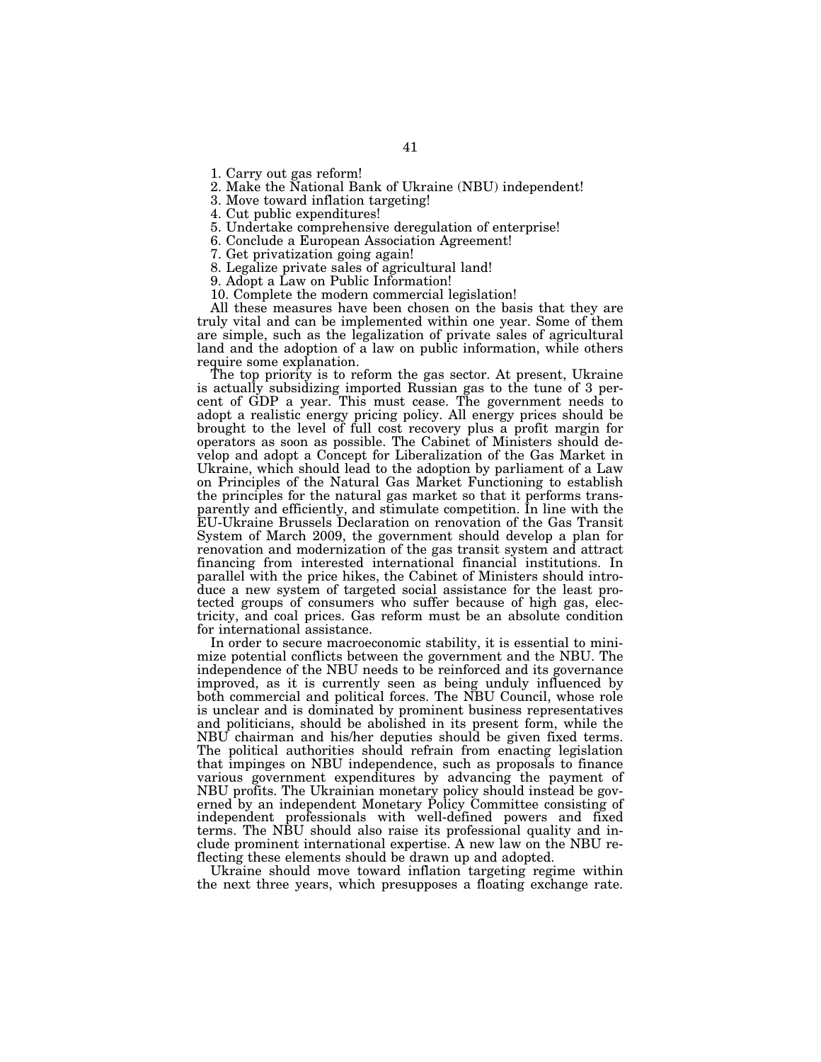1. Carry out gas reform!

2. Make the National Bank of Ukraine (NBU) independent!

3. Move toward inflation targeting!

4. Cut public expenditures!

5. Undertake comprehensive deregulation of enterprise!

6. Conclude a European Association Agreement!

7. Get privatization going again!

8. Legalize private sales of agricultural land!

9. Adopt a Law on Public Information!

10. Complete the modern commercial legislation!

All these measures have been chosen on the basis that they are truly vital and can be implemented within one year. Some of them are simple, such as the legalization of private sales of agricultural land and the adoption of a law on public information, while others require some explanation.

The top priority is to reform the gas sector. At present, Ukraine is actually subsidizing imported Russian gas to the tune of 3 percent of GDP a year. This must cease. The government needs to adopt a realistic energy pricing policy. All energy prices should be brought to the level of full cost recovery plus a profit margin for operators as soon as possible. The Cabinet of Ministers should develop and adopt a Concept for Liberalization of the Gas Market in Ukraine, which should lead to the adoption by parliament of a Law on Principles of the Natural Gas Market Functioning to establish the principles for the natural gas market so that it performs transparently and efficiently, and stimulate competition. In line with the EU-Ukraine Brussels Declaration on renovation of the Gas Transit System of March 2009, the government should develop a plan for renovation and modernization of the gas transit system and attract financing from interested international financial institutions. In parallel with the price hikes, the Cabinet of Ministers should introduce a new system of targeted social assistance for the least protected groups of consumers who suffer because of high gas, electricity, and coal prices. Gas reform must be an absolute condition for international assistance.

In order to secure macroeconomic stability, it is essential to minimize potential conflicts between the government and the NBU. The independence of the NBU needs to be reinforced and its governance improved, as it is currently seen as being unduly influenced by both commercial and political forces. The NBU Council, whose role is unclear and is dominated by prominent business representatives and politicians, should be abolished in its present form, while the NBU chairman and his/her deputies should be given fixed terms. The political authorities should refrain from enacting legislation that impinges on NBU independence, such as proposals to finance various government expenditures by advancing the payment of NBU profits. The Ukrainian monetary policy should instead be governed by an independent Monetary Policy Committee consisting of independent professionals with well-defined powers and fixed terms. The NBU should also raise its professional quality and include prominent international expertise. A new law on the NBU reflecting these elements should be drawn up and adopted.

Ukraine should move toward inflation targeting regime within the next three years, which presupposes a floating exchange rate.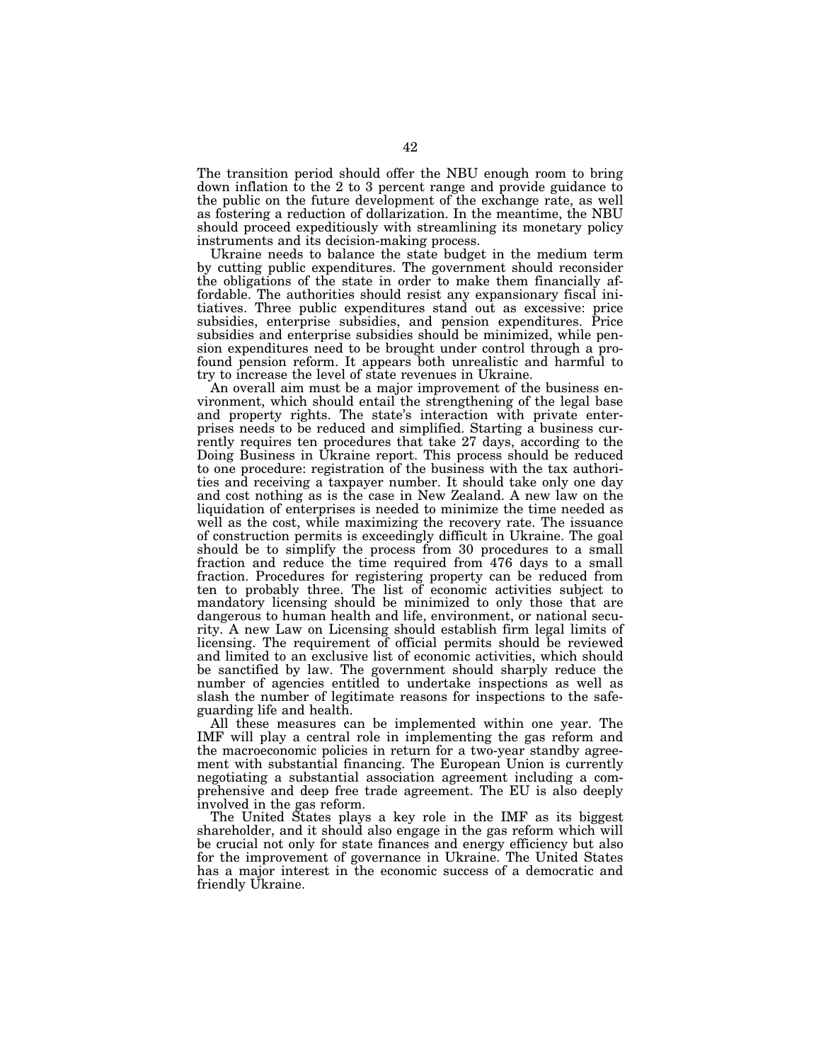The transition period should offer the NBU enough room to bring down inflation to the 2 to 3 percent range and provide guidance to the public on the future development of the exchange rate, as well as fostering a reduction of dollarization. In the meantime, the NBU should proceed expeditiously with streamlining its monetary policy instruments and its decision-making process.

Ukraine needs to balance the state budget in the medium term by cutting public expenditures. The government should reconsider the obligations of the state in order to make them financially affordable. The authorities should resist any expansionary fiscal initiatives. Three public expenditures stand out as excessive: price subsidies, enterprise subsidies, and pension expenditures. Price subsidies and enterprise subsidies should be minimized, while pension expenditures need to be brought under control through a profound pension reform. It appears both unrealistic and harmful to try to increase the level of state revenues in Ukraine.

An overall aim must be a major improvement of the business environment, which should entail the strengthening of the legal base and property rights. The state's interaction with private enterprises needs to be reduced and simplified. Starting a business currently requires ten procedures that take 27 days, according to the Doing Business in Ukraine report. This process should be reduced to one procedure: registration of the business with the tax authorities and receiving a taxpayer number. It should take only one day and cost nothing as is the case in New Zealand. A new law on the liquidation of enterprises is needed to minimize the time needed as well as the cost, while maximizing the recovery rate. The issuance of construction permits is exceedingly difficult in Ukraine. The goal should be to simplify the process from 30 procedures to a small fraction and reduce the time required from 476 days to a small fraction. Procedures for registering property can be reduced from ten to probably three. The list of economic activities subject to mandatory licensing should be minimized to only those that are dangerous to human health and life, environment, or national security. A new Law on Licensing should establish firm legal limits of licensing. The requirement of official permits should be reviewed and limited to an exclusive list of economic activities, which should be sanctified by law. The government should sharply reduce the number of agencies entitled to undertake inspections as well as slash the number of legitimate reasons for inspections to the safeguarding life and health.

All these measures can be implemented within one year. The IMF will play a central role in implementing the gas reform and the macroeconomic policies in return for a two-year standby agreement with substantial financing. The European Union is currently negotiating a substantial association agreement including a comprehensive and deep free trade agreement. The EU is also deeply involved in the gas reform.

The United States plays a key role in the IMF as its biggest shareholder, and it should also engage in the gas reform which will be crucial not only for state finances and energy efficiency but also for the improvement of governance in Ukraine. The United States has a major interest in the economic success of a democratic and friendly Ukraine.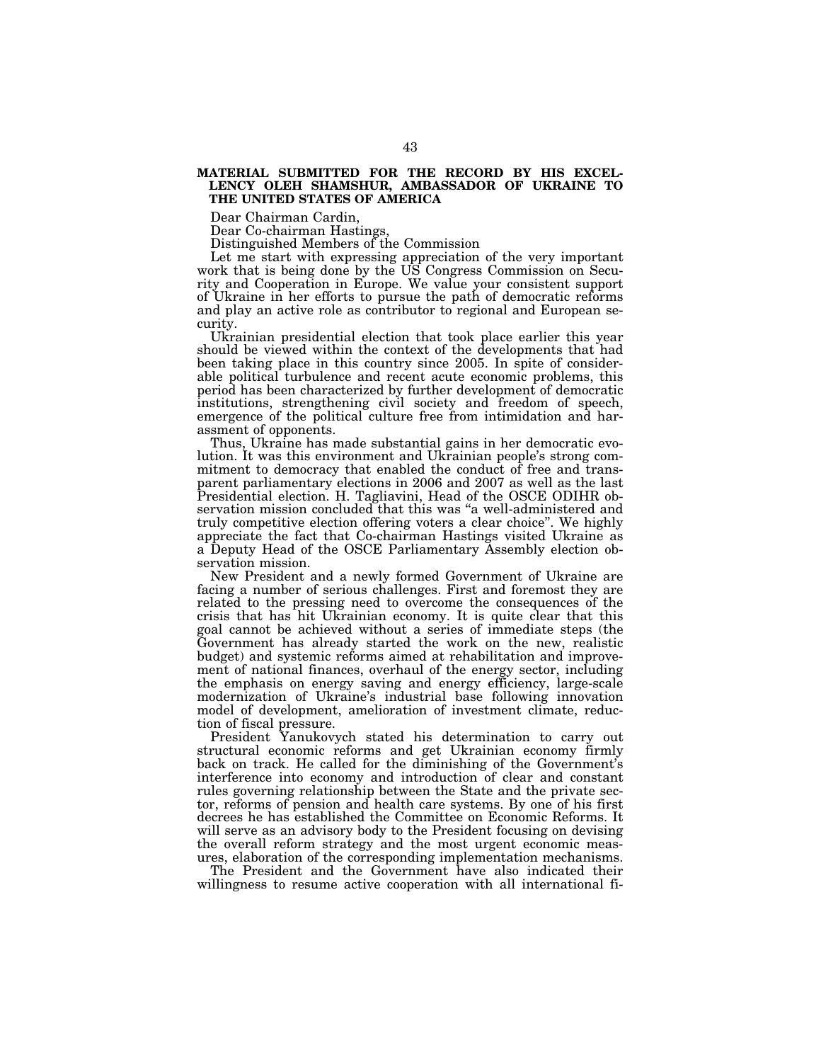#### **MATERIAL SUBMITTED FOR THE RECORD BY HIS EXCEL-LENCY OLEH SHAMSHUR, AMBASSADOR OF UKRAINE TO THE UNITED STATES OF AMERICA**

Dear Chairman Cardin,

Dear Co-chairman Hastings,

Distinguished Members of the Commission

Let me start with expressing appreciation of the very important work that is being done by the US Congress Commission on Security and Cooperation in Europe. We value your consistent support of Ukraine in her efforts to pursue the path of democratic reforms and play an active role as contributor to regional and European security.

Ukrainian presidential election that took place earlier this year should be viewed within the context of the developments that had been taking place in this country since 2005. In spite of considerable political turbulence and recent acute economic problems, this period has been characterized by further development of democratic institutions, strengthening civil society and freedom of speech, emergence of the political culture free from intimidation and harassment of opponents.

Thus, Ukraine has made substantial gains in her democratic evolution. It was this environment and Ukrainian people's strong commitment to democracy that enabled the conduct of free and transparent parliamentary elections in 2006 and 2007 as well as the last Presidential election. H. Tagliavini, Head of the OSCE ODIHR observation mission concluded that this was ''a well-administered and truly competitive election offering voters a clear choice''. We highly appreciate the fact that Co-chairman Hastings visited Ukraine as a Deputy Head of the OSCE Parliamentary Assembly election observation mission.

New President and a newly formed Government of Ukraine are facing a number of serious challenges. First and foremost they are related to the pressing need to overcome the consequences of the crisis that has hit Ukrainian economy. It is quite clear that this goal cannot be achieved without a series of immediate steps (the Government has already started the work on the new, realistic budget) and systemic reforms aimed at rehabilitation and improvement of national finances, overhaul of the energy sector, including the emphasis on energy saving and energy efficiency, large-scale modernization of Ukraine's industrial base following innovation model of development, amelioration of investment climate, reduction of fiscal pressure.

President Yanukovych stated his determination to carry out structural economic reforms and get Ukrainian economy firmly back on track. He called for the diminishing of the Government's interference into economy and introduction of clear and constant rules governing relationship between the State and the private sector, reforms of pension and health care systems. By one of his first decrees he has established the Committee on Economic Reforms. It will serve as an advisory body to the President focusing on devising the overall reform strategy and the most urgent economic measures, elaboration of the corresponding implementation mechanisms.

The President and the Government have also indicated their willingness to resume active cooperation with all international fi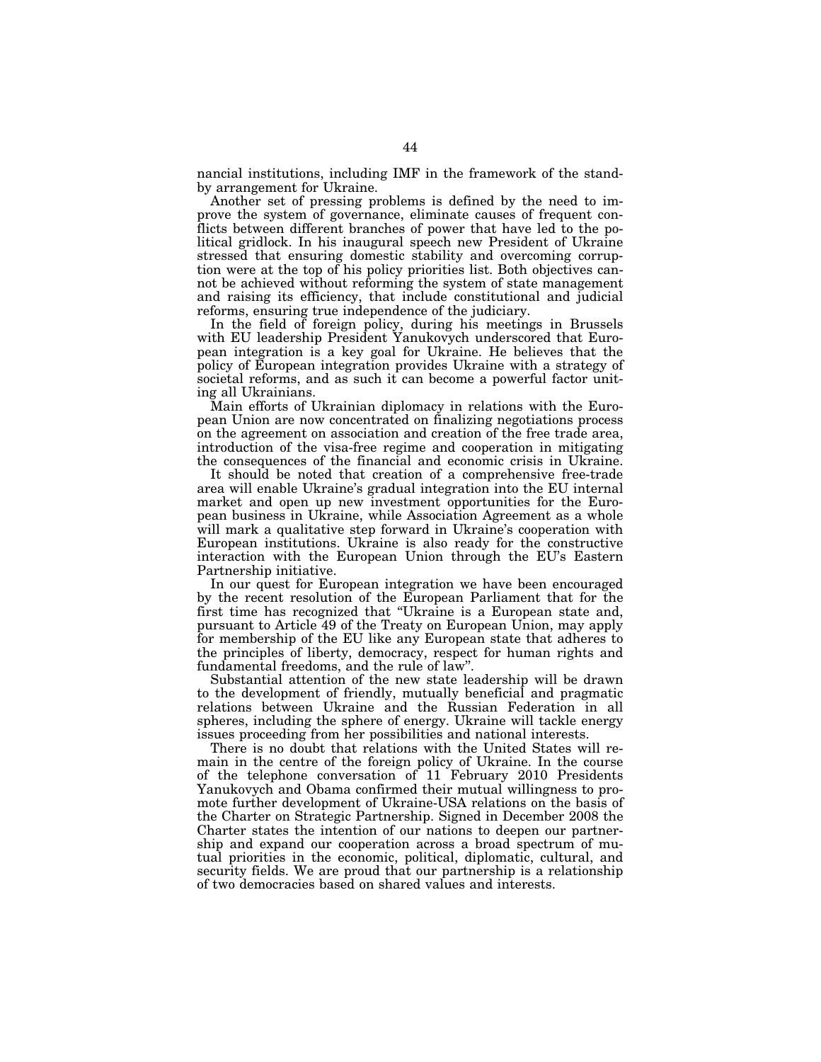nancial institutions, including IMF in the framework of the standby arrangement for Ukraine.

Another set of pressing problems is defined by the need to improve the system of governance, eliminate causes of frequent conflicts between different branches of power that have led to the political gridlock. In his inaugural speech new President of Ukraine stressed that ensuring domestic stability and overcoming corruption were at the top of his policy priorities list. Both objectives cannot be achieved without reforming the system of state management and raising its efficiency, that include constitutional and judicial reforms, ensuring true independence of the judiciary.

In the field of foreign policy, during his meetings in Brussels with EU leadership President Yanukovych underscored that European integration is a key goal for Ukraine. He believes that the policy of European integration provides Ukraine with a strategy of societal reforms, and as such it can become a powerful factor uniting all Ukrainians.

Main efforts of Ukrainian diplomacy in relations with the European Union are now concentrated on finalizing negotiations process on the agreement on association and creation of the free trade area, introduction of the visa-free regime and cooperation in mitigating the consequences of the financial and economic crisis in Ukraine.

It should be noted that creation of a comprehensive free-trade area will enable Ukraine's gradual integration into the EU internal market and open up new investment opportunities for the European business in Ukraine, while Association Agreement as a whole will mark a qualitative step forward in Ukraine's cooperation with European institutions. Ukraine is also ready for the constructive interaction with the European Union through the EU's Eastern Partnership initiative.

In our quest for European integration we have been encouraged by the recent resolution of the European Parliament that for the first time has recognized that ''Ukraine is a European state and, pursuant to Article 49 of the Treaty on European Union, may apply for membership of the EU like any European state that adheres to the principles of liberty, democracy, respect for human rights and fundamental freedoms, and the rule of law''.

Substantial attention of the new state leadership will be drawn to the development of friendly, mutually beneficial and pragmatic relations between Ukraine and the Russian Federation in all spheres, including the sphere of energy. Ukraine will tackle energy issues proceeding from her possibilities and national interests.

There is no doubt that relations with the United States will remain in the centre of the foreign policy of Ukraine. In the course of the telephone conversation of 11 February 2010 Presidents Yanukovych and Obama confirmed their mutual willingness to promote further development of Ukraine-USA relations on the basis of the Charter on Strategic Partnership. Signed in December 2008 the Charter states the intention of our nations to deepen our partnership and expand our cooperation across a broad spectrum of mutual priorities in the economic, political, diplomatic, cultural, and security fields. We are proud that our partnership is a relationship of two democracies based on shared values and interests.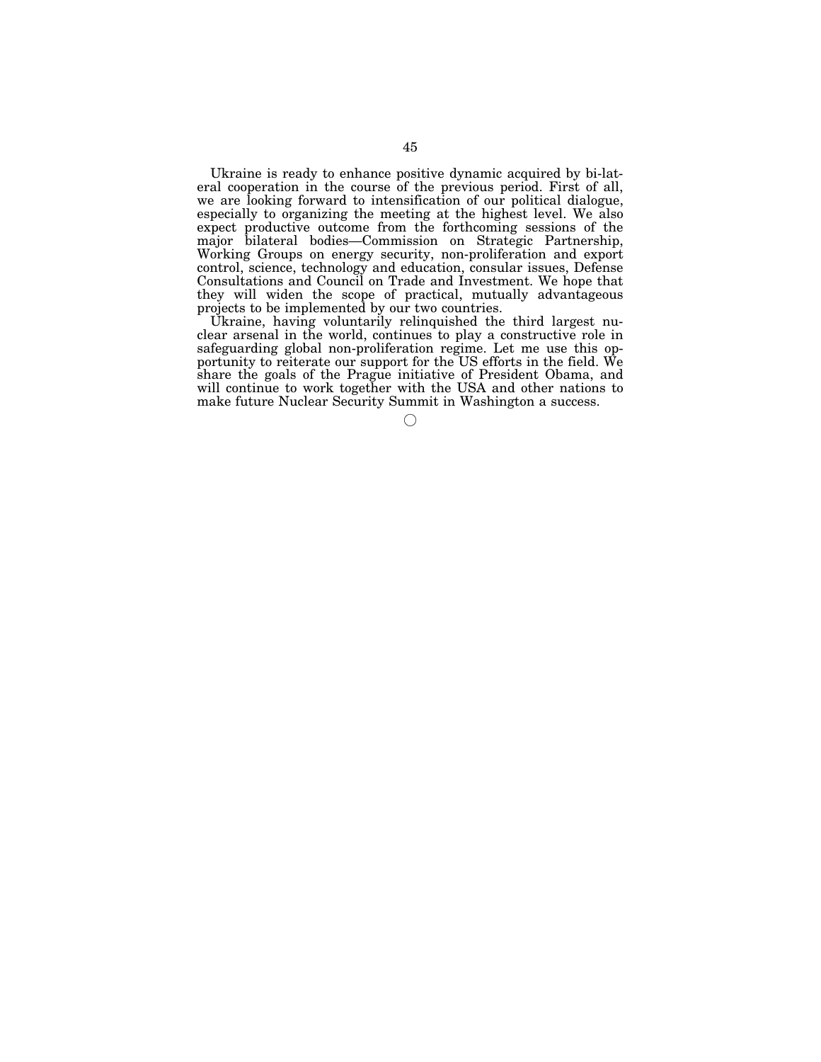Ukraine is ready to enhance positive dynamic acquired by bi-lateral cooperation in the course of the previous period. First of all, we are looking forward to intensification of our political dialogue, especially to organizing the meeting at the highest level. We also expect productive outcome from the forthcoming sessions of the major bilateral bodies—Commission on Strategic Partnership, Working Groups on energy security, non-proliferation and export control, science, technology and education, consular issues, Defense Consultations and Council on Trade and Investment. We hope that they will widen the scope of practical, mutually advantageous projects to be implemented by our two countries.

Ukraine, having voluntarily relinquished the third largest nuclear arsenal in the world, continues to play a constructive role in safeguarding global non-proliferation regime. Let me use this opportunity to reiterate our support for the US efforts in the field. We share the goals of the Prague initiative of President Obama, and will continue to work together with the USA and other nations to make future Nuclear Security Summit in Washington a success.

 $\left(\begin{matrix} \cdot & \cdot \\ \cdot & \cdot \end{matrix}\right)$